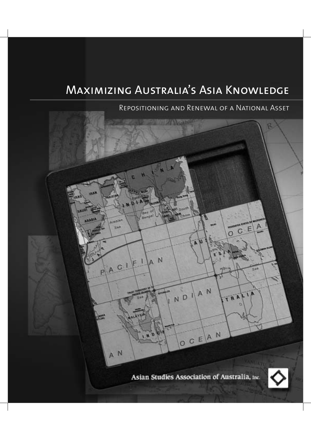# Maximizing Australia's Asia Knowledge



Repositioning and Renewal of a National Asset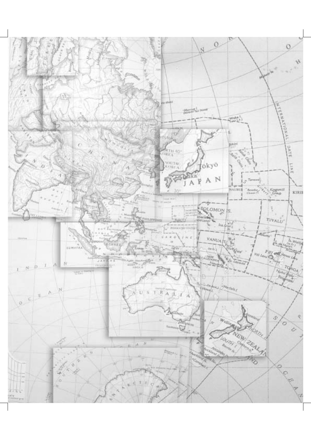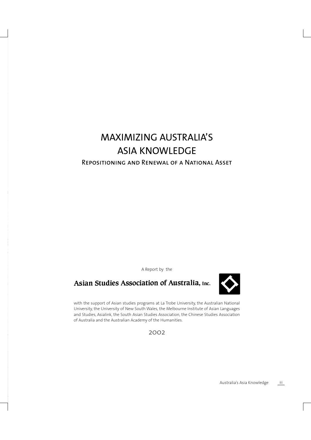# MAXIMIZING AUSTRALIA'S ASIA KNOWLEDGE

Repositioning and Renewal of a National Asset

A Report by the

# Asian Studies Association of Australia, Inc.



with the support of Asian studies programs at La Trobe University, the Australian National University, the University of New South Wales, the Melbourne Institute of Asian Languages and Studies, Asialink, the South Asian Studies Association, the Chinese Studies Association of Australia and the Australian Academy of the Humanities.

2002

Australia's Asia Knowledge iii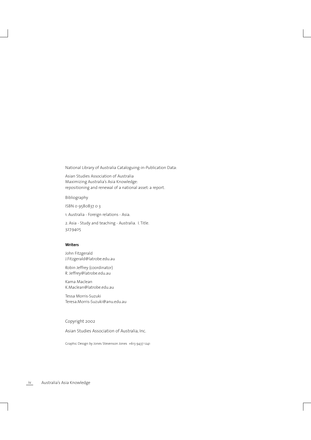National Library of Australia Cataloguing-in-Publication Data:

Asian Studies Association of Australia Maximizing Australia's Asia Knowledge: repositioning and renewal of a national asset: a report.

Bibliography

ISBN 0 9580837 0 3

1. Australia - Foreign relations - Asia.

2. Asia - Study and teaching - Australia. I. Title. 327.9405

### **Writers**

John Fitzgerald J.Fitzgerald@latrobe.edu.au

Robin Jeffrey (coordinator) R. Jeffrey@latrobe.edu.au

Kama Maclean K.Maclean@latrobe.edu.au

Tessa Morris-Suzuki Teresa.Morris-Suzuki@anu.edu.au

Copyright 2002

Asian Studies Association of Australia, Inc.

Graphic Design by Jones Stevenson Jones +613 9437 1241

iv Australia's Asia Knowledge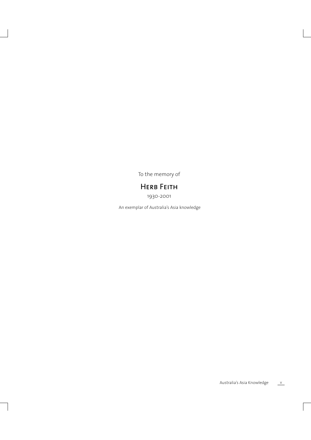To the memory of

# **HERB FEITH**

1930-2001

An exemplar of Australia's Asia knowledge

Australia's Asia Knowledge  $\frac{v}{x}$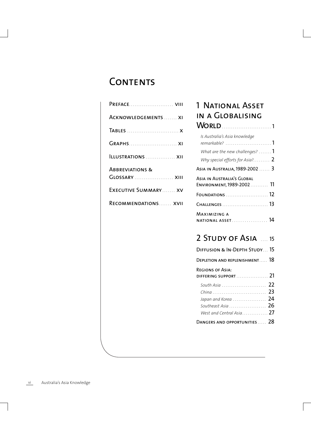# **CONTENTS**

| PREFACE VIII               |
|----------------------------|
| ACKNOWLEDGEMENTS  XI       |
| TABLES  X                  |
| GRAPHS XI                  |
| ILLUSTRATIONS XII          |
| <b>ABBREVIATIONS &amp;</b> |
| <b>GLOSSARY</b> XIII       |
| EXECUTIVE SUMMARY XV       |
| RECOMMENDATIONS XVII       |

# 1 National Asset in a Globalising World*. . . . . . . . . . . . . . . . . . . . . . . . . . .* <sup>1</sup>

| Is Australia's Asia knowledge<br>remarkable? 1          |  |
|---------------------------------------------------------|--|
| What are the new challenges? $\ldots \ldots$ 1          |  |
| Why special efforts for Asia? 2                         |  |
| Asia in Australia, 1989-2002 3                          |  |
| Asia in Australia's Global<br>Environment, 1989-2002 11 |  |
|                                                         |  |
|                                                         |  |
| Maximizing a<br><b>NATIONAL ASSET</b> 14                |  |

# 2 Study of Asia *. . . .* <sup>15</sup>

| DIFFUSION & IN-DEPTH STUDY 15         |  |
|---------------------------------------|--|
| DEPLETION AND REPLENISHMENT 18        |  |
| <b>REGIONS OF ASIA:</b>               |  |
| <b>DIFFERING SUPPORT</b> 21           |  |
| South Asia  22                        |  |
| China $\ldots$ $\ldots$ $\ldots$ $23$ |  |
| Japan and Korea  24                   |  |
| Southeast Asia  26                    |  |
| West and Central Asia 27              |  |
| DANGERS AND OPPORTUNITIES $28$        |  |

vi Australia's Asia Knowledge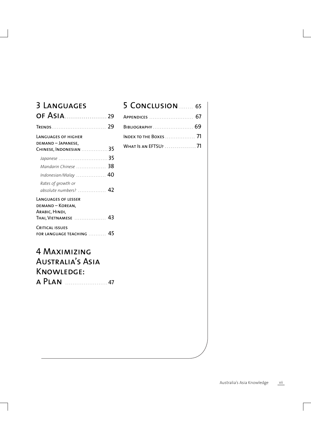# 3 Languages of Asia*. . . . . . . . . . . . . . . . . . . . . .* <sup>29</sup>

| Trends 29                                                 |  |
|-----------------------------------------------------------|--|
| LANGUAGES OF HIGHER<br>DEMAND - JAPANESE,                 |  |
| CHINESE, INDONESIAN  35                                   |  |
|                                                           |  |
| Mandarin Chinese  38                                      |  |
| Indonesian/Malay  40                                      |  |
| Rates of growth or                                        |  |
| LANGUAGES OF LESSER<br>DEMAND - KOREAN,<br>Arabic. Hindi. |  |

Thai, Vietnamese *. . . . . . . . . . . . . . . . . .* 43

for language teaching *. . . . . . . . . .* 45

CRITICAL ISSUES

| 5 CONCLUSION 65                                                 |  |
|-----------------------------------------------------------------|--|
| Appendices $\ldots \ldots \ldots \ldots \ldots \ldots \quad 67$ |  |
| ${\tt B}$ ibliography $\,\ldots\ldots\ldots\ldots\ldots\,$ 69   |  |

| INDEX TO THE BOXES $\ldots$ , $\ldots$ , $71$ |  |
|-----------------------------------------------|--|
| WHAT IS AN EFTSU? 71                          |  |

4 Maximizing Australia's Asia Knowledge: a Plan *. . . . . . . . . . . . . . . . . . . . . . .* <sup>47</sup>

Australia's Asia Knowledge vii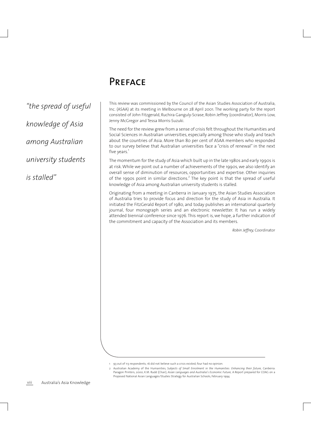# **PREFACE**

*"the spread of useful* 

*knowledge of Asia* 

*among Australian* 

*university students* 

*is stalled"*

This review was commissioned by the Council of the Asian Studies Association of Australia, Inc. (ASAA) at its meeting in Melbourne on 28 April 2001. The working party for the report consisted of John Fitzgerald, Ruchira Ganguly-Scrase, Robin Jeffrey (coordinator), Morris Low, Jenny McGregor and Tessa Morris-Suzuki.

The need for the review grew from a sense of crisis felt throughout the Humanities and Social Sciences in Australian universities, especially among those who study and teach about the countries of Asia. More than 80 per cent of ASAA members who responded to our survey believe that Australian universities face a "crisis of renewal" in the next five years.

The momentum for the study of Asia which built up in the late 1980s and early 1990s is at risk. While we point out a number of achievements of the 1990s, we also identify an overall sense of diminution of resources, opportunities and expertise. Other inquiries of the 1990s point in similar directions. $^2$  The key point is that the spread of useful knowledge of Asia among Australian university students is stalled.

Originating from a meeting in Canberra in January 1975, the Asian Studies Association of Australia tries to provide focus and direction for the study of Asia in Australia. It initiated the FitzGerald Report of 1980, and today publishes an international quarterly journal, four monograph series and an electronic newsletter. It has run a widely attended biennial conference since 1976. This report is, we hope, a further indication of the commitment and capacity of the Association and its members.

*Robin Jeffrey,* Coordinator

1 93 out of 113 respondents; 16 did not believe such a crisis existed; four had no opinion.

2 Australian Academy of the Humanities, *Subjects of Small Enrolment in the Humanities: Enhancing their future,* Canberra: Paragon Printers, 2000; K.M. Rudd (Chair), *Asian Languages and Australia's Economic Future,* A Report prepared for COAG on a Proposed National Asian Languages/Studies Strategy for Australian Schools, February 1994.

viii Australia's Asia Knowledge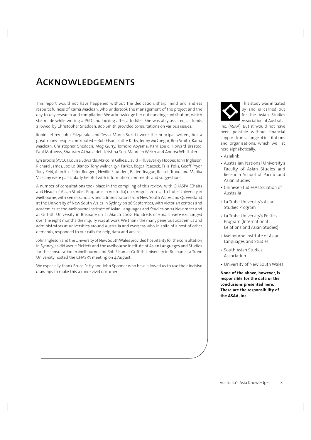# Acknowledgements

This report would not have happened without the dedication, sharp mind and endless resourcefulness of Kama Maclean, who undertook the management of the project and the day-to-day research and compilation. We acknowledge her outstanding contribution, which she made while writing a PhD and looking after a toddler. She was ably assisted, as funds allowed, by Christopher Snedden. Bob Smith provided consultations on various issues.

Robin Jeffrey, John Fitzgerald and Tessa Morris-Suzuki were the principal writers, but a great many people contributed – Bob Elson, Kathe Kirby, Jenny McGregor, Bob Smith, Kama Maclean, Christopher Snedden, Meg Gurry, Tomoko Aoyama, Kam Louie, Howard Brasted, Paul Mathews, Shahram Akbarzadeh, Krishna Sen, Maureen Welch and Andrea Whittaker.

Lyn Brooks (AVCC), Louise Edwards, Malcolm Gillies, David Hill, Beverley Hooper, John Ingleson, Richard James, Joe Lo Bianco, Tony Milner, Lyn Parker, Roger Peacock, Talis Polis, Geoff Pryor, Tony Reid, Alan Rix, Peter Rodgers, Neville Saunders, Baden Teague, Russell Trood and Marika Vicziany were particularly helpful with information, comments and suggestions.

A number of consultations took place in the compiling of this review: with CHASPA (Chairs and Heads of Asian Studies Programs in Australia) on 4 August 2001 at La Trobe University in Melbourne, with senior scholars and administrators from New South Wales and Queensland at the University of New South Wales in Sydney on 26 September, with Victorian centres and academics at the Melbourne Institute of Asian Languages and Studies on 23 November and at Griffith University in Brisbane on 21 March 2002. Hundreds of emails were exchanged over the eight months the inquiry was at work. We thank the many generous academics and administrators at universities around Australia and overseas who, in spite of a host of other demands, responded to our calls for help, data and advice.

John Ingleson and the University of New South Wales provided hospitality for the consultation in Sydney, as did Merle Ricklefs and the Melbourne Institute of Asian Languages and Studies for the consultation in Melbourne and Bob Elson at Griffith University in Brisbane. La Trobe University hosted the CHASPA meeting on 4 August.

We especially thank Bruce Petty and John Spooner who have allowed us to use their incisive drawings to make this a more vivid document.



This study was initiated by and is carried out for the Asian Studies Association of Australia,

Inc. (ASAA). But it would not have been possible without financial support from a range of institutions and organisations, which we list here alphabetically:

- Asialink
- Australian National University's Faculty of Asian Studies and Research School of Pacific and Asian Studies
- Chinese StudiesAssociation of Australia
- La Trobe University's Asian Studies Program
- La Trobe University's Politics Program (International Relations and Asian Studies)
- Melbourne Institute of Asian Languages and Studies
- South Asian Studies Association
- University of New South Wales

**None of the above, however, is responsible for the data or the conclusions presented here. These are the responsibility of the ASAA, Inc.**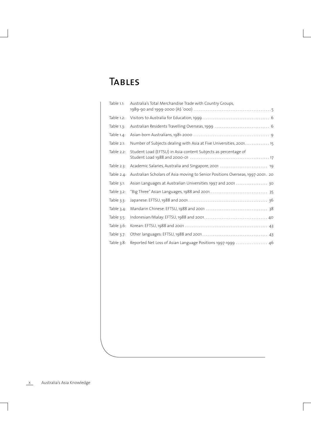# **TABLES**

| Table $1.1$ : | Australia's Total Merchandise Trade with Country Groups,                       |
|---------------|--------------------------------------------------------------------------------|
| Table 1.2:    |                                                                                |
| Table $1.3$ : |                                                                                |
| Table $1.4$ : |                                                                                |
| Table $2.1$ : | Number of Subjects dealing with Asia at Five Universities, 2001. 15            |
| Table $2.2$ : | Student Load (EFTSU) in Asia-content Subjects as percentage of                 |
| Table $2.3$ : | Academic Salaries, Australia and Singapore, 2001  19                           |
| Table $2.4$ : | Australian Scholars of Asia moving to Senior Positions Overseas, 1997-2001. 20 |
| Table $3.1$ : | Asian Languages at Australian Universities 1997 and 2001  30                   |
| Table $3.2$ : |                                                                                |
| Table $3.3$ : |                                                                                |
| Table $3.4$ : |                                                                                |
| Table $3.5$ : |                                                                                |
| Table $3.6$ : |                                                                                |
| Table $3.7$ : |                                                                                |
| Table $3.8:$  | Reported Net Loss of Asian Language Positions 1997-1999  46                    |

 $x$  Australia's Asia Knowledge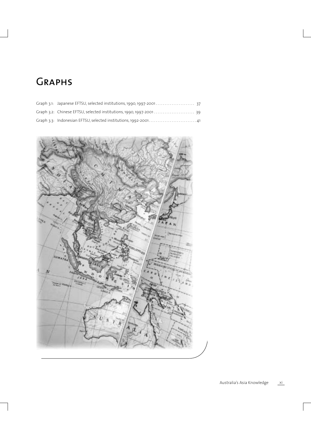# **GRAPHS**

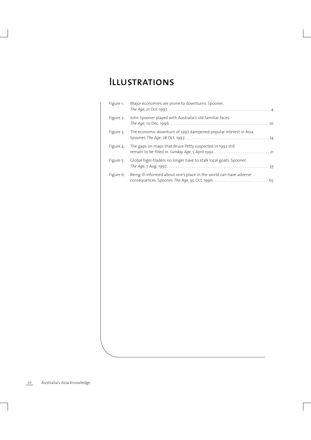# **ILLUSTRATIONS**

| Figure 1:    | Major economies are prone to downturns. Spooner,                   |
|--------------|--------------------------------------------------------------------|
| Figure 2:    | John Spooner played with Australia's old familiar faces.           |
| Figure 3:    | The economic downturn of 1997 dampened popular interest in Asia.   |
| Figure $4$ : | The gaps on maps that Bruce Petty suspected in 1992 still          |
| Figure $5$ : | Global tiger-traders no longer have to stalk local goats. Spooner, |
| Figure 6:    | Being ill-informed about one's place in the world can have adverse |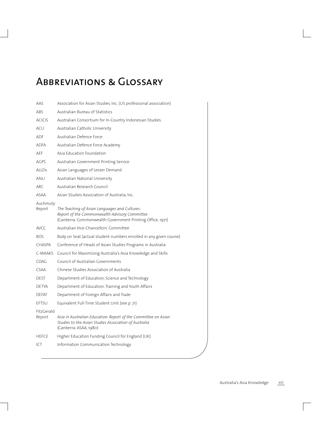# Abbreviations & Glossary

| AAS                  | Association for Asian Studies, Inc. (US professional association)                                                                                           |
|----------------------|-------------------------------------------------------------------------------------------------------------------------------------------------------------|
| ABS                  | Australian Bureau of Statistics                                                                                                                             |
| <b>ACICIS</b>        | Australian Consortium for In-Country Indonesian Studies                                                                                                     |
| ACU                  | Australian Catholic University                                                                                                                              |
| ADF                  | Australian Defence Force                                                                                                                                    |
| ADFA                 | Australian Defence Force Academy                                                                                                                            |
| AEF                  | Asia Education Foundation                                                                                                                                   |
| <b>AGPS</b>          | Australian Government Printing Service                                                                                                                      |
| <b>ALLDs</b>         | Asian Languages of Lesser Demand                                                                                                                            |
| anu                  | Australian National University                                                                                                                              |
| ARC.                 | Australian Research Council                                                                                                                                 |
| <b>ASAA</b>          | Asian Studies Association of Australia, Inc.                                                                                                                |
| Auchmuty<br>Report   | The Teaching of Asian Languages and Cultures:<br>Report of the Commonwealth Advisory Committee<br>(Canberra: Commonwealth Government Printing Office, 1971) |
| AVCC                 | Australian Vice-Chancellors' Committee                                                                                                                      |
| <b>BOS</b>           | Body on Seat (actual student numbers enrolled in any given course)                                                                                          |
| CHASPA               | Conference of Heads of Asian Studies Programs in Australia                                                                                                  |
| C-MAAKS              | Council for Maximizing Australia's Asia Knowledge and Skills                                                                                                |
| COAG                 | Council of Australian Governments                                                                                                                           |
| CSAA                 | Chinese Studies Association of Australia                                                                                                                    |
| <b>DEST</b>          | Department of Education, Science and Technology                                                                                                             |
| <b>DETYA</b>         | Department of Education, Training and Youth Affairs                                                                                                         |
| DEFAT                | Department of Foreign Affairs and Trade                                                                                                                     |
| EFTSU                | Equivalent Full-Time Student Unit (see p. 71)                                                                                                               |
| FitzGerald<br>Report | Asia in Australian Education: Report of the Committee on Asian<br>Studies to the Asian Studies Association of Australia<br>(Canberra: ASAA, 1980)           |
| <b>HFFCF</b>         | Higher Education Funding Council for England (UK)                                                                                                           |
| ICT                  | Information Communication Technology                                                                                                                        |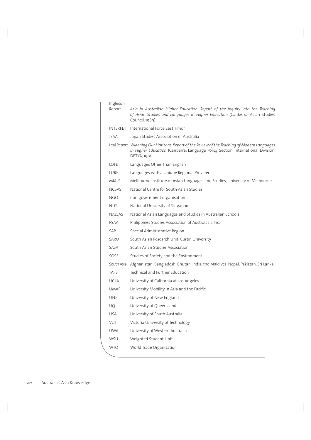| Ingleson<br>Report | Asia in Australian Higher Education: Report of the Inquiry into the Teaching<br>of Asian Studies and Languages in Higher Education (Canberra: Asian Studies<br>Council, 1989)                  |
|--------------------|------------------------------------------------------------------------------------------------------------------------------------------------------------------------------------------------|
| INTERFET           | International Force East Timor                                                                                                                                                                 |
| JSAA               | Japan Studies Association of Australia                                                                                                                                                         |
|                    | Leal Report Widening Our Horizons. Report of the Review of the Teaching of Modern Languages<br>in Higher Education (Canberra: Language Policy Section, International Division,<br>DETYA, 1991) |
| <b>LOTE</b>        | Languages Other Than English                                                                                                                                                                   |
| LURP               | Languages with a Unique Regional Provider                                                                                                                                                      |
| <b>MIALS</b>       | Melbourne Institute of Asian Languages and Studies, University of Melbourne                                                                                                                    |
| <b>NCSAS</b>       | National Centre for South Asian Studies                                                                                                                                                        |
| <b>NGO</b>         | non-government organisation                                                                                                                                                                    |
| <b>NUS</b>         | National University of Singapore                                                                                                                                                               |
| <b>NALSAS</b>      | National Asian Languages and Studies in Australian Schools                                                                                                                                     |
| PSAA               | Philippines Studies Association of Australasia Inc.                                                                                                                                            |
| <b>SAR</b>         | Special Administrative Region                                                                                                                                                                  |
| SARU               | South Asian Research Unit, Curtin University                                                                                                                                                   |
| SASA               | South Asian Studies Association                                                                                                                                                                |
| SOSE               | Studies of Society and the Environment                                                                                                                                                         |
| South Asia         | Afghanistan, Bangladesh, Bhutan, India, the Maldives, Nepal, Pakistan, Sri Lanka                                                                                                               |
| <b>TAFE</b>        | Technical and Further Education                                                                                                                                                                |
| <b>UCLA</b>        | University of California at Los Angeles                                                                                                                                                        |
| <b>UMAP</b>        | University Mobility in Asia and the Pacific                                                                                                                                                    |
| <b>UNE</b>         | University of New England                                                                                                                                                                      |
| UQ                 | University of Queensland                                                                                                                                                                       |
| USA                | University of South Australia                                                                                                                                                                  |
| VUT                | Victoria University of Technology                                                                                                                                                              |
| UWA                | University of Western Australia                                                                                                                                                                |
| <b>WSU</b>         | Weighted Student Unit                                                                                                                                                                          |
| <b>WTO</b>         | World Trade Organisation                                                                                                                                                                       |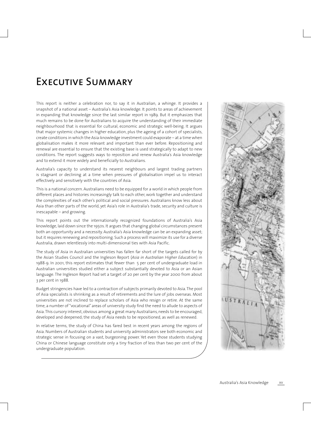# Executive Summary

This report is neither a celebration nor, to say it in Australian, a whinge. It provides a snapshot of a national asset – Australia's Asia knowledge. It points to areas of achievement in expanding that knowledge since the last similar report in 1989. But it emphasizes that much remains to be done for Australians to acquire the understanding of their immediate neighbourhood that is essential for cultural, economic and strategic well-being. It argues that major systemic changes in higher education, plus the ageing of a cohort of specialists, create conditions in which the Asia-knowledge investment could evaporate – at a time when globalisation makes it more relevant and important than ever before. Repositioning and renewal are essential to ensure that the existing base is used strategically to adapt to new conditions. The report suggests ways to reposition and renew Australia's Asia knowledge and to extend it more widely and beneficially to Australians.

Australia's capacity to understand its nearest neighbours and largest trading partners is stagnant or declining at a time when pressures of globalisation impel us to interact effectively and sensitively with the countries of Asia.

This is a national concern. Australians need to be equipped for a world in which people from different places and histories increasingly talk to each other, work together and understand the complexities of each other's political and social pressures. Australians know less about Asia than other parts of the world, yet Asia's role in Australia's trade, security and culture is inescapable – and growing.

This report points out the internationally recognized foundations of Australia's Asia knowledge, laid down since the 1950s. It argues that changing global circumstances present both an opportunity and a necessity. Australia's Asia knowledge can be an expanding asset; but it requires renewing and repositioning. Such a process will maximize its use for a diverse Australia, drawn relentlessly into multi-dimensional ties with Asia Pacific.

The study of Asia in Australian universities has fallen far short of the targets called for by the Asian Studies Council and the Ingleson Report (*Asia in Australian Higher Education*) in 1988-9. In 2001, this report estimates that fewer than 5 per cent of undergraduate load in Australian universities studied either a subject substantially devoted to Asia or an Asian language. The Ingleson Report had set a target of 20 per cent by the year 2000 from about 3 per cent in 1988.

Budget stringencies have led to a contraction of subjects primarily devoted to Asia. The pool of Asia specialists is shrinking as a result of retirements and the lure of jobs overseas. Most universities are not inclined to replace scholars of Asia who resign or retire. At the same time, a number of "vocational" areas of university study find the need to allude to aspects of Asia. This cursory interest, obvious among a great many Australians, needs to be encouraged, developed and deepened; the study of Asia needs to be repositioned, as well as renewed.

In relative terms, the study of China has fared best in recent years among the regions of Asia. Numbers of Australian students and university administrators see both economic and strategic sense in focusing on a vast, burgeoning power. Yet even those students studying China or Chinese language constitute only a tiny fraction of less than two per cent of the undergraduate population.

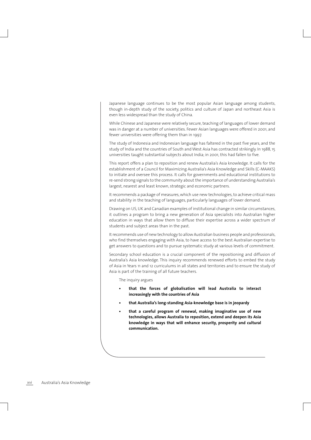Japanese language continues to be the most popular Asian language among students, though in-depth study of the society, politics and culture of Japan and northeast Asia is even less widespread than the study of China.

While Chinese and Japanese were relatively secure, teaching of languages of lower demand was in danger at a number of universities. Fewer Asian languages were offered in 2001, and fewer universities were offering them than in 1997.

The study of Indonesia and Indonesian language has faltered in the past five years, and the study of India and the countries of South and West Asia has contracted strikingly. In 1988, 15 universities taught substantial subjects about India; in 2001, this had fallen to five.

This report offers a plan to reposition and renew Australia's Asia knowledge. It calls for the establishment of a Council for Maximizing Australia's Asia Knowledge and Skills (C-MAAKS) to initiate and oversee this process. It calls for governments and educational institutions to re-send strong signals to the community about the importance of understanding Australia's largest, nearest and least known, strategic and economic partners.

It recommends a package of measures, which use new technologies, to achieve critical mass and stability in the teaching of languages, particularly languages of lower demand.

Drawing on US, UK and Canadian examples of institutional change in similar circumstances, it outlines a program to bring a new generation of Asia specialists into Australian higher education in ways that allow them to diffuse their expertise across a wider spectrum of students and subject areas than in the past.

It recommends use of new technology to allow Australian business people and professionals, who find themselves engaging with Asia, to have access to the best Australian expertise to get answers to questions and to pursue systematic study at various levels of commitment.

Secondary school education is a crucial component of the repositioning and diffusion of Australia's Asia knowledge. This inquiry recommends renewed efforts to embed the study of Asia in Years 11 and 12 curriculums in all states and territories and to ensure the study of Asia is part of the training of all future teachers.

The inquiry argues

- **that the forces of globalisation will lead Australia to interact increasingly with the countries of Asia**
- **that Australia's long-standing Asia-knowledge base is in jeopardy**
- **that a careful program of renewal, making imaginative use of new technologies, allows Australia to reposition, extend and deepen its Asia knowledge in ways that will enhance security, prosperity and cultural communication.**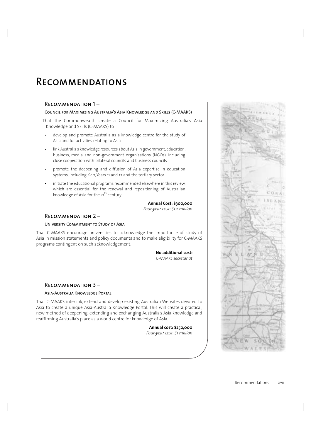# **RECOMMENDATIONS**

### Recommendation 1 –

#### Council for Maximizing Australia's Asia Knowledge and Skills (C-MAAKS)

That the Commonwealth create a Council for Maximizing Australia's Asia Knowledge and Skills (C-MAAKS) to

- develop and promote Australia as a knowledge centre for the study of Asia and for activities relating to Asia
- link Australia's knowledge resources about Asia in government, education, business, media and non-government organisations (NGOs), including close cooperation with bilateral councils and business councils
- promote the deepening and diffusion of Asia expertise in education systems, including K-10, Years 11 and 12 and the tertiary sector
- initiate the educational programs recommended elsewhere in this review, which are essential for the renewal and repositioning of Australian knowledge of Asia for the 21<sup>st</sup> century

**Annual Cost: \$300,000**

*Four-year cost: \$1.2 million*

## Recommendation 2 –

#### University Commitment to Study of Asia

That C-MAAKS encourage universities to acknowledge the importance of study of Asia in mission statements and policy documents and to make eligibility for C-MAAKS programs contingent on such acknowledgement.

 **No additional cost:**

*C-MAAKS secretariat*

## Recommendation 3 –

#### Asia-Australia Knowledge Portal

That C-MAAKS interlink, extend and develop existing Australian Websites devoted to Asia to create a unique Asia-Australia Knowledge Portal. This will create a practical, new method of deepening, extending and exchanging Australia's Asia knowledge and reaffirming Australia's place as a world centre for knowledge of Asia.

> **Annual cost: \$250,000** *Four-year cost: \$1 million*

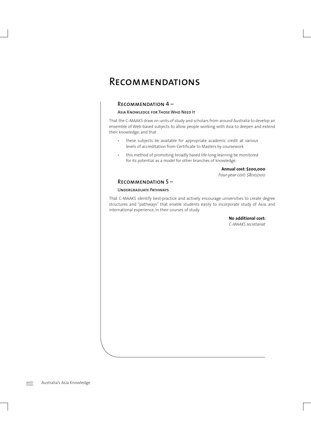# **RECOMMENDATIONS**

#### Recommendation 4 –

### Asia Knowledge for Those Who Need It

That the C-MAAKS draw on units of study and scholars from around Australia to develop an ensemble of Web-based subjects to allow people working with Asia to deepen and extend their knowledge; and that

- these subjects be available for appropriate academic credit at various levels of accreditation from Certificate to Masters by coursework
- this method of promoting broadly based life-long learning be monitored for its potential as a model for other branches of knowledge.

**Annual cost: \$200,000** *Four-year cost: \$800,000*

#### Recommendation 5 –

### Undergraduate Pathways

That C-MAAKS identify best-practice and actively encourage universities to create degree structures and "pathways" that enable students easily to incorporate study of Asia, and international experience, in their courses of study.

> **No additional cost:** *C-MAAKS secretariat*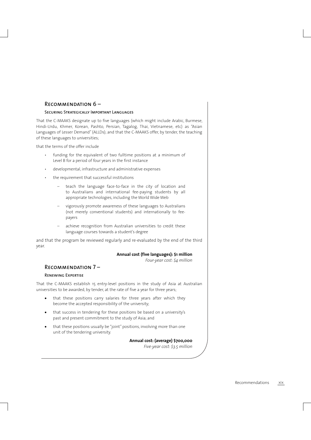# Recommendation 6 –

#### Securing Strategically Important Languages

That the C-MAAKS designate up to five languages (which might include Arabic, Burmese, Hindi-Urdu, Khmer, Korean, Pashto, Persian, Tagalog, Thai, Vietnamese, etc) as "Asian Languages of Lesser Demand" (ALLDs); and that the C-MAAKS offer, by tender, the teaching of these languages to universities;

that the terms of the offer include

- funding for the equivalent of two fulltime positions at a minimum of Level B for a period of four years in the first instance
- developmental, infrastructure and administrative expenses
- the requirement that successful institutions
	- teach the language face-to-face in the city of location and to Australians and international fee-paying students by all appropriate technologies, including the World Wide Web
	- vigorously promote awareness of these languages to Australians (not merely conventional students) and internationally to feepayers
	- achieve recognition from Australian universities to credit these language courses towards a student's degree

and that the program be reviewed regularly and re-evaluated by the end of the third year.

#### **Annual cost (five languages): \$1 million**

*Four-year cost: \$4 million*

#### Recommendation 7 –

#### Renewing Expertise

That the C-MAAKS establish 15 entry-level positions in the study of Asia at Australian universities to be awarded, by tender, at the rate of five a year for three years;

- that these positions carry salaries for three years after which they become the accepted responsibility of the university;
- that success in tendering for these positions be based on a university's past and present commitment to the study of Asia; and
- that these positions usually be "joint" positions, involving more than one unit of the tendering university.

**Annual cost: (average) \$700,000**

*Five-year cost: \$3.5 million*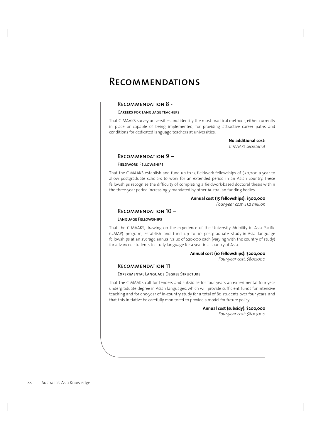# **RECOMMENDATIONS**

#### Recommendation 8 -

#### Careers for language teachers

That C-MAAKS survey universities and identify the most practical methods, either currently in place or capable of being implemented, for providing attractive career paths and conditions for dedicated language teachers at universities.

> **No additional cost:** *C-MAAKS secretariat*

#### Recommendation 9 –

#### Fieldwork Fellowships

That the C-MAAKS establish and fund up to 15 fieldwork fellowships of \$20,000 a year to allow postgraduate scholars to work for an extended period in an Asian country. These fellowships recognise the difficulty of completing a fieldwork-based doctoral thesis within the three-year period increasingly mandated by other Australian funding bodies.

## **Annual cost (15 fellowships): \$300,000**

*Four-year cost: \$1.2 million*

### Recommendation 10 –

#### Language Fellowships

That the C-MAAKS, drawing on the experience of the University Mobility in Asia Pacific (UMAP) program, establish and fund up to 10 postgraduate study-in-Asia language fellowships at an average annual value of \$20,000 each (varying with the country of study) for advanced students to study language for a year in a country of Asia.

#### **Annual cost (10 fellowships): \$200,000**

*Four-year cost: \$800,000*

### Recommendation 11 –

#### Experimental Language Degree Structure

That the C-MAAKS call for tenders and subsidise for four years an experimental four-year undergraduate degree in Asian languages, which will provide sufficient funds for intensive teaching and for one-year of in-country study for a total of 80 students over four years; and that this initiative be carefully monitored to provide a model for future policy.

> **Annual cost (subsidy): \$200,000** *Four-year cost: \$800,000*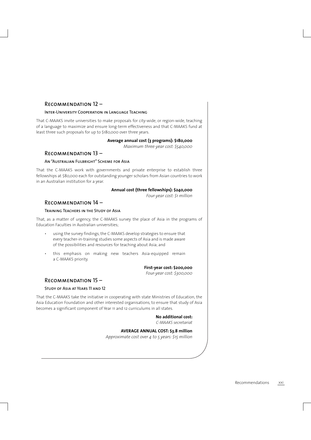## Recommendation 12 –

#### Inter-University Cooperation in Language Teaching

That C-MAAKS invite universities to make proposals for city-wide, or region-wide, teaching of a language to maximize and ensure long-term effectiveness and that C-MAAKS fund at least three such proposals for up to \$180,000 over three years.

#### **Average annual cost (3 programs): \$180,000**

*Maximum three-year cost: \$540,000*

### Recommendation 13 –

#### An "Australian Fulbright" Scheme for Asia

That the C-MAAKS work with governments and private enterprise to establish three fellowships at \$80,000 each for outstanding younger scholars from Asian countries to work in an Australian institution for a year.

## **Annual cost (three fellowships): \$240,000**

*Four-year cost: \$1 million*

## Recommendation 14 –

#### Training Teachers in the Study of Asia

That, as a matter of urgency, the C-MAAKS survey the place of Asia in the programs of Education Faculties in Australian universities;

- using the survey findings, the C-MAAKS develop strategies to ensure that every teacher-in-training studies some aspects of Asia and is made aware of the possibilities and resources for teaching about Asia; and
- this emphasis on making new teachers Asia-equipped remain a C-MAAKS priority.

#### **First-year cost: \$200,000**

*Four-year cost: \$300,000*

## Recommendation 15 –

### Study of Asia at Years 11 and 12

That the C-MAAKS take the initiative in cooperating with state Ministries of Education, the Asia Education Foundation and other interested organisations, to ensure that study of Asia becomes a significant component of Year 11 and 12 curriculums in all states.

> **No additional cost:** *C-MAAKS secretariat*

#### **AVERAGE ANNUAL COST: \$3.8 million**

*Approximate cost over 4 to 5 years: \$15 million*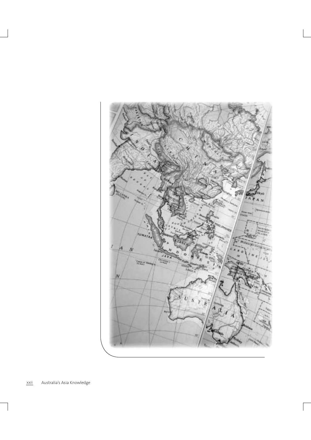

xxii Australia's Asia Knowledge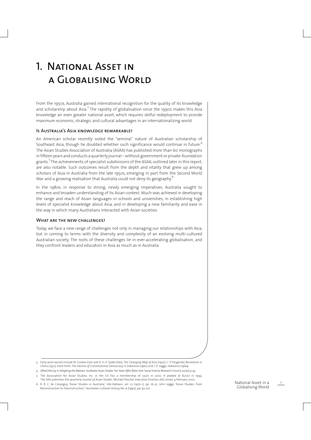# 1. National Asset in a Globalising World

From the 1950s, Australia gained international recognition for the quality of its knowledge and scholarship about Asia.<sup>3</sup> The rapidity of globalisation since the 1990s makes this Asia knowledge an even greater national asset, which requires skilful redeployment to provide maximum economic, strategic and cultural advantages in an internationalizing world.

#### Is Australia's Asia knowledge remarkable?

An American scholar recently noted the "seminal" nature of Australian scholarship of Southeast Asia, though he doubted whether such significance would continue in future.<sup>4</sup> The Asian Studies Association of Australia (ASAA) has published more than 60 monographs in fifteen years and conducts a quarterly journal – without government or private-foundation grants.<sup>5</sup> The achievements of specialist subdivisions of the ASAA, outlined later in this report, are also notable. Such outcomes result from the depth and vitality that grew up among scholars of Asia in Australia from the late 1950s, emerging in part from the Second World War and a growing realisation that Australia could not deny its geography.<sup>6</sup>

In the 1980s, in response to strong, newly emerging imperatives, Australia sought to enhance and broaden understanding of its Asian context. Much was achieved in developing the range and reach of Asian languages in schools and universities, in establishing high levels of specialist knowledge about Asia, and in developing a new familiarity and ease in the way in which many Australians interacted with Asian societies.

#### WHAT ARE THE NEW CHALLENGES?

Today, we face a new range of challenges not only in managing our relationships with Asia, but in coming to terms with the diversity and complexity of an evolving multi-cultured Australian society. The roots of these challenges lie in ever-accelerating globalisation, and they confront leaders and educators in Asia as much as in Australia.

3. Early work would include W. Gordon East and O. H. K. Spate (eds), *The Changing Map of Asia* (1950), C. P. Fitzgerald, *Revolution in China* (1952), Herb Feith, *The Decline of Constitutional Democracy in Indonesia* (1962) and J. D. Legge, *Indonesia* (1964).

- 4. Alfred McCoy in *Weighing the Balance: Southeast Asian Studies Ten Years After* (New York: Social Science Research Council, 2000), p. 43.
- 5 The Association for Asian Studies, Inc. in the US has a membership of 7,500 in 2002. It peaked at 8,000 in 1994. The AAS publishes the quarterly *Journal of Asian Studies.* Michael Paschal, Executive Director, AAS, email, 4 February 2002.
- 6 R. R. C. de Crespigny, "Asian Studies in Australia," *Abr-Nahrain,* vol. 10 (1970-1), pp. 16-25. John Legge, "Asian Studies: from Reconstruction to Deconstruction," *Australian Cultural History,* No. 9 (1990), pp. 93-102.

1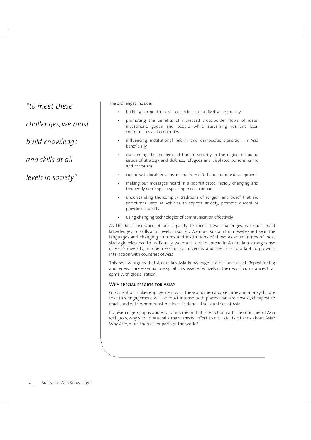*"to meet these* 

*challenges, we must* 

*build knowledge* 

*and skills at all* 

*levels in society"*

The challenges include:

- building harmonious civil society in a culturally diverse country
- promoting the benefits of increased cross-border flows of ideas, investment, goods and people while sustaining resilient local communities and economies
- influencing institutional reform and democratic transition in Asia beneficially
- overcoming the problems of human security in the region, including issues of strategy and defence, refugees and displaced persons, crime and terrorism
- coping with local tensions arising from efforts to promote development
- making our messages heard in a sophisticated, rapidly changing and frequently non-English-speaking media context
- understanding the complex traditions of religion and belief that are sometimes used as vehicles to express anxiety, promote discord or provoke instability
- using changing technologies of communication effectively.

As the best insurance of our capacity to meet these challenges, we must build knowledge and skills at all levels in society. We must sustain high-level expertise in the languages and changing cultures and institutions of those Asian countries of most strategic relevance to us. Equally, we must seek to spread in Australia a strong sense of Asia's diversity, an openness to that diversity and the skills to adapt to growing interaction with countries of Asia.

This review argues that Australia's Asia knowledge is a national asset. Repositioning and renewal are essential to exploit this asset effectively in the new circumstances that come with globalisation.

### WHY SPECIAL EFFORTS FOR ASIA?

Globalisation makes engagement with the world inescapable. Time and money dictate that this engagement will be most intense with places that are closest, cheapest to reach, and with whom most business is done – the countries of Asia.

But even if geography and economics mean that interaction with the countries of Asia will grow, why should Australia make *special* effort to educate its citizens about Asia? Why *Asia*, more than other parts of the world?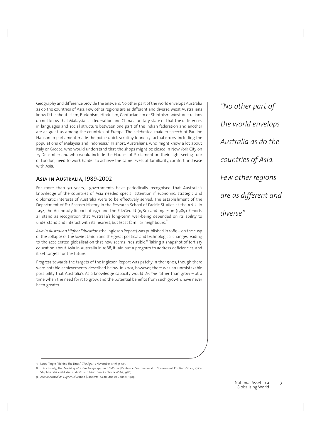Geography and difference provide the answers. No other part of the world envelops Australia as do the countries of Asia. Few other regions are as different and diverse. Most Australians know little about Islam, Buddhism, Hinduism, Confucianism or Shintoism. Most Australians do not know that Malaysia is a federation and China a unitary state or that the differences in languages and social structure between one part of the Indian federation and another are as great as among the countries of Europe. The celebrated maiden speech of Pauline Hanson in parliament made the point: quick scrutiny found 13 factual errors, including the populations of Malaysia and Indonesia.<sup>7</sup> In short, Australians, who might know a lot about Italy or Greece, who would understand that the shops might be closed in New York City on 25 December and who would include the Houses of Parliament on their sight-seeing tour of London, need to work harder to achieve the same levels of familiarity, comfort and ease with Asia.

## Asia in Australia, 1989-2002

For more than 50 years, governments have periodically recognised that Australia's knowledge of the countries of Asia needed special attention if economic, strategic and diplomatic interests of Australia were to be effectively served. The establishment of the Department of Far Eastern History in the Research School of Pacific Studies at the ANU in 1952, the Auchmuty Report of 1971 and the FitzGerald (1980) and Ingleson (1989) Reports all stand as recognition that Australia's long-term well-being depended on its ability to understand and interact with its nearest, but least familiar neighbours.<sup>8</sup>

*Asia in Australian Higher Education* (the Ingleson Report) was published in 1989 – on the cusp of the collapse of the Soviet Union and the great political and technological changes leading to the accelerated globalisation that now seems irresistible.<sup>9</sup> Taking a snapshot of tertiary education about Asia in Australia in 1988, it laid out a program to address deficiencies, and it set targets for the future.

Progress towards the targets of the Ingleson Report was patchy in the 1990s, though there were notable achievements, described below. In 2001, however, there was an unmistakable possibility that Australia's Asia-knowledge capacity would *decline* rather than grow – at a time when the need for it to grow, and the potential benefits from such growth, have never been greater.

*"No other part of the world envelops Australia as do the countries of Asia. Few other regions are as different and diverse"*

<sup>7.</sup> Laura Tingle, "Behind the Lines," *The Age,* 15 November 1996*,* p. A15.

<sup>8.</sup> J. Auchmuty, *The Teaching of Asian Languages and Cultures* (Canberra: Commonwealth Government Printing Office, 1970); Stephen FitzGerald, *Asia in Australian Education* (Canberra: ASAA, 1980).

<sup>9.</sup> *Asia in Australian Higher Education* (Canberra: Asian Studies Council, 1989).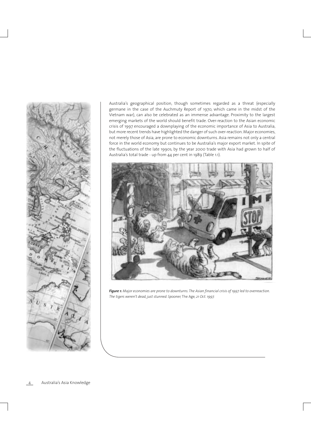

Australia's geographical position, though sometimes regarded as a threat (especially germane in the case of the Auchmuty Report of 1970, which came in the midst of the Vietnam war), can also be celebrated as an immense advantage. Proximity to the largest emerging markets of the world should benefit trade. Over-reaction to the Asian economic crisis of 1997 encouraged a downplaying of the economic importance of Asia to Australia, but more recent trends have highlighted the danger of such over-reaction. Major economies, not merely those of Asia, are prone to economic downturns. Asia remains not only a central force in the world economy but continues to be Australia's major export market. In spite of the fluctuations of the late 1990s, by the year 2000 trade with Asia had grown to half of Australia's total trade - up from 44 per cent in 1989 (Table 1.1).



*Figure 1: Major economies are prone to downturns. The Asian financial crisis of 1997 led to overreaction. The tigers weren't dead, just stunned. Spooner,* The Age*, 21 Oct. 1997.*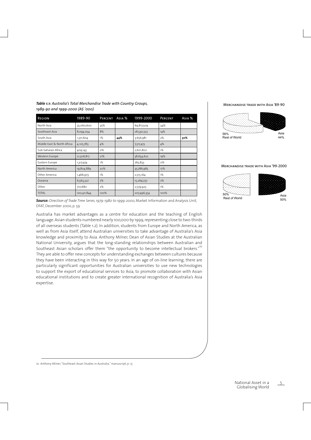| Table 1.1: Australia's Total Merchandise Trade with Country Groups, |
|---------------------------------------------------------------------|
| 1989-90 and 1999-2000 (A\$ '000)                                    |

| <b>REGION</b>              | 1989-90     | PERCENT | Asia % | 1999-2000   | PERCENT | Asia % |
|----------------------------|-------------|---------|--------|-------------|---------|--------|
| North Asia                 | 35,060,600  | 35%     |        | 69,817,509  | 34%     |        |
| Southeast Asia             | 8,094,054   | 8%      |        | 28,530,323  | 14%     |        |
| South Asia                 | 1,371,604   | 1%      | 44%    | 3,656,981   | 2%      | 50%    |
| Middle East & North Africa | 4,105,783   | 4%      |        | 7,317,473   | 4%      |        |
| Sub-Saharan Africa         | 409,143     | O%      |        | 2,601,802   | 1%      |        |
| Western Europe             | 21,506,817  | 21%     |        | 38,654,622  | 19%     |        |
| Eastern Europe             | 1,317,974   | 1%      |        | 765,833     | O%      |        |
| North America              | 19,804,889  | 20%     |        | 35,786,985  | 17%     |        |
| Other America              | 1,466,973   | 1%      |        | 2,515,164   | 1%      |        |
| Oceania                    | 6,563,327   | 7%      |        | 15,269,737  | 7%      |        |
| Other                      | 710,680     | 2%      |        | 2,579,925   | 1%      |        |
| <b>TOTAL</b>               | 100,411,844 | 100%    |        | 207,496,354 | 100%    |        |

Merchandise trade with Asia '89-90



#### Merchandise trade with Asia '99-2000





*Source: Direction of Trade Time Series, 1979-1980 to 1999-2000,* Market Information and Analysis Unit*,*  DFAT, December 2000, p. 59

Australia has market advantages as a centre for education and the teaching of English language. Asian students numbered nearly 100,000 by 1999, representing close to two-thirds of all overseas students (Table 1.2). In addition, students from Europe and North America, as well as from Asia itself, attend Australian universities to take advantage of Australia's Asia knowledge and proximity to Asia. Anthony Milner, Dean of Asian Studies at the Australian National University, argues that the long-standing relationships between Australian and Southeast Asian scholars offer them "the opportunity to become intellectual brokers."<sup>10</sup> They are able to offer new concepts for understanding exchanges between cultures because they have been interacting in this way for 50 years. In an age of on-line learning, there are particularly significant opportunities for Australian universities to use new technologies to support the export of educational services to Asia, to promote collaboration with Asian educational institutions and to create greater international recognition of Australia's Asia expertise.

10. Anthony Milner, "Southeast Asian Studies in Australia," manuscript, p. 13.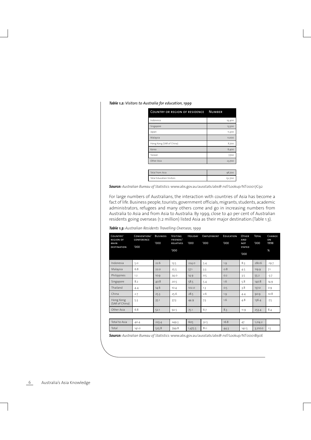#### *Table 1.2: Visitors to Australia for education, 1999*

| <b>COUNTRY OR REGION OF RESIDENCE</b> | <b>NUMBER</b> |
|---------------------------------------|---------------|
| Indonesia                             | 14,400        |
| Singapore                             | 13,500        |
| Japan                                 | 11,300        |
| Malaysia                              | 11,000        |
| Hong Kong (SAR of China)              | 8,700         |
| Korea                                 | 8,400         |
| Taiwan                                | 7,700         |
| Other Asia                            | 23,700        |
|                                       |               |
| <b>Total from Asia</b>                | 98,700        |
| <b>Total Education Visitors</b>       | 152,700       |

*Source: Australian Bureau of Statistics:* www.abs.gov.au/ausstats/abs@.nsf/Lookup/NT00017C92

For large numbers of Australians, the interaction with countries of Asia has become a fact of life. Business people, tourists, government officials, migrants, students, academic administrators, refugees and many others come and go in increasing numbers from Australia to Asia and from Asia to Australia. By 1999, close to 40 per cent of Australian residents going overseas (1.2 million) listed Asia as their major destination.(Table 1.3).

| COUNTRY/<br><b>REGION OF</b><br>MAIN<br><b>DESTINATION</b> | CONVENTION/<br>CONFERENCE<br>'000 | <b>BUSINESS</b><br>'000 | <b>VISITING</b><br>FRIENDS/<br><b>RELATIVES</b><br><b>'000</b> | <b>HOLIDAY</b><br>'000 | <b>EMPLOYMENT</b><br>'000 | <b>EDUCATION</b><br>'000 | OTHER<br><b>AND</b><br><b>NOT</b><br><b>STATED</b><br><b>'000</b> | <b>TOTAL</b><br>'000 | <b>CHANGE</b><br>ON<br>1998<br>% |
|------------------------------------------------------------|-----------------------------------|-------------------------|----------------------------------------------------------------|------------------------|---------------------------|--------------------------|-------------------------------------------------------------------|----------------------|----------------------------------|
| Indonesia                                                  | 5.0                               | 22.6                    | 13.5                                                           | 224.0                  | 5.4                       | 1.9                      | 8.3                                                               | 280.6                | $-19.7$                          |
| Malaysia                                                   | 6.8                               | 22.0                    | 25.5                                                           | 57.1                   | 3.3                       | O.8                      | 4.5                                                               | 119.9                | 7.1                              |
| Philippines                                                | 1.2                               | 10.9                    | 24.0                                                           | 14.9                   | 0.5                       | O.2                      | 3.5                                                               | 55.2                 | $-3.7$                           |
| Singapore                                                  | 8.2                               | 40.8                    | 20.5                                                           | 58.5                   | 5.4                       | 1.6                      | 5.8                                                               | 140.8                | 14.9                             |
| Thailand                                                   | 4.4                               | 14.6                    | 10.4                                                           | 102.0                  | 1.3                       | 0.5                      | 3.8                                                               | 137.0                | 0.9                              |
| China                                                      | 2.7                               | 25.3                    | 25.6                                                           | 28.5                   | 2.6                       | 1.9                      | 4.4                                                               | 90.9                 | 10.8                             |
| Hong Kong<br>(SAR of China)                                | 5.3                               | 35.1                    | 37.3                                                           | 44.9                   | 73                        | 1.6                      | 4.8                                                               | 136.4                | $-7.5$                           |
| Other Asia                                                 | 6.8                               | 52.1                    | 92.5                                                           | 75.1                   | 6.7                       | 8.3                      | 11.9                                                              | 253.4                | 8.4                              |

*Table 1.3: Australian Residents Travelling Overseas, 1999*

Total 141.0 525.8 799.8 1,475.5 81.1 44.3 142.5 3,210.0 1.5 *Source: Australian Bureau of Statistics:* www.abs.gov.au/ausstats/abs@.nsf/Lookup/NT0001890E

Total to Asia 40.4 223.4 249.3 605 32.5 16.8 47 1,214.2

6 Australia's Asia Knowledge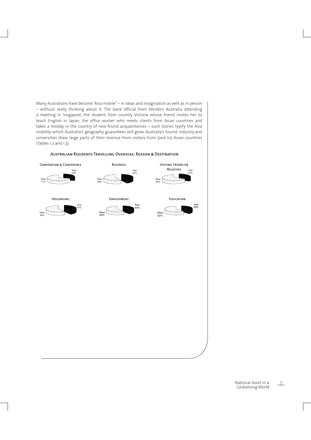Many Australians have become "Asia mobile" – in ideas and imagination as well as in person – without really thinking about it. The bank official from Western Australia attending a meeting in Singapore, the student from country Victoria whose friend invites her to teach English in Japan, the office worker who meets clients from Asian countries and takes a holiday in the country of new-found acquaintances – such stories typify the Asia mobility which Australia's geography guarantees will grow. Australia's tourist industry and universities draw large parts of their revenue from visitors from (and to) Asian countries (Tables 1.2 and 1.3).



National Asset in a Globalising World  $\frac{7}{2}$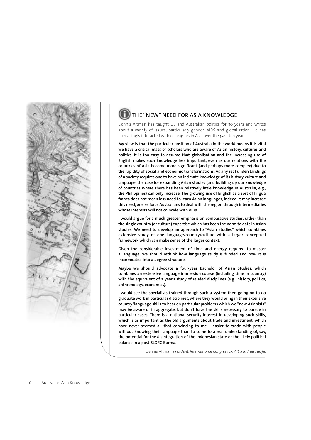

# THE "NEW" NEED FOR ASIA KNOWLEDGE

Dennis Altman has taught US and Australian politics for 30 years and writes about a variety of issues, particularly gender, AIDS and globalisation. He has increasingly interacted with colleagues in Asia over the past ten years.

**My view is that the particular position of Australia in the world means it is vital we have a critical mass of scholars who are aware of Asian history, cultures and politics. It is too easy to assume that globalisation and the increasing use of English makes such knowledge less important, even as our relations with the countries of Asia become more significant (and perhaps more complex) due to the rapidity of social and economic transformations. As any real understandings of a society requires one to have an intimate knowledge of its history, culture and language, the case for expanding Asian studies (and building up our knowledge of countries where there has been relatively little knowledge in Australia, e.g., the Philippines) can only increase. The growing use of English as a sort of lingua franca does not mean less need to learn Asian languages; indeed, it may increase this need, or else force Australians to deal with the region through intermediaries whose interests will not coincide with ours.**

**I would argue for a much greater emphasis on comparative studies, rather than the single country (or culture) expertise which has been the norm to date in Asian studies. We need to develop an approach to "Asian studies" which combines extensive study of one language/country/culture with a larger conceptual framework which can make sense of the larger context.** 

**Given the considerable investment of time and energy required to master a language, we should rethink how language study is funded and how it is incorporated into a degree structure.** 

**Maybe we should advocate a four-year Bachelor of Asian Studies, which combines an extensive language immersion course (including time in country) with the equivalent of a year's study of related disciplines (e.g., history, politics, anthropology, economics).** 

**I would see the specialists trained through such a system then going on to do graduate work in particular disciplines, where they would bring in their extensive country/language skills to bear on particular problems which we "new Asianists" may be aware of in aggregate, but don't have the skills necessary to pursue in particular cases. There is a national security interest in developing such skills, which is as important as the old arguments about trade and investment, which have never seemed all that convincing to me – easier to trade with people without knowing their language than to come to a real understanding of, say, the potential for the disintegration of the Indonesian state or the likely political balance in a post-SLORC Burma.**

Dennis Altman*, President, International Congress on AIDS in Asia Pacific*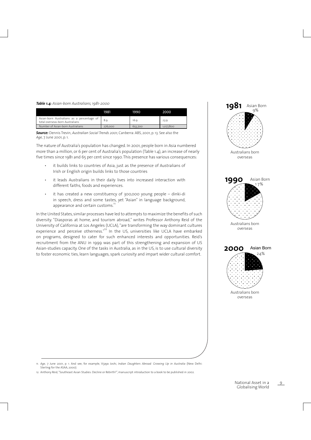*Table 1.4: Asian-born Australians, 1981-2000*

|                                                                              | 1981    | 1990    | 2000      |
|------------------------------------------------------------------------------|---------|---------|-----------|
| Asian-born Australians as a percentage of<br>total overseas-born Australians | 8.9     | 16.9    | 23.9      |
| Number of Asian-born Australians                                             | 276,000 | 655,700 | 1,077,800 |

*Source:* Dennis Trevin, *Australian Social Trends 2001,* Canberra: ABS, 2001, p. 13. See also the *Age,* 7 June 2001, p. 1.

The nature of Australia's population has changed. In 2001, people born in Asia numbered more than a million, or 6 per cent of Australia's population (Table 1.4), an increase of nearly five times since 1981 and 65 per cent since 1990. This presence has various consequences:

- it builds links to countries of Asia, just as the presence of Australians of Irish or English origin builds links to those countries
- it leads Australians in their daily lives into increased interaction with different faiths, foods and experiences.
- it has created a new constituency of 300,000 young people dinki-di in speech, dress and some tastes, yet "Asian" in language background, appearance and certain customs.<sup>1</sup>

In the United States, similar processes have led to attempts to maximize the benefits of such diversity. "Diasporas at home, and tourism abroad," writes Professor Anthony Reid of the University of California at Los Angeles (UCLA), "are transforming the way dominant cultures experience and perceive otherness."<sup>12</sup> In the US, universities like UCLA have embarked on programs, designed to cater for such enhanced interests and opportunities. Reid's recruitment from the ANU in 1999 was part of this strengthening and expansion of US Asian-studies capacity. One of the tasks in Australia, as in the US, is to use cultural diversity to foster economic ties, learn languages, spark curiosity and impart wider cultural comfort.



11. *Age,* 7 June 2001, p. 1. And see, for example, Vijaya Joshi, *Indian Daughters Abroad: Growing Up in Australia* (New Delhi: Sterling for the ASAA, 2000).

12. Anthony Reid, "Southeast Asian Studies: Decline or Rebirth?", manuscript introduction to a book to be published in 2002.

National Asset in a Globalising World 9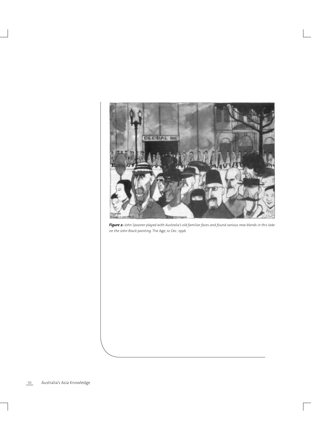

*Figure 2: John Spooner played with Australia's old familiar faces and found various new blends in this take on the John Brack painting.* The Age*, 10 Dec. 1996.*

10 Australia's Asia Knowledge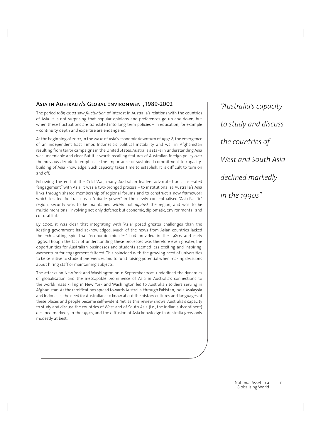## Asia in Australia's Global Environment, 1989-2002

The period 1989-2002 saw *fluctuation* of interest in Australia's relations with the countries of Asia. It is not surprising that popular opinions and preferences go up and down; but when these fluctuations are translated into long-term policies – in education, for example – continuity, depth and expertise are endangered.

At the beginning of 2002, in the wake of Asia's economic downturn of 1997-8, the emergence of an independent East Timor, Indonesia's political instability and war in Afghanistan resulting from terror campaigns in the United States, Australia's stake in understanding Asia was undeniable and clear. But it is worth recalling features of Australian foreign policy over the previous decade to emphasise the importance of sustained commitment to capacitybuilding of Asia knowledge. Such capacity takes time to establish. It is difficult to turn on and off.

Following the end of the Cold War, many Australian leaders advocated an accelerated "engagement" with Asia. It was a two-pronged process – to institutionalise Australia's Asia links through shared membership of regional forums and to construct a new framework which located Australia as a "middle power" in the newly conceptualised "Asia-Pacific" region. Security was to be maintained *within* not *against* the region, and was to be multidimensional, involving not only defence but economic, diplomatic, environmental, and cultural links.

By 2000, it was clear that integrating with "Asia" posed greater challenges than the Keating government had acknowledged. Much of the news from Asian countries lacked the exhilarating spin that "economic miracles" had provided in the 1980s and early 1990s. Though the task of understanding these processes was therefore even greater, the opportunities for Australian businesses and students seemed less exciting and inspiring. Momentum for engagement faltered. This coincided with the growing need of universities to be sensitive to student preferences and to fund-raising potential when making decisions about hiring staff or maintaining subjects.

The attacks on New York and Washington on 11 September 2001 underlined the dynamics of globalisation and the inescapable prominence of Asia in Australia's connections to the world: mass killing in New York and Washington led to Australian soldiers serving in Afghanistan. As the ramifications spread towards Australia, through Pakistan, India, Malaysia and Indonesia, the need for Australians to know about the history, cultures and languages of these places and people became self-evident. Yet, as this review shows, Australia's capacity to study and discuss the countries of West and of South Asia (i.e., the Indian subcontinent) declined markedly in the 1990s, and the diffusion of Asia knowledge in Australia grew only modestly at best.

*"Australia's capacity to study and discuss the countries of West and South Asia declined markedly in the 1990s"*

> National Asset in a Globalising World 11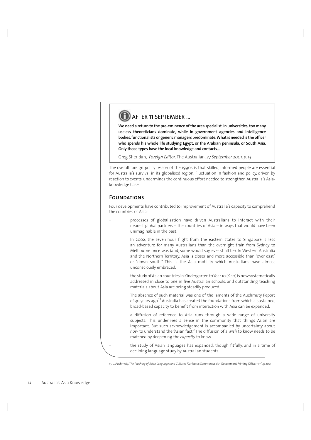# AFTER 11 SEPTEMBER ...

**We need a return to the pre-eminence of the area specialist. In universities, too many useless theoreticians dominate, while in government agencies and intelligence bodies, functionalists or generic managers predominate. What is needed is the officer who spends his whole life studying Egypt, or the Arabian peninsula, or South Asia. Only those types have the local knowledge and contacts...**

Greg Sheridan, *Foreign Editor,* The Australian, *27 September 2001, p. 13*

The overall foreign-policy lesson of the 1990s is that skilled, informed people are essential for Australia's survival in its globalised region. Fluctuation in fashion and policy, driven by reaction to events, undermines the continuous effort needed to strengthen Australia's Asiaknowledge base.

### **FOUNDATIONS**

Four developments have contributed to improvement of Australia's capacity to comprehend the countries of Asia:

• processes of globalisation have driven Australians to interact with their nearest global partners – the countries of Asia – in ways that would have been unimaginable in the past.

 In 2002, the seven-hour flight from the eastern states to Singapore is less an adventure for many Australians than the overnight train from Sydney to Melbourne once was (and, some would say, ever shall be). In Western Australia and the Northern Territory, Asia is closer and more accessible than "over east" or "down south." This is the Asia mobility which Australians have almost unconsciously embraced.

• the study of Asian countries in Kindergarten to Year 10 (K-10) is now systematically addressed in close to one in five Australian schools, and outstanding teaching materials about Asia are being steadily produced.

 The absence of such material was one of the laments of the Auchmuty Report of 30 years ago.13 Australia has created the foundations from which a sustained, broad-based capacity to benefit from interaction with Asia can be expanded.

- a diffusion of reference to Asia runs through a wide range of university subjects. This underlines a sense in the community that things Asian are important. But such acknowledgement is accompanied by uncertainty about *how* to understand the "Asian fact." The diffusion of a *wish* to know needs to be matched by deepening the *capacity* to know.
- the study of Asian languages has expanded, though fitfully, and in a time of declining language study by Australian students.

13. J. Auchmuty, *The Teaching of Asian Languages and Cultures* (Canberra: Commonwealth Government Printing Office, 1971), p. 100.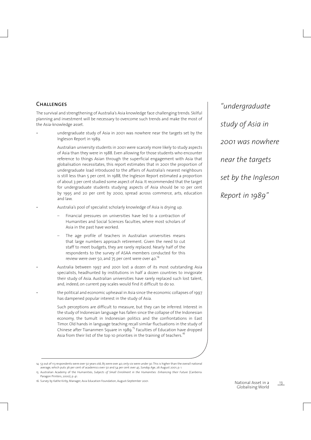## **CHALLENGES**

The survival and strengthening of Australia's Asia knowledge face challenging trends. Skilful planning and investment will be necessary to overcome such trends and make the most of the Asia-knowledge asset.

• undergraduate study of Asia in 2001 was nowhere near the targets set by the Ingleson Report in 1989.

> Australian university students in 2001 were scarcely more likely to study aspects of Asia than they were in 1988. Even allowing for those students who encounter reference to things Asian through the superficial engagement with Asia that globalisation necessitates, this report estimates that in 2001 the proportion of undergraduate load introduced to the affairs of Australia's nearest neighbours is still less than 5 per cent. In 1988, the Ingleson Report estimated a proportion of about 3 per cent studied some aspect of Asia. It recommended that the target for undergraduate students studying aspects of Asia should be 10 per cent by 1995 and 20 per cent by 2000, spread across commerce, arts, education and law.

- Australia's pool of specialist scholarly knowledge of Asia is drying up.
	- Financial pressures on universities have led to a contraction of Humanities and Social Sciences faculties, where most scholars of Asia in the past have worked.
	- The age profile of teachers in Australian universities means that large numbers approach retirement. Given the need to cut staff to meet budgets, they are rarely replaced. Nearly half of the respondents to the survey of ASAA members conducted for this review were over 50, and 75 per cent were over 40. $^{14}$
- Australia between 1997 and 2001 lost a dozen of its most outstanding Asia specialists, headhunted by institutions in half a dozen countries to invigorate their study of Asia. Australian universities have rarely replaced such lost talent, and, indeed, on current pay scales would find it difficult to do so.
- the political and economic upheaval in Asia since the economic collapses of 1997 has dampened popular interest in the study of Asia.

 Such perceptions are difficult to measure, but they can be inferred. Interest in the study of Indonesian language has fallen since the collapse of the Indonesian economy, the tumult in Indonesian politics and the confrontations in East Timor. Old hands in language teaching recall similar fluctuations in the study of Chinese after Tiananmen Square in 1989.<sup>15</sup> Faculties of Education have dropped Asia from their list of the top 10 priorities in the training of teachers.<sup>16</sup>

*"undergraduate study of Asia in 2001 was nowhere near the targets set by the Ingleson Report in 1989"*

<sup>14. 53</sup> out of 113 respondents were over 50 years old; 85 were over 40; only six were under 30. This is higher than the overall national average, which puts 36 per cent of academics over 50 and 54 per cent over 45. *Sunday Age*, 26 August 2001, p. 1.

<sup>15.</sup> Australian Academy of the Humanities, *Subjects of Small Enrolment in the Humanities: Enhancing their Future* (Canberra: Paragon Printers, 2000), p. 41.

<sup>16.</sup> Survey by Kathe Kirby, Manager, Asia Education Foundation, August-September 2001.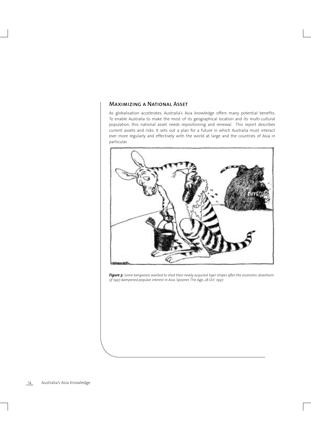### Maximizing a National Asset

As globalisation accelerates, Australia's Asia knowledge offers many potential benefits. To enable Australia to make the most of its geographical location and its multi-cultural population, this national asset needs repositioning and renewal. This report describes current assets and risks. It sets out a plan for a future in which Australia must interact ever more regularly and effectively with the world at large and the countries of Asia in particular.



*Figure 3: Some kangaroos wanted to shed their newly acquired tiger stripes after the economic downturn of 1997 dampened popular interest in Asia. Spooner,* The Age*, 28 Oct. 1997.*

14 Australia's Asia Knowledge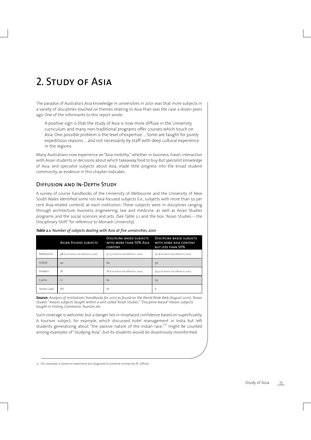# 2. Study of Asia

The paradox of Australia's Asia knowledge in universities in 2001 was that more subjects in a variety of disciplines *touched on* themes relating to Asia than was the case a dozen years ago. One of the informants to this report wrote:

 A positive sign is that the study of Asia is now more diffuse in the University curriculum and many non-traditional programs offer courses which touch on Asia. One possible problem is the level of expertise ... Some are taught for purely expeditious reasons ... and not necessarily by staff with deep cultural experience in the regions.

Many Australians now experience an "Asia mobility," whether in business, travel, interaction with Asian students or decisions about which takeaway food to buy. But *specialist knowledge*  of Asia, and specialist subjects about Asia, made little progress into the broad student community, as evidence in this chapter indicates.

### Diffusion and In-Depth Study

A survey of course handbooks of the University of Melbourne and the University of New South Wales identified some 100 Asia-focused subjects (i.e., subjects with more than 50 per cent Asia-related content) at each institution. These subjects were in disciplines ranging through architecture, business, engineering, law and medicine, as well as Asian Studies programs and the social sciences and arts. (See Table 2.1 and the box, "Asian Studies – the Disciplinary Shift" for reference to Monash University).

|  | Table 2.1: Number of subjects dealing with Asia at five universities, 2001 |  |  |  |  |  |
|--|----------------------------------------------------------------------------|--|--|--|--|--|
|--|----------------------------------------------------------------------------|--|--|--|--|--|

|                 | <b>ASIAN STUDIES SUBJECTS</b>        | <b>DISCIPLINE-BASED SUBJECTS</b><br>WITH MORE THAN 50% ASIA<br><b>CONTENT</b> | <b>DISCIPLINE-BASED SUBJECTS</b><br>WITH SOME ASIA CONTENT<br><b>BUT LESS THAN 50%</b> |
|-----------------|--------------------------------------|-------------------------------------------------------------------------------|----------------------------------------------------------------------------------------|
| Melbourne       | 48 (12 of which not offered in 2001) | 52 (3 of which not offered in 2001)                                           | 25 (8 of which not offered in 2001)                                                    |
| <b>UNSW</b>     | 40                                   | 64                                                                            | 39                                                                                     |
| <b>Flinders</b> | 18                                   | 18 (6 of which not offered in 2001)                                           | 24 (2 of which not offered in 2001)                                                    |
| Curtin          | 12                                   | 62                                                                            | 29                                                                                     |
| James Cook      | Nil                                  | 18                                                                            | 6                                                                                      |

*Source: Analysis of institutions' handbooks for 2001 as found on the World Wide Web (August 2001). "Asian Studies" means subjects taught within a unit called "Asian Studies." "Discipline-based" means subjects taught in History, Commerce, Tourism, etc.*

Such coverage is welcome; but a danger lies in misplaced confidence based on superficiality. A tourism subject, for example, which discussed hotel management in India but left students generalizing about "the passive nature of the Indian race,"<sup>17</sup> might be counted among examples of "studying Asia"; but its students would be disastrously misinformed.

<sup>17.</sup> This example is based on experience but disguised to preserve anonymity (R. Jeffrey).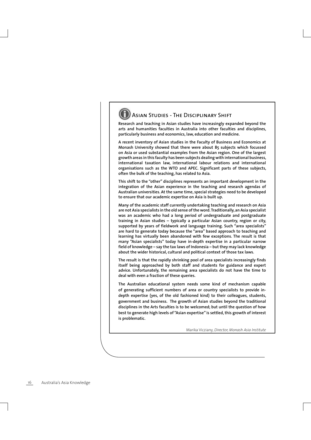## Asian Studies - The Disciplinary Shift

**Research and teaching in Asian studies have increasingly expanded beyond the arts and humanities faculties in Australia into other faculties and disciplines, particularly business and economics, law, education and medicine.** 

**A recent inventory of Asian studies in the Faculty of Business and Economics at Monash University showed that there were about 85 subjects which focussed on Asia or used substantial examples from the Asian region. One of the largest growth areas in this faculty has been subjects dealing with international business, international taxation law, international labour relations and international organisations such as the WTO and APEC. Significant parts of these subjects, often the bulk of the teaching, has related to Asia.** 

**This shift to the "other" disciplines represents an important development in the integration of the Asian experience in the teaching and research agendas of Australian universities. At the same time, special strategies need to be developed to ensure that our academic expertise on Asia is built up.** 

**Many of the academic staff currently undertaking teaching and research on Asia are not Asia specialists in the old sense of the word. Traditionally, an Asia specialist was an academic who had a long period of undergraduate and postgraduate training in Asian studies – typically a particular Asian country, region or city, supported by years of fieldwork and language training. Such "area specialists" are hard to generate today because the "area" based approach to teaching and learning has virtually been abandoned with few exceptions. The result is that many "Asian specialists" today have in-depth expertise in a particular narrow field of knowledge – say the tax laws of Indonesia – but they may lack knowledge about the wider historical, cultural and political context of those tax laws.** 

**The result is that the rapidly shrinking pool of area specialists increasingly finds itself being approached by both staff and students for guidance and expert advice. Unfortunately, the remaining area specialists do not have the time to deal with even a fraction of these queries.** 

**The Australian educational system needs some kind of mechanism capable of generating sufficient numbers of area or country specialists to provide indepth expertise (yes, of the old fashioned kind) to their colleagues, students, government and business. The growth of Asian studies beyond the traditional disciplines in the Arts faculties is to be welcomed; but until the question of how best to generate high levels of "Asian expertise" is settled, this growth of interest is problematic.**

Marika Vicziany*, Director, Monash Asia Institute*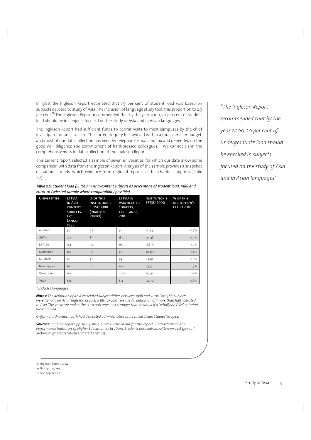In 1988, the Ingleson Report estimated that 1.9 per cent of student load was based on subjects devoted to study of Asia. The inclusion of language study took this proportion to 2.9 per cent.<sup>18</sup> The Ingleson Report recommended that by the year 2000, 20 per cent of student load should be in subjects focused on the study of Asia and in Asian languages.<sup>19</sup>

The Ingleson Report had sufficient funds to permit visits to most campuses by the chief investigator or an associate. The current inquiry has worked within a much smaller budget, and most of our data collection has been by telephone, email and fax and depended on the good will, diligence and commitment of hard-pressed colleagues.<sup>20</sup> We cannot claim the comprehensiveness in data collection of the Ingleson Report.

This current report selected a sample of seven universities, for which our data allow some comparison with data from the Ingleson Report. Analysis of the sample provides a snapshot of national trends, which evidence from regional reports in this chapter supports (Table 2.2).

*Table 2.2: Student load (EFTSU) in Asia-content subjects as percentage of student load, 1988 and 2000-01 (selected sample where comparability possible)*

| UNIVERSITIES | <b>EFTSU</b><br>IN ASIA-<br><b>CONTENT</b><br>SUBJECTS,<br>EXCL.<br>LANGS.<br>1988 | % OF THIS<br><b>INSTITUTION'S</b><br><b>EFTSU 1988</b><br>(INGLESON<br>REPORT) | <b>EFTSU IN</b><br>ASIA-RELATED<br>SUBJECTS,<br>EXCL. LANGS,<br>2001 | <b>INSTITUTION'S</b><br>EFTSU 2000 | % OF THIS<br><b>INSTITUTION'S</b><br><b>EFTSU 2001</b> |
|--------------|------------------------------------------------------------------------------------|--------------------------------------------------------------------------------|----------------------------------------------------------------------|------------------------------------|--------------------------------------------------------|
| Adelaide     | 55                                                                                 | 2.7                                                                            | 98                                                                   | 11,293                             | 0.9%                                                   |
| Griffith     | 122                                                                                | $8*$                                                                           | 185                                                                  | 20,148                             | 0.9%                                                   |
| La Trobe     | 144                                                                                | 3.4                                                                            | 160                                                                  | 16,855                             | 1.0%                                                   |
| Melbourne    | 125                                                                                | 1.5                                                                            | 90                                                                   | 28,956                             | 0.3%                                                   |
| Murdoch      | 66                                                                                 | $3.6*$                                                                         | 39                                                                   | 8,950                              | 0.4%                                                   |
| New England  | 62                                                                                 | 1.7                                                                            | 142                                                                  | 8,539                              | 1.7%                                                   |
| Oueensland   | 110                                                                                | 1.1                                                                            | C.100                                                                | 25,371                             | 0.3%                                                   |
| Totals       | 674                                                                                |                                                                                | 814                                                                  | 122,112                            | 0.6%                                                   |

*\* Includes languages*

*Notes: The definition of an Asia-related subject differs between 1988 and 2001. For 1988, subjects were "wholly on Asia." Ingleson Report, p. 88. For 2001, we used a definition of "more than half" devoted to Asia. This measure makes the 2001 outcome look stronger than it would if a "wholly on Asia" criterion were applied.*

*Griffith and Murdoch both had dedicated administrative units called "Asian Studies" in 1988.*

*Sources: Ingleson Report, pp. 78-84, 86-9. Surveys carried out for this report. "Characteristics and Performance Indicators of Higher Education Institutions. Students Enrolled: 2000"* (www.dest.gov.au./ archive/highered/statistics/characteristics).

18. Ingleson Report, p. 64.

*"The Ingleson Report recommended that by the year 2000, 20 per cent of undergraduate load should be enrolled in subjects focused on the study of Asia and in Asian languages"*

<sup>19.</sup> Ibid., pp. 25, 259.

<sup>20.</sup> See Appendix A.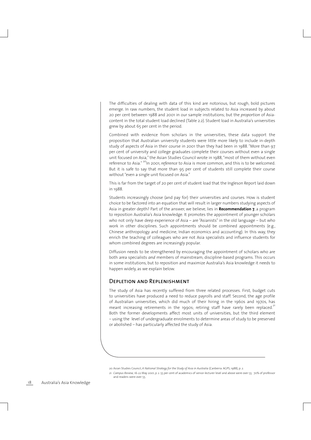The difficulties of dealing with data of this kind are notorious, but rough, bold pictures emerge. In raw numbers, the student load in subjects related to Asia increased by about 20 per cent between 1988 and 2001 in our sample institutions; but the *proportion* of Asiacontent in the total student load declined (Table 2.2). Student load in Australia's universities grew by about 65 per cent in the period.

Combined with evidence from scholars in the universities, these data support the proposition that Australian university students were little more likely to include in-depth study of aspects of Asia in their course in 2001 than they had been in 1988. "More than 97 per cent of university and college graduates complete their courses without even a single unit focused on Asia," the Asian Studies Council wrote in 1988, "most of them without even reference to Asia." <sup>20</sup>In 2001, *reference* to Asia is more common, and this is to be welcomed. But it is safe to say that more than 95 per cent of students still complete their course without "even a single unit focused on Asia."

This is far from the target of 20 per cent of student load that the Ingleson Report laid down in 1988.

Students increasingly choose (and pay for) their universities and courses. How is student choice to be factored into an equation that will result in larger numbers studying aspects of Asia in greater depth? Part of the answer, we believe, lies in **Recommendation 7**, a program to reposition Australia's Asia knowledge. It promotes the appointment of younger scholars who not only have deep experience of Asia – are "Asianists" in the old language – but who work in other disciplines. Such appointments should be combined appointments (e.g., Chinese anthropology and medicine, Indian economics and accounting). In this way, they enrich the teaching of colleagues who are not Asia specialists and influence students for whom combined degrees are increasingly popular.

Diffusion needs to be strengthened by encouraging the appointment of scholars who are both area specialists *and* members of mainstream, discipline-based programs. This occurs in some institutions, but to reposition and maximize Australia's Asia knowledge it needs to happen widely, as we explain below.

#### Depletion and Replenishment

The study of Asia has recently suffered from three related processes. First, budget cuts to universities have produced a need to reduce payrolls and staff. Second, the age profile of Australian universities, which did much of their hiring in the 1960s and 1970s, has meant increasing retirements in the 1990s; retiring staff have rarely been replaced.<sup>21</sup> Both the former developments affect most units of universities, but the third element – using the level of undergraduate enrolments to determine areas of study to be preserved or abolished – has particularly affected the study of Asia.

<sup>20.</sup> Asian Studies Council, *A National Strategy for the Study of Asia in Australia* (Canberra: AGPS, 1988), p. 2.

<sup>21.</sup> *Campus Review,* 16-22 May 2001, p. 2. 55 per cent of academics of senior-lecturer level and above were over 55. 70% of professor and readers were over 55.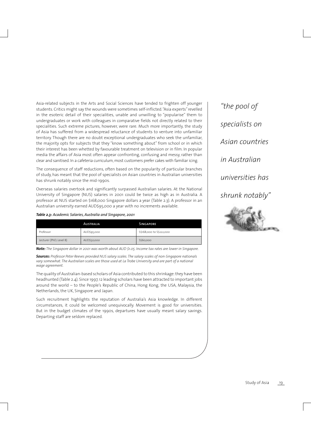Asia-related subjects in the Arts and Social Sciences have tended to frighten off younger students. Critics might say the wounds were sometimes self-inflicted. "Asia experts" revelled in the esoteric detail of their specialities, unable and unwilling to "popularise" them to undergraduates or work with colleagues in comparative fields not directly related to their specialities. Such extreme pictures, however, were rare. Much more importantly, the study of Asia has suffered from a widespread reluctance of students to venture into unfamiliar territory. Though there are no doubt exceptional undergraduates who seek the unfamiliar, the majority opts for subjects that they "know something about" from school or in which their interest has been whetted by favourable treatment on television or in film. In popular media the affairs of Asia most often appear confronting, confusing and messy, rather than clear and sanitised. In a cafeteria curriculum, most customers prefer cakes with familiar icing.

The consequence of staff reductions, often based on the popularity of particular branches of study, has meant that the pool of specialists on Asian countries in Australian universities has shrunk notably since the mid-1990s.

Overseas salaries overtook and significantly surpassed Australian salaries. At the National University of Singapore (NUS) salaries in 2001 could be twice as high as in Australia. A professor at NUS started on \$168,000 Singapore dollars a year (Table 2.3). A professor in an Australian university earned AUD\$95,000 a year with no increments available.

#### *Table 2.3: Academic Salaries, Australia and Singapore, 2001*

|                         | <b>AUSTRALIA</b> | <b>SINGAPORE</b>         |
|-------------------------|------------------|--------------------------|
| Professor               | AUD\$95,000      | S\$168,000 to S\$222,000 |
| Lecturer (PhD; Level B) | AUD\$50,000      | S\$60,000                |

*Note: The Singapore dollar in 2001 was worth about AUD \$1.05. Income tax rates are lower in Singapore.* 

*Sources: Professor Peter Reeves provided NUS salary scales. The salary scales of non-Singapore nationals vary somewhat. The Australian scales are those used at La Trobe University and are part of a national wage agreement.*

The quality of Australian-based scholars of Asia contributed to this shrinkage: they have been headhunted (Table 2.4). Since 1997, 12 leading scholars have been attracted to important jobs around the world – to the People's Republic of China, Hong Kong, the USA, Malaysia, the Netherlands, the UK, Singapore and Japan.

Such recruitment highlights the reputation of Australia's Asia knowledge. In different circumstances, it could be welcomed unequivocally. Movement is good for universities. But in the budget climates of the 1990s, departures have usually meant salary savings. Departing staff are seldom replaced.

*"the pool of specialists on Asian countries in Australian universities has shrunk notably"*

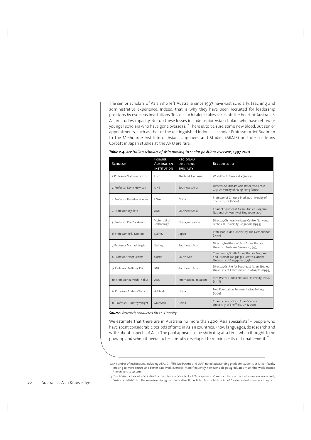The senior scholars of Asia who left Australia since 1997 have vast scholarly, teaching and administrative experience. Indeed, that is why they have been recruited for leadership positions by overseas institutions. To lose such talent takes slices off the heart of Australia's Asian-studies capacity. Nor do these losses include senior Asia scholars who have retired or younger scholars who have gone overseas.<sup>22</sup> There is, to be sure, some new blood, but senior appointments, such as that of the distinguished Indonesia scholar Professor Arief Budiman to the Melbourne Institute of Asian Languages and Studies (MIALS) or Professor Jenny Corbett in Japan studies at the ANU are rare.

| <b>SCHOLAR</b>               | <b>FORMER</b><br><b>AUSTRALIAN</b><br><b>INSTITUTION</b> | REGIONAL/<br><b>DISCIPLINE</b><br>SPECIALTY | <b>RECRUITED TO</b>                                                                                                    |
|------------------------------|----------------------------------------------------------|---------------------------------------------|------------------------------------------------------------------------------------------------------------------------|
| 1. Professor Malcolm Falkus  | <b>UNF</b>                                               | Thailand, East Asia                         | World Bank, Cambodia (2000)                                                                                            |
| 2. Professor Kevin Hewison   | <b>UNF</b>                                               | Southeast Asia                              | Director, Southeast Asia Research Centre.<br>City University of Hong Kong (2000)                                       |
| 3. Professor Beverley Hooper | <b>IJWA</b>                                              | China                                       | Professor of Chinese Studies, University of<br>Sheffield, UK (2000)                                                    |
| 4. Professor Rey Ileto       | ANU                                                      | Southeast Asia                              | Chair of Southeast Asian Studies Program,<br>National University of Singapore (2001)                                   |
| 5. Professor Kee Poo-kong    | Victoria U of<br>Technology                              | China, migration                            | Director, Chinese Heritage Centre, Nanyang<br>Technical University, Singapore (1999)                                   |
| 6. Professor Rikki Kersten   | Sydney                                                   | Japan                                       | Professor, Leiden University, The Netherlands<br>(2001)                                                                |
| 7. Professor Michael Leigh   | Sydney                                                   | Southeast Asia                              | Director, Institute of East Asian Studies.<br>Universiti Malaysia Sarawak (1997)                                       |
| 8. Professor Peter Reeves    | Curtin                                                   | South Asia                                  | Coordinator, South Asian Studies Program<br>and Director, Languages Centre, National<br>University of Singapore (1998) |
| 9. Professor Anthony Reid    | <b>ANU</b>                                               | Southeast Asia                              | Director, Centre for Southeast Asian Studies,<br>University of California at Los Angeles (1999)                        |
| 10. Professor Ramesh Thakur  | ANU                                                      | International relations                     | Vice-Rector, United Nations University, Tokyo<br>(1998)                                                                |
| 11. Professor Andrew Watson  | Adelaide                                                 | China                                       | Ford Foundation Representative, Beijing<br>(1999)                                                                      |
| 12. Professor Timothy Wright | Murdoch                                                  | China                                       | Chair, School of East Asian Studies,<br>University of Sheffield, UK (2000)                                             |

*Table 2.4: Australian scholars of Asia moving to senior positions overseas, 1997-2001*

*Source: Research conducted for this inquiry.*

We estimate that there are in Australia no more than 400 "Asia specialists" – people who have spent considerable periods of time in Asian countries, know languages, do research and write about aspects of Asia. The pool appears to be shrinking at a time when it ought to be growing and when it needs to be carefully developed to maximize its national benefit.<sup>23</sup>

23. The ASAA had about 400 individual members in 2001. Not all "Asia specialists" are members, nor are all members necessarily<br>Asia specialists"; but the membership figure is indicative. It has fallen from a high point of

 <sup>22.</sup>A number of institutions, including ANU, Griffith, Melbourne and UWA noted outstanding graduate students or junior faculty moving to more secure and better paid work overseas. More frequently, however, able postgraduates must find work outside the university system.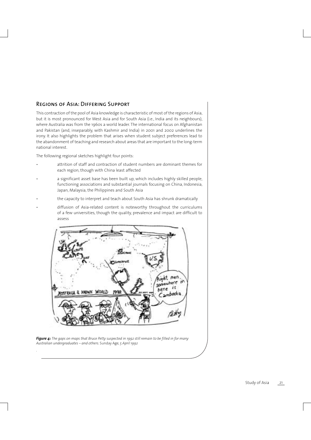#### Regions of Asia: Differing Support

This contraction of the pool of Asia knowledge is characteristic of most of the regions of Asia, but it is most pronounced for West Asia and for South Asia (i.e., India and its neighbours), where Australia was from the 1960s a world leader. The international focus on Afghanistan and Pakistan (and, inseparably, with Kashmir and India) in 2001 and 2002 underlines the irony. It also highlights the problem that arises when student subject preferences lead to the abandonment of teaching and research about areas that are important to the long-term national interest.

The following regional sketches highlight four points:

- attrition of staff and contraction of student numbers are dominant themes for each region, though with China least affected
- a significant asset base has been built up, which includes highly skilled people, functioning associations and substantial journals focusing on China, Indonesia, Japan, Malaysia, the Philippines and South Asia
- the capacity to interpret and teach about South Asia has shrunk dramatically
- diffusion of Asia-related content is noteworthy throughout the curriculums of a few universities, though the quality, prevalence and impact are difficult to assess



*Figure 4: The gaps on maps that Bruce Petty suspected in 1992 still remain to be filled in for many Australian undergraduates – and others.* Sunday Age*, 5 April 1992*

.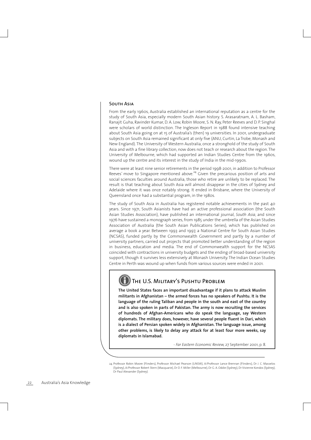#### **SOUTH ASIA**

From the early 1960s, Australia established an international reputation as a centre for the study of South Asia, especially modern South Asian history. S. Arasaratnam, A. L. Basham, Ranajit Guha, Ravinder Kumar, D. A. Low, Robin Moore, S. N. Ray, Peter Reeves and D. P. Singhal were scholars of world distinction. The Ingleson Report in 1988 found intensive teaching about South Asia going on at 15 of Australia's (then) 19 universities. In 2001, undergraduate subjects on South Asia remained significant at only five (ANU, Curtin, La Trobe, Monash and New England). The University of Western Australia, once a stronghold of the study of South Asia and with a fine library collection, now does not teach or research about the region. The University of Melbourne, which had supported an Indian Studies Centre from the 1960s, wound up the centre and its interest in the study of India in the mid-1990s.

There were at least nine senior retirements in the period 1998-2001, in addition to Professor Reeves' move to Singapore mentioned above. $24$  Given the precarious position of arts and social sciences faculties around Australia, those who retire are unlikely to be replaced. The result is that teaching about South Asia will almost disappear in the cities of Sydney and Adelaide where it was once notably strong. It ended in Brisbane, where the University of Queensland once had a substantial program, in the 1980s.

The study of South Asia in Australia has registered notable achievements in the past 40 years. Since 1971, South Asianists have had an active professional association (the South Asian Studies Association), have published an international journal, *South Asia*, and since 1976 have sustained a monograph series, from 1985 under the umbrella of the Asian Studies Association of Australia (the South Asian Publications Series), which has published on average a book a year. Between 1993 and 1997, a National Centre for South Asian Studies (NCSAS), funded partly by the Commonwealth Government and partly by a number of university partners, carried out projects that promoted better understanding of the region in business, education and media. The end of Commonwealth support for the NCSAS coincided with contractions in university budgets and the ending of broad-based university support, though it survives less extensively at Monash University. The Indian Ocean Studies Centre in Perth was wound up when funds from various sources were ended in 2001.

## The U.S. Military's Pushtu Problem

**The United States faces an important disadvantage if it plans to attack Muslim militants in Afghanistan – the armed forces has no speakers of Pushtu. It is the language of the ruling Taliban and people in the south and east of the country and is also spoken in parts of Pakistan. The army is now recruiting the services of hundreds of Afghan-Americans who do speak the language, say Western diplomats. The military does, however, have several people fluent in Dari, which is a dialect of Persian spoken widely in Afghanistan. The language issue, among other problems, is likely to delay any attack for at least four more weeks, say diplomats in Islamabad.**

*- Far Eastern Economic Review,* 27 September 2001, p. 8.

24. Professor Robin Moore (Flinders), Professor Michael Pearson (UNSW), A/Professor Lance Brennan (Flinders), Dr J. C. Masselos (Sydney), A/Professor Robert Stern (Macquarie), Dr D. F. Miller (Melbourne), Dr G. A. Oddie (Sydney), Dr Vivienne Kondos (Sydney), Dr Paul Alexander (Sydney).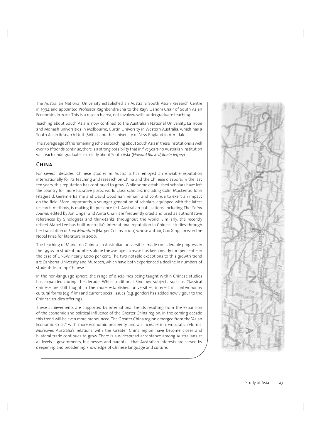The Australian National University established an Australia South Asian Research Centre in 1994 and appointed Professor Raghbendra Jha to the Rajiv Gandhi Chair of South Asian Economics in 2001. This is a research area, not involved with undergraduate teaching.

Teaching about South Asia is now confined to the Australian National University, La Trobe and Monash universities in Melbourne, Curtin University in Western Australia, which has a South Asian Research Unit (SARU), and the University of New England in Armidale.

The average age of the remaining scholars teaching about South Asia in these institutions is well over 50. If trends continue, there is a strong possibility that in five years no Australian institution will teach undergraduates explicitly about South Asia. (*Howard Brasted, Robin Jeffrey*)

#### **CHINA**

For several decades, Chinese studies in Australia has enjoyed an enviable reputation internationally for its teaching and research on China and the Chinese diaspora. In the last ten years, this reputation has continued to grow. While some established scholars have left the country for more lucrative posts, world-class scholars, including Colin Mackerras, John Fitzgerald, Geremie Barmé and David Goodman, remain and continue to exert an impact on the field. More importantly, a younger generation of scholars, equipped with the latest research methods, is making its presence felt. Australian publications, including The *China Journal* edited by Jon Unger and Anita Chan, are frequently cited and used as authoritative references by Sinologists and think-tanks throughout the world. Similarly, the recently retired Mabel Lee has built Australia's international reputation in Chinese studies through her translation of *Soul Mountain* (Harper Collins, 2000) whose author, Gao Xingjian won the Nobel Prize for literature in 2000.

The teaching of Mandarin Chinese in Australian universities made considerable progress in the 1990s. In student numbers alone the average increase has been nearly 100 per cent - in the case of UNSW, nearly 1,000 per cent. The two notable exceptions to this growth trend are Canberra University and Murdoch, which have both experienced a decline in numbers of students learning Chinese.

In the non-language sphere, the range of disciplines being taught within Chinese studies has expanded during the decade. While traditional Sinology subjects such as Classical Chinese are still taught in the more established universities, interest in contemporary cultural forms (e.g. film) and current social issues (e.g. gender) has added new vigour to the Chinese studies offerings.

These achievements are supported by international trends resulting from the expansion of the economic and political influence of the Greater China region. In the coming decade this trend will be even more pronounced. The Greater China region emerged from the "Asian Economic Crisis" with more economic prosperity and an increase in democratic reforms. Moreover, Australia's relations with the Greater China region have become closer and bilateral trade continues to grow. There is a widespread acceptance among Australians at all levels – governments, businesses and parents – that Australian interests are served by deepening and broadening knowledge of Chinese language and culture.

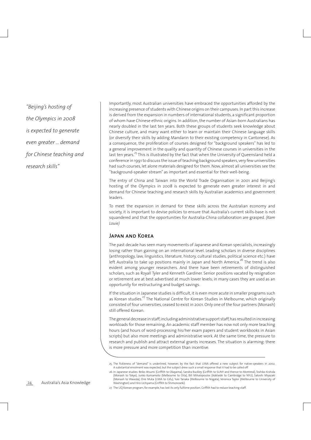*"Beijing's hosting of the Olympics in 2008 is expected to generate even greater ... demand for Chinese teaching and research skills"*

Importantly, most Australian universities have embraced the opportunities afforded by the increasing presence of students with Chinese origins on their campuses. In part this increase is derived from the expansion in numbers of international students, a significant proportion of whom have Chinese ethnic origins. In addition, the number of Asian-born Australians has nearly doubled in the last ten years. Both these groups of students seek knowledge about Chinese culture, and many want either to learn or maintain their Chinese language skills (or diversify their skills by adding Mandarin to their existing competency in Cantonese). As a consequence, the proliferation of courses designed for "background speakers" has led to a general improvement in the quality and quantity of Chinese courses in universities in the last ten years.<sup>25</sup> This is illustrated by the fact that when the University of Queensland held a conference in 1991 to discuss the issue of teaching background speakers, very few universities had such courses, let alone materials designed for them. Now, almost all universities see the "background-speaker stream" as important and essential for their well-being.

The entry of China and Taiwan into the World Trade Organisation in 2001 and Beijing's hosting of the Olympics in 2008 is expected to generate even greater interest in and demand for Chinese teaching and research skills by Australian academics and government leaders.

To meet the expansion in demand for these skills across the Australian economy and society, it is important to devise policies to ensure that Australia's current skills-base is not squandered and that the opportunities for Australia-China collaboration are grasped. *(Kam Louie)*

#### Japan and Korea

The past decade has seen many movements of Japanese and Korean specialists, increasingly losing rather than gaining on an international level. Leading scholars in diverse disciplines (anthropology, law, linguistics, literature, history, cultural studies, political science etc.) have left Australia to take up positions mainly in Japan and North America.<sup>26</sup> The trend is also evident among younger researchers. And there have been retirements of distinguished scholars, such as Royall Tyler and Kenneth Gardiner. Senior positions vacated by resignation or retirement are at best advertised at much lower levels; in many cases they are used as an opportunity for restructuring and budget savings.

If the situation in Japanese studies is difficult, it is even more acute in smaller programs such as Korean studies.<sup>27</sup> The National Centre for Korean Studies in Melbourne, which originally consisted of four universities, ceased to exist in 2001. Only one of the four partners (Monash) still offered Korean.

The general decrease in staff, including administrative support staff, has resulted in increasing workloads for those remaining. An academic staff member has now not only more teaching hours (and hours of word-processing his/her exam papers and student workbooks in Asian scripts) but also more meetings and administrative work. At the same time, the pressure to research and publish and attract external grants increases. The situation is alarming: there is more pressure and more competition than incentive.

<sup>25.</sup> The fickleness of "demand" is underlined, however, by the fact that UWA offered a new subject for native-speakers in 2002. A substantial enrolment was expected; but the subject drew such a small response that it had to be called off.

<sup>26.</sup> In Japanese studies: Reiko Atsumi (Griffith to Okayama), Sandra Buckley (Griffith to SUNY and thence to Montreal), Toshiko Kishida (Monash to Tokyo), Junko Kumamoto (Melbourne to Oita), Bill Mihalopoulos (Adelaide to Cambridge to NYU), Satoshi Miyazaki (Monash to Waseda), Orie Muta (UWA to Gifu), Yuki Tanaka (Melbourne to Niigata), Veronica Taylor (Melbourne to University of Washington) and Hiro Uchiyama (Griffith to Shimonoseki).

<sup>27.</sup> The UQ Korean program, for example, has lost its only fulltime position. Griffith had to reduce teaching staff.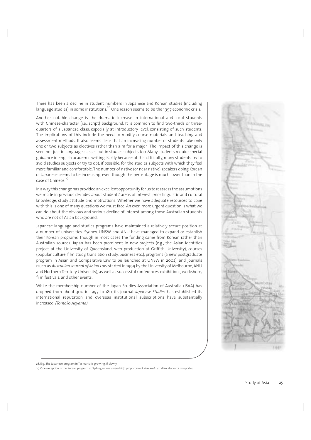There has been a decline in student numbers in Japanese and Korean studies (including language studies) in some institutions.<sup>28</sup> One reason seems to be the 1997 economic crisis.

Another notable change is the dramatic increase in international and local students with Chinese-character (i.e., script) background. It is common to find two-thirds or threequarters of a Japanese class, especially at introductory level, consisting of such students. The implications of this include the need to modify course materials and teaching and assessment methods. It also seems clear that an increasing number of students take only one or two subjects as electives rather than aim for a major. The impact of this change is seen not just in language classes but in studies subjects too. Many students require special guidance in English academic writing. Partly because of this difficulty, many students try to avoid studies subjects or try to opt, if possible, for the studies subjects with which they feel more familiar and comfortable. The number of native (or near native) speakers doing Korean or Japanese seems to be increasing, even though the percentage is much lower than in the case of Chinese.<sup>29</sup>

In a way this change has provided an excellent opportunity for us to reassess the assumptions we made in previous decades about students' areas of interest, prior linguistic and cultural knowledge, study attitude and motivations. Whether we have adequate resources to cope with this is one of many questions we must face. An even more urgent question is what we can do about the obvious and serious decline of interest among those Australian students who are not of Asian background.

Japanese language and studies programs have maintained a relatively secure position at a number of universities. Sydney, UNSW and ANU have managed to expand or establish their Korean programs, though in most cases the funding came from Korean rather than Australian sources. Japan has been prominent in new projects (e.g., the Asian identities project at the University of Queensland, web production at Griffith University), courses (popular culture, film study, translation study, business etc.), programs (a new postgraduate program in Asian and Comparative Law to be launched at UNSW in 2002), and journals (such as *Australian Journal of Asian Law* started in 1999 by the University of Melbourne, ANU and Northern Territory University), as well as successful conferences, exhibitions, workshops, film festivals, and other events.

While the membership number of the Japan Studies Association of Australia (JSAA) has dropped from about 300 in 1997 to 180, its journal *Japanese Studies* has established its international reputation and overseas institutional subscriptions have substantially increased. *(Tomoko Aoyama)*



28. E.g., the Japanese program in Tasmania is growing, if slowly.

29. One exception is the Korean program at Sydney, where a very high proportion of Korean-Australian students is reported.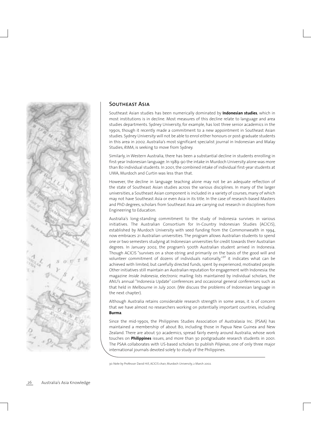

#### Southeast Asia

Southeast Asian studies has been numerically dominated by **Indonesian studies**, which in most institutions is in decline. Most measures of this decline relate to language and area studies departments. Sydney University, for example, has lost three senior academics in the 1990s, though it recently made a commitment to a new appointment in Southeast Asian studies. Sydney University will not be able to enrol either honours or post-graduate students in this area in 2002. Australia's most significant specialist journal in Indonesian and Malay Studies, *RIMA*, is seeking to move from Sydney.

Similarly, in Western Australia, there has been a substantial decline in students enrolling in first-year Indonesian language. In 1989-90 the intake in Murdoch University alone was more than 80 individual students. In 2001, the combined intake of individual first-year students at UWA, Murdoch and Curtin was less than that.

However, the decline in language teaching alone may not be an adequate reflection of the state of Southeast Asian studies across the various disciplines. In many of the larger universities, a Southeast Asian component is included in a variety of courses, many of which may not have Southeast Asia or even Asia in its title. In the case of research-based Masters and PhD degrees, scholars from Southeast Asia are carrying out research in disciplines from Engineering to Education.

Australia's long-standing commitment to the study of Indonesia survives in various initiatives. The Australian Consortium for In-Country Indonesian Studies (ACICIS), established by Murdoch University with seed funding from the Commonwealth in 1994, now embraces 21 Australian universities. The program allows Australian students to spend one or two semesters studying at Indonesian universities for credit towards their Australian degrees. In January 2002, the program's 500th Australian student arrived in Indonesia. Though ACICIS "survives on a shoe-string and primarily on the basis of the good will and volunteer commitment of dozens of individuals nationally,"<sup>30</sup> it indicates what can be achieved with limited, but carefully directed funds, spent by experienced, motivated people. Other initiatives still maintain an Australian reputation for engagement with Indonesia: the magazine *Inside Indonesia*, electronic mailing lists maintained by individual scholars, the ANU's annual "Indonesia Update" conferences and occasional general conferences such as that held in Melbourne in July 2001. (We discuss the problems of Indonesian language in the next chapter).

Although Australia retains considerable research strength in some areas, it is of concern that we have almost no researchers working on potentially important countries, including **Burma**.

Since the mid-1990s, the Philippines Studies Association of Australasia Inc. (PSAA) has maintained a membership of about 80, including those in Papua New Guinea and New Zealand. There are about 50 academics, spread fairly evenly around Australia, whose work touches on **Philippines** issues, and more than 30 postgraduate research students in 2001. The PSAA collaborates with US-based scholars to publish *Pilipinas*, one of only three major international journals devoted solely to study of the Philippines.

30. Note by Professor David Hill, ACICIS chair, Murdoch University, 2 March 2002.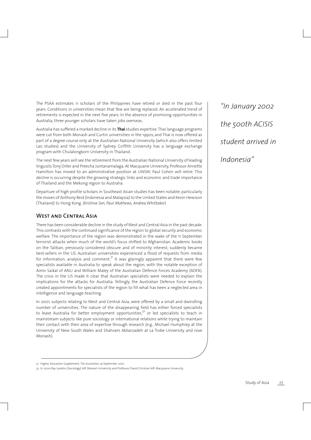The PSAA estimates 11 scholars of the Philippines have retired or died in the past four years. Conditions in universities mean that few are being replaced. An accelerated trend of retirements is expected in the next five years. In the absence of promising opportunities in Australia, three younger scholars have taken jobs overseas.

Australia has suffered a marked decline in its **Thai** studies expertise. Thai language programs were cut from both Monash and Curtin universities in the 1990s, and Thai is now offered as part of a degree course only at the Australian National University (which also offers limited Lao studies) and the University of Sydney. Griffith University has a language exchange program with Chulalongkorn University in Thailand.

The next few years will see the retirement from the Australian National University of leading linguists Tony Diller and Preecha Juntanamalaga. At Macquarie University, Professor Annette Hamilton has moved to an administrative position at UNSW; Paul Cohen will retire. This decline is occurring despite the growing strategic links and economic and trade importance of Thailand and the Mekong region to Australia.

Departure of high-profile scholars in Southeast Asian studies has been notable, particularly the moves of Anthony Reid (Indonesia and Malaysia) to the United States and Kevin Hewison (Thailand) to Hong Kong. (*Krishna Sen, Paul Mathews, Andrea Whittaker*)

### WEST AND CENTRAL ASIA

There has been considerable decline in the study of West and Central Asia in the past decade. This contrasts with the continued significance of the region to global security and economic welfare. The importance of the region was demonstrated in the wake of the 11 September terrorist attacks when much of the world's focus shifted to Afghanistan. Academic books on the Taliban, previously considered obscure and of minority interest, suddenly became best-sellers in the US. Australian universities experienced a flood of requests from media for information, analysis and comment. $31$  It was glaringly apparent that there were few specialists available in Australia to speak about the region, with the notable exception of Amin Saikal of ANU and William Maley of the Australian Defence Forces Academy (ADFA). The crisis in the US made it clear that Australian specialists were needed to explain the implications for the attacks for Australia. Tellingly, the Australian Defence Force recently created appointments for specialists of the region to fill what has been a neglected area in intelligence and language-teaching.

In 2001, subjects relating to West and Central Asia, were offered by a small and dwindling number of universities. The nature of the disappearing field has either forced specialists to leave Australia for better employment opportunities, $32$  or led specialists to teach in mainstream subjects like pure sociology or international relations while trying to maintain their contact with their area of expertise through research (e.g., Michael Humphrey at the University of New South Wales and Shahram Akbarzadeh at La Trobe University and now Monash).

31. Higher Education Supplement, *The Australian*, 19 September 2001.

*"In January 2002 the 500th ACISIS student arrived in Indonesia"*

<sup>32.</sup> In 2000 Ray Juredini (Sociology) left Monash University and Professor David Christian left Macquarie University.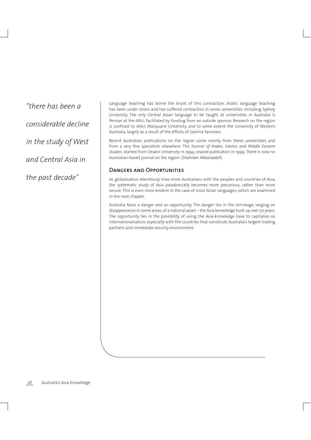*"there has been a considerable decline in the study of West and Central Asia in the past decade"*

Language teaching has borne the brunt of this contraction. Arabic language teaching has been under strain and has suffered contraction in some universities, including Sydney University. The only Central Asian language to be taught at universities in Australia is Persian at the ANU, facilitated by funding from an outside sponsor. Research on the region is confined to ANU, Macquarie University, and to some extent the University of Western Australia, largely as a result of the efforts of Samina Yasmeen.

Recent Australian publications on the region come mainly from these universities and from a very few specialists elsewhere. The *Journal of Arabic, Islamic and Middle Eastern Studies*, started from Deakin University in 1994, ceased publication in 1999. There is now no Australian-based journal on the region. (*Shahram Akbarzadeh*)

#### Dangers and Opportunities

As globalisation relentlessly links more Australians with the peoples and countries of Asia, the systematic study of Asia paradoxically becomes more precarious, rather than more secure. This is even more evident in the case of most Asian languages, which are examined in the next chapter.

Australia faces a danger and an opportunity. The danger lies in the shrinkage, verging on disappearance in some areas, of a national asset – the Asia knowledge built up over 50 years. The opportunity lies in the possibility of using the Asia-knowledge base to capitalise on internationalisation, especially with the countries that constitute Australia's largest trading partners and immediate security environment.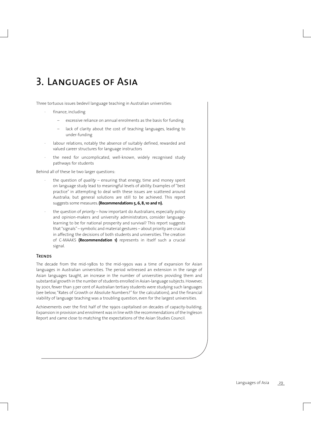# 3. Languages of Asia

Three tortuous issues bedevil language teaching in Australian universities:

- finance, including
	- excessive reliance on annual enrolments as the basis for funding
	- lack of clarity about the cost of teaching languages, leading to under-funding
- labour relations, notably the absence of suitably defined, rewarded and valued career structures for language instructors
- the need for uncomplicated, well-known, widely recognised study pathways for students

Behind all of these lie two larger questions:

- the question of *quality* ensuring that energy, time and money spent on language study lead to meaningful levels of ability. Examples of "best practice" in attempting to deal with these issues are scattered around Australia; but general solutions are still to be achieved. This report suggests some measures. **(Recommendations 5, 6, 8, 10 and 11).**
- · the question of *priority* how important do Australians, especially policy and opinion-makers and university administrators, consider languagelearning to be for national prosperity and survival? This report suggests that "signals" – symbolic and material gestures – about priority are crucial in affecting the decisions of both students and universities. The creation of C-MAAKS **(Recommendation 1)** represents in itself such a crucial signal.

#### **TRENDS**

The decade from the mid-1980s to the mid-1990s was a time of expansion for Asian languages in Australian universities. The period witnessed an extension in the range of Asian languages taught, an increase in the number of universities providing them and substantial growth in the number of students enrolled in Asian-language subjects. However, by 2001, fewer than 3 per cent of Australian tertiary students were studying such languages (see below, "Rates of Growth or Absolute Numbers?" for the calculations), and the financial viability of language teaching was a troubling question, even for the largest universities.

Achievements over the first half of the 1990s capitalised on decades of capacity-building. Expansion in provision and enrolment was in line with the recommendations of the Ingleson Report and came close to matching the expectations of the Asian Studies Council.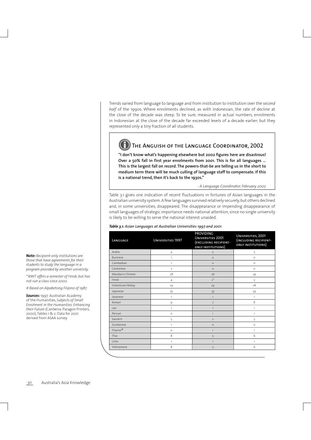Trends varied from language to language and from institution to institution over the *second half* of the 1990s. Where enrolments declined, as with Indonesian, the rate of decline at the close of the decade was steep. To be sure, measured in actual numbers, enrolments in Indonesian at the close of the decade far exceeded levels of a decade earlier; but they represented only a tiny fraction of all students.

## The Anguish of the Language Coordinator, 2002

**"I don't know what's happening elsewhere but 2002 figures here are disastrous! Over a 50% fall in first year enrolments from 2001. This is for all languages … This is the largest fall on record. The powers-that-be are telling us in the short to medium term there will be much culling of language staff to compensate. If this is a national trend, then it's back to the 1930s."**

*- A Language Coordinator, February 2002*

Table 3.1 gives one indication of recent fluctuations in fortunes of Asian languages in the Australian university system. A few languages survived relatively securely, but others declined and, in some universities, disappeared. The disappearance or impending disappearance of small languages of strategic importance needs national attention, since no single university is likely to be willing to serve the national interest unaided.

#### *Table 3.1: Asian Languages at Australian Universities 1997 and 2001*

| LANGUAGE         | UNIVERSITIES 1997 | <b>PROVIDING</b><br><b>UNIVERSITIES 2001</b><br>(EXCLUDING RECIPIENT-<br><b>ONLY INSTITUTIONS</b> | UNIVERSITIES, 2001<br><b>INCLUDING RECIPIENT-</b><br><b>ONLY INSTITUTIONS</b> |
|------------------|-------------------|---------------------------------------------------------------------------------------------------|-------------------------------------------------------------------------------|
| Arabic           | 4                 | 5                                                                                                 | 5                                                                             |
| Burmese          | $\mathbf{1}$      | $\circ$                                                                                           | $\circ$                                                                       |
| Cambodian        | $\mathbf{1}$      | $\circ$                                                                                           | $\circ$                                                                       |
| Cantonese        | $\overline{2}$    | $\circ$                                                                                           | $\circ$                                                                       |
| Mandarin Chinese | 28                | 26                                                                                                | 29                                                                            |
| Hindi            | 4                 | $2^*$                                                                                             | $\overline{3}$                                                                |
| Indonesian/Malay | 24                | 24                                                                                                | 28                                                                            |
| Japanese         | 35                | 33                                                                                                | 34                                                                            |
| Javanese         | 1                 | $\mathbf{1}$                                                                                      | $\mathbf{1}$                                                                  |
| Korean           | 9                 | $\overline{7}$                                                                                    | 8                                                                             |
| Lao              | $\mathbf{1}$      | $\mathbf{1}$                                                                                      | $\mathbf{1}$                                                                  |
| Persian          | $\circ$           | $\mathbf{1}$                                                                                      | $\mathbf{1}$                                                                  |
| Sanskrit         | 5                 | $\overline{2}$                                                                                    | 3                                                                             |
| Sundanese        | $\mathbf{1}$      | $\circ$                                                                                           | $\circ$                                                                       |
| Filipino#        | $\circ$           | $\mathbf{1}$                                                                                      | $\mathbf{1}$                                                                  |
| Thai             | 8                 | 5                                                                                                 | 6                                                                             |
| Urdu             | $\mathbf{1}$      | $\mathbf{1}$                                                                                      | $\mathbf{1}$                                                                  |
| Vietnamese       | 8                 | 5                                                                                                 | 6                                                                             |
|                  |                   |                                                                                                   |                                                                               |

*Note: Recipient-only institutions are those that have agreements for their students to study the language in a program provided by another university.*

*\* RMIT offers a semester of Hindi, but has not run a class since 2000.*

*# Based on Alpabetong Filipino of 1987.*

*Sources:* 1997: Australian Academy of the Humanities, *Subjects of Small Enrolment in the Humanities: Enhancing their Future* (Canberra: Paragon Printers, 2000), Tables 1 & 2. Data for 2001 derived from ASAA survey.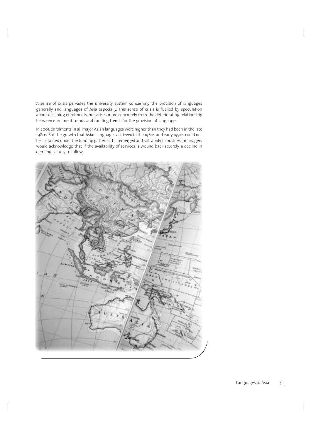A sense of crisis pervades the university system concerning the provision of languages generally and languages of Asia especially. This sense of crisis is fuelled by speculation about declining enrolments, but arises more concretely from the deteriorating relationship between enrolment trends and funding trends for the provision of languages.

In 2001, enrolments in all major Asian languages were higher than they had been in the late 1980s. But the growth that Asian languages achieved in the 1980s and early 1990s could not be sustained under the funding patterns that emerged and still apply. In business, managers would acknowledge that if the availability of services is wound back severely, a decline in demand is likely to follow.



Languages of Asia 31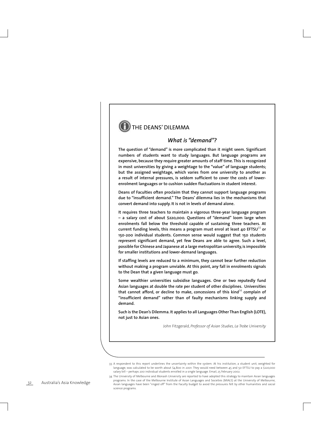## THE DEANS' DILEMMA

### *What is "demand"?*

**The question of "demand" is more complicated than it might seem. Significant numbers of students want to study languages. But language programs are expensive, because they require greater amounts of staff time. This is recognized in most universities by giving a weightage to the "value" of language students; but the assigned weightage, which varies from one university to another as a result of internal pressures, is seldom sufficient to cover the costs of lowerenrolment languages or to cushion sudden fluctuations in student interest.**

**Deans of Faculties often proclaim that they cannot support language programs due to "insufficient demand." The Deans' dilemma lies in the mechanisms that convert demand into supply. It is not in levels of demand alone.** 

**It requires three teachers to maintain a vigorous three-year language program – a salary cost of about \$220,000. Questions of "demand" loom large when enrolments fall below the threshold capable of sustaining three teachers. At current funding levels, this means a program must enrol at least 40 EFTSU**33 **or 150-200 individual students. Common sense would suggest that 150 students represent significant demand, yet few Deans are able to agree. Such a level, possible for Chinese and Japanese at a large metropolitan university, is impossible for smaller institutions and lower-demand languages.** 

**If staffing levels are reduced to a minimum, they cannot bear further reduction without making a program unviable. At this point, any fall in enrolments signals to the Dean that a given language must go.**

**Some wealthier universities subsidise languages. One or two reputedly fund Asian languages at double the rate per student of other disciplines. Universities that cannot afford, or decline to make, concessions of this kind**34 **complain of "insufficient demand" rather than of faulty mechanisms linking supply and demand.** 

**Such is the Dean's Dilemma. It applies to all Languages Other Than English (LOTE), not just to Asian ones.** 

John Fitzgerald, *Professor of Asian Studies, La Trobe University*

34 The University of Melbourne and Monash University are reported to have adopted this strategy to maintain Asian languages<br>programs. In the case of the Melbourne Institute of Asian Languages and Societies (MIALS) at the U Asian languages have been "ringed off" from the Faculty budget to avoid the pressures felt by other humanities and social science programs.

<sup>33.</sup> A respondent to this report underlines the uncertainty within the system. At his institution, a student unit, weighted for language, was calculated to be worth about \$4,800 in 2001. They would need between 45 and 50 EFTSU to pay a \$220,000 salary bill – perhaps 200 individual students enrolled in a single language. Email, 25 February 2002.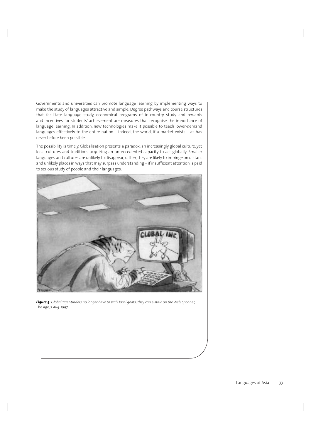Governments and universities can promote language learning by implementing ways to make the study of languages attractive and simple. Degree pathways and course structures that facilitate language study, economical programs of in-country study and rewards and incentives for students' achievement are measures that recognise the importance of language learning. In addition, new technologies make it possible to teach lower-demand languages effectively to the entire nation – indeed, the world, if a market exists – as has never before been possible.

The possibility is timely. Globalisation presents a paradox: an increasingly global culture, yet local cultures and traditions acquiring an unprecedented capacity to act globally. Smaller languages and cultures are unlikely to disappear; rather, they are likely to impinge on distant and unlikely places in ways that may surpass understanding – if insufficient attention is paid to serious study of people and their languages.



*Figure 5: Global tiger-traders no longer have to stalk local goats; they can e-stalk on the Web. Spooner,*  The Age*, 7 Aug. 1997.*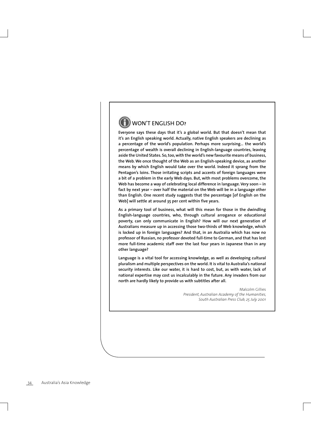## WON'T ENGLISH DO?

**Everyone says these days that it's a global world. But that doesn't mean that it's an English speaking world. Actually, native English speakers are declining as a percentage of the world's population. Perhaps more surprising… the world's percentage of wealth is overall declining in English-language countries, leaving aside the United States. So, too, with the world's new favourite means of business, the Web. We once thought of the Web as an English-speaking device, as another means by which English would take over the world. Indeed it sprang from the Pentagon's loins. Those irritating scripts and accents of foreign languages were a bit of a problem in the early Web days. But, with most problems overcome, the Web has become a way of celebrating local difference in language. Very soon – in fact by next year – over half the material on the Web will be in a language other than English. One recent study suggests that the percentage [of English on the Web] will settle at around 35 per cent within five years.** 

**As a primary tool of business, what will this mean for those in the dwindling English-language countries, who, through cultural arrogance or educational poverty, can only communicate in English? How will our next generation of Australians measure up in accessing those two-thirds of Web knowledge, which is locked up in foreign languages? And that, in an Australia which has now no professor of Russian, no professor devoted full-time to German, and that has lost more full-time academic staff over the last four years in Japanese than in any other language?** 

**Language is a vital tool for accessing knowledge, as well as developing cultural pluralism and multiple perspectives on the world. It is vital to Australia's national security interests. Like our water, it is hard to cost, but, as with water, lack of national expertise may cost us incalculably in the future. Any invaders from our north are hardly likely to provide us with subtitles after all.** 

> Malcolm Gillies *President, Australian Academy of the Humanities, South Australian Press Club, 25 July 2001*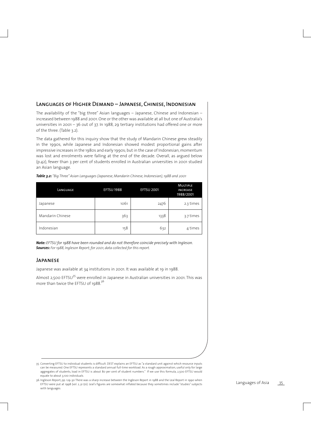#### Languages of Higher Demand – Japanese, Chinese, Indonesian

The availability of the "big three" Asian languages – Japanese, Chinese and Indonesian – increased between 1988 and 2001. One or the other was available at all but one of Australia's universities in 2001 – 36 out of 37. In 1988, 29 tertiary institutions had offered one or more of the three. (Table 3.2).

The data gathered for this inquiry show that the study of Mandarin Chinese grew steadily in the 1990s, while Japanese and Indonesian showed modest proportional gains after impressive increases in the 1980s and early 1990s; but in the case of Indonesian, momentum was lost and enrolments were falling at the end of the decade. Overall, as argued below (p.42), fewer than 3 per cent of students enrolled in Australian universities in 2001 studied an Asian language.

*Table 3.2: "Big Three" Asian Languages (Japanese, Mandarin Chinese, Indonesian), 1988 and 2001*

| LANGUAGE         | <b>EFTSU 1988</b> | <b>EFTSU 2001</b> | <b>MULTIPLE</b><br><b>INCREASE</b><br>1988/2001 |
|------------------|-------------------|-------------------|-------------------------------------------------|
| Japanese         | 1061              | 2476              | 2.3 times                                       |
| Mandarin Chinese | 363               | 1338              | 3.7 times                                       |
| Indonesian       | 158               | 632               | 4 times                                         |

*Note: EFTSU for 1988 have been rounded and do not therefore coincide precisely with Ingleson. Sources: For 1988, Ingleson Report; for 2001, data collected for this report.*

#### Japanese

Japanese was available at 34 institutions in 2001. It was available at 19 in 1988.

Almost 2,500 EFTSU<sup>35</sup> were enrolled in Japanese in Australian universities in 2001. This was more than twice the EFTSU of 1988.<sup>36</sup>

<sup>35.</sup> Converting EFTSU to individual students is difficult. DEST explains an EFTSU as "a standard unit against which resource inputs can be measured. One EFTSU represents a standard annual full-time workload. As a rough approximation, useful only for large<br>aggregates of students, load in EFTSU is about 80 per cent of student numbers." If we use this for equate to about 3,100 individuals.

<sup>36.</sup> Ingleson Report, pp. 129-30 There was a sharp increase between the Ingleson Report in 1988 and the Leal Report in 1990 when EFTSU were put at 1998 (vol. 2, p.170). Leal's figures are somewhat inflated because they sometimes include "studies" subjects with languages.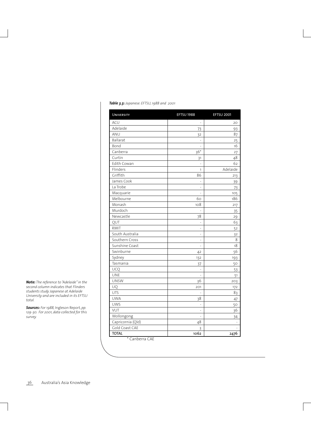| <b>UNIVERSITY</b>              | EFTSU 1988               | <b>EFTSU 2001</b> |
|--------------------------------|--------------------------|-------------------|
| ACU                            | i.                       | 20                |
| Adelaide                       | 73                       | 93                |
| ANU                            | 32                       | 87                |
| Ballarat                       |                          | 25                |
| Bond                           |                          | 16                |
| Canberra                       | $36*$                    | 27                |
| Curtin                         | 31                       | 48                |
| Edith Cowan                    | $\overline{\phantom{a}}$ | 62                |
| Flinders                       | 1                        | Adelaide          |
| Griffith                       | 86                       | 213               |
| James Cook                     | ä,                       | 39                |
| La Trobe                       | L,                       | 73                |
| Macquarie                      |                          | 105               |
| Melbourne                      | 60                       | 186               |
| Monash                         | 108                      | 217               |
| Murdoch                        | ÷,                       | 35                |
| Newcastle                      | 78                       | 29                |
| QUT                            | $\overline{\phantom{m}}$ | 63                |
| RMIT                           | J.                       | 52                |
| South Australia                | i.                       | 32                |
| Southern Cross                 | ä,                       | 8                 |
| Sunshine Coast                 | ä,                       | 18                |
| Swinburne                      | 42                       | 56                |
| Sydney                         | 132                      | 193               |
| Tasmania                       | 37                       | 50                |
| UCQ                            | ä,                       | 53                |
| <b>UNE</b>                     | ÷,                       | 51                |
| <b>UNSW</b>                    | 36                       | 203               |
| UQ                             | 201                      | 172               |
| <b>UTS</b>                     |                          | 83                |
| UWA                            | 38                       | 47                |
| <b>UWS</b>                     |                          | 50                |
| VUT                            |                          | 36                |
| Wollongong                     | ÷,                       | 34                |
| Capricornia (Qld)              | 48                       | ÷,                |
| Gold Coast CAE                 | 3                        |                   |
| <b>TOTAL</b><br>* Canberra CAE | 1062                     | 2476              |

### *Table 3.3: Japanese: EFTSU, 1988 and 2001*

*Note: The reference to "Adelaide" in the second column indicates that Flinders students study Japanese at Adelaide University and are included in its EFTSU total.*

*Sources: For 1988,* Ingleson Report*, pp. 129-30. For 2001, data collected for this survey.*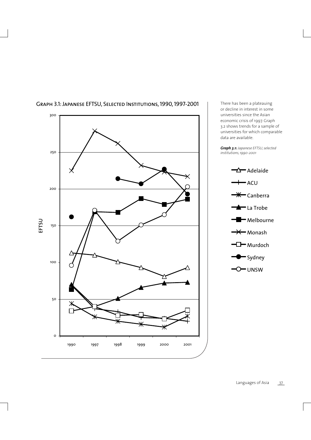

Graph 3.1: Japanese EFTSU, Selected Institutions, 1990, 1997-2001

There has been a plateauing or decline in interest in some universities since the Asian economic crisis of 1997. Graph 3.2 shows trends for a sample of universities for which comparable data are available.

*Graph 3.1: Japanese EFTSU, selected institutions, 1990-2001*



Languages of Asia 37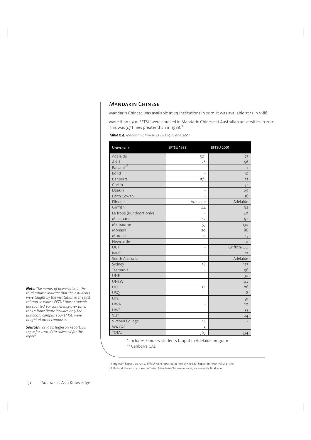#### Mandarin Chinese

Mandarin Chinese was available at 29 institutions in 2001. It was available at 13 in 1988.

More than 1,300 EFTSU were enrolled in Mandarin Chinese at Australian universities in 2001. This was 3.7 times greater than in 1988.<sup>37</sup>

*Table 3.4: Mandarin Chinese: EFTSU, 1988 and 2001*

| <b>UNIVERSITY</b>        | EFTSU 1988               | <b>EFTSU 2001</b> |
|--------------------------|--------------------------|-------------------|
| Adelaide                 | $50*$                    | 73                |
| ANU                      | 28                       | 56                |
| Ballarat <sup>38</sup>   |                          | $\mathbf{1}$      |
| Bond                     |                          | 10                |
| Canberra                 | $15***$                  | 12                |
| Curtin                   | i,                       | 32                |
| Deakin                   | L.                       | 69                |
| Edith Cowan              |                          | 16                |
| Flinders                 | Adelaide                 | Adelaide          |
| Griffith                 | 44                       | 82                |
| La Trobe (Bundoora only) | ÷,                       | 40                |
| Macquarie                | 42                       | 92                |
| Melbourne                | 53                       | 130               |
| Monash                   | 20                       | 86                |
| Murdoch                  | 21                       | 15                |
| Newcastle                | ÷                        | 11                |
| QUT                      | i,                       | Griffith/UO       |
| <b>RMIT</b>              | ÷,                       | 21                |
| South Australia          | ÷,                       | Adelaide          |
| Sydney                   | 38                       | 123               |
| Tasmania                 | $\overline{\phantom{0}}$ | 36                |
| <b>UNE</b>               | ä,                       | 30                |
| <b>UNSW</b>              | ä,                       | 147               |
| UQ                       | 34                       | 76                |
| <b>USQ</b>               | i.                       | 8                 |
| <b>UTS</b>               | ÷,                       | 91                |
| UWA                      | ÷                        | 20                |
| <b>UWS</b>               | ÷,                       | 33                |
| VUT                      | ä,                       | 24                |
| Victoria College         | 14                       |                   |
| <b>WA CAE</b>            | $\overline{3}$           |                   |
| <b>TOTAL</b>             | 363                      | 1334              |

 \* Includes Flinders students taught in Adelaide program. \*\* Canberra CAE

37. Ingleson Report, pp. 123-4. EFTSU were reported at 509 by the Leal Report in 1990 (vol. 2, p. 159). 38. Ballarat University ceased offering Mandarin Chinese in 2002; 2001 was its final year.

*Note: The names of universities in the third column indicate that their students were taught by the institution in the first column, in whose EFTSU those students are counted. For consistency over time, the La Trobe figure includes only the Bundoora campus. Four EFTSU were taught at other campuses.*

*Sources: For 1988,* Ingleson Report*, pp. 123-4; for 2001, data collected for this report.*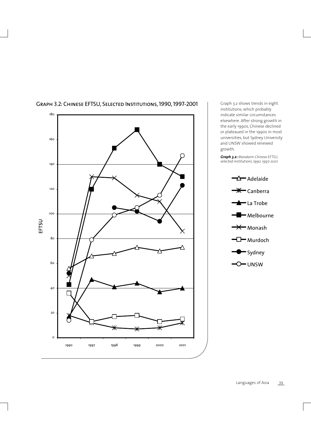



Graph 3.2 shows trends in eight institutions, which probably indicate similar circumstances elsewhere. After strong growth in the early 1990s, Chinese declined or plateaued in the 1990s in most universities, but Sydney University and UNSW showed renewed growth.

*Graph 3.2: Mandarin Chinese EFTSU, selected institutions, 1990, 1997-2001*



Languages of Asia 39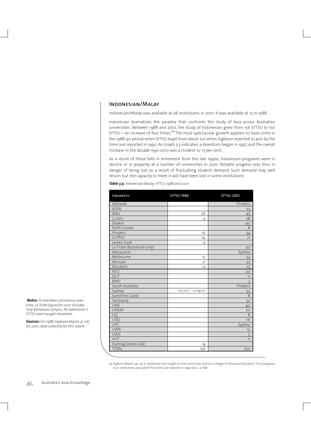#### Indonesian/Malay

Indonesian/Malay was available at 28 institutions in 2001. It was available at 13 in 1988.

Indonesian dramatizes the paradox that confronts the study of Asia across Australian universities. Between 1988 and 2001, the study of Indonesian grew from 156 EFTSU to 621 EFTSU – an increase of four times.<sup>39</sup> The most spectacular growth appears to have come in the 1988-90 period when EFTSU leapt from about 150 when Ingleson reported to 400 by the time Leal reported in 1990. As Graph 3.3 indicates, a downturn began in 1997, and the overall increase in the decade 1991-2001 was a modest 10-15 per cent.

As a result of these falls in enrolment from the late 1990s, Indonesian programs were in decline or in jeopardy at a number of universities in 2001. Notable progress was thus in danger of being lost as a result of fluctuating student demand. Such demand may well return, but the capacity to meet it will have been lost in some institutions.

*Table 3.5: Indonesian/Malay: EFTSU, 1988 and 2001*

| <b>UNIVERSITY</b>        | <b>EFTSU 1988</b>        | <b>EFTSU 2001</b> |
|--------------------------|--------------------------|-------------------|
| Adelaide                 | $\overline{\phantom{a}}$ | Flinders          |
| <b>ADFA</b>              |                          | 23                |
| ANU                      | 26                       | 45                |
| Curtin                   | 9                        | 28                |
| Deakin                   | ä,                       | 90                |
| Edith Cowan              | $\overline{\phantom{m}}$ | 8                 |
| Flinders                 | 16                       | 34                |
| Griffith                 | 29                       | 21                |
| James Cook               | 9                        |                   |
| La Trobe (Bundoora only) | $\overline{\phantom{m}}$ | 30                |
| Macquarie                | ä,                       | Sydney            |
| Melbourne                | 15                       | 53                |
| Monash                   | 21                       | 25                |
| Murdoch                  | 12                       | 23                |
| <b>NTU</b>               | $\overline{\phantom{m}}$ | 20                |
| OUT                      | i.                       | 11                |
| <b>RMIT</b>              | $\overline{\phantom{a}}$ | $\overline{3}$    |
| South Australia          | ä,                       | Flinders          |
| Sydney                   | "very low" - no figures  | 52                |
| Sunshine Coast           | $\overline{\phantom{0}}$ | $\overline{8}$    |
| Tasmania                 | $\overline{\phantom{a}}$ | 32                |
| <b>UNE</b>               | $\overline{\phantom{m}}$ | 40                |
| <b>UNSW</b>              | $\overline{\phantom{a}}$ | 20                |
| <b>UO</b>                | ÷,                       | 8                 |
| <b>USO</b>               | ä,                       | 16                |
| <b>UTS</b>               | i.                       | Sydney            |
| <b>UWA</b>               | $\overline{\phantom{a}}$ | 15                |
| <b>UWS</b>               | $\frac{1}{2}$            | 5                 |
| VUT                      | ä,                       | 11                |
| Darling Downs CAE        | 19                       |                   |
| <b>TOTAL</b>             | 156                      | 621               |

39. Ingleson Report, pp. 125-6. Indonesian was taught at nine universities and four Colleges of Advanced Education. This had grown to 21 institutions and 408 EFTSU when Leal reported in 1990 (vol. 2, p 168).

 *Notes: To maintain consistency over time, La Trobe figure for 2001 includes only Bundoora campus. An additional 11 EFTSU were taught elsewhere.*

*Sources: For 1988, Ingleson Report, p. 126; for 2001, data collected for this report.*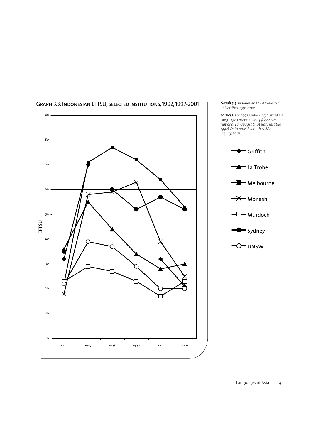

Graph 3.3: Indonesian EFTSU, Selected Institutions, 1992, 1997-2001 1992, 1997-2001

*Graph 3.3: Indonesian EFTSU, selected universities, 1992-2001*

*Sources: For 1992,* Unlocking Australia's Language Potential*, vol. 5 (Canberra: National Languages & Literary Institue, 1992). Data provided to the ASAA inquiry, 2001.* 



Languages of Asia  $41$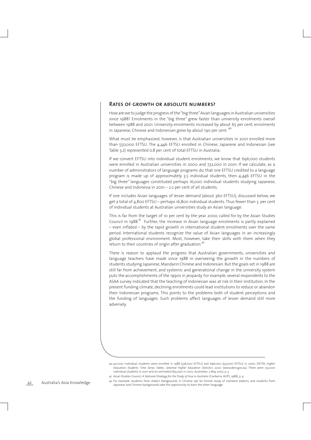#### Rates of growth or absolute numbers?

How are we to judge the progress of the "big three" Asian languages in Australian universities since 1988? Enrolments in the "big three" grew faster than university enrolments overall between 1988 and 2001. University enrolments increased by about 65 per cent; enrolments in Japanese, Chinese and Indonesian grew by about 190 per cent. <sup>40</sup>

What must be emphasized, however, is that Australian universities in 2001 enrolled more than 550,000 EFTSU. The 4,446 EFTSU enrolled in Chinese, Japanese and Indonesian (see Table 3.2) represented 0.8 per cent of total EFTSU in Australia.

If we convert EFTSU into individual student enrolments, we know that 696,000 students were enrolled in Australian universities in 2000 and 732,000 in 2001. If we calculate, as a number of administrators of language programs do, that one EFTSU credited to a language program is made up of approximately 3.5 individual students, then 4,446 EFTSU in the "big three" languages constituted perhaps 16,000 individual students studying Japanese, Chinese and Indonesia in 2001 – 2.2 per cent of all students.

If one includes Asian languages of lesser demand (about 360 EFTSU), discussed below, we get a total of 4,800 EFTSU – perhaps 16,800 individual students. Thus fewer than 3 per cent of individual students at Australian universities study an Asian language.

This is far from the target of 10 per cent by the year 2000, called for by the Asian Studies Council in 1988.<sup>41</sup> Further, the increase in Asian language enrolments is partly explained – even inflated – by the rapid growth in international student enrolments over the same period. International students recognize the value of Asian languages in an increasingly global professional environment. Most, however, take their skills with them when they return to their countries of origin after graduation.<sup>42</sup>

There is reason to applaud the progress that Australian governments, universities and language teachers have made since 1988 in overseeing the growth in the numbers of students studying Japanese, Mandarin Chinese and Indonesian. But the goals set in 1988 are still far from achievement, and systemic and generational change in the university system puts the accomplishments of the 1990s in jeopardy. For example, several respondents to the ASAA survey indicated that the teaching of Indonesian was at risk in their institution. In the present funding climate, declining enrolments could lead institutions to reduce or abandon their Indonesian programs. This points to the problems both of student perceptions and the funding of languages. Such problems affect languages of lesser demand still more adversely.

41. Asian Studies Council, *A National Strategy for the Study of Asia in Australia* (Canberra: AGPS, 1988), p. 4.

42 Australia's Asia Knowledge

42. For example, students from dialect backgrounds in Chinese opt for formal study of standard dialects, and students from Japanese and Chinese backgrounds take the opportunity to learn the other language.

<sup>40.421,000</sup> individual students were enrolled in 1988 (336,000 EFTSU) and 696,000 (557,000 EFTSU) in 2000. DETYA, *Higher Education Students Time Series Tables. Selected Higher Education Statistics 2000* (www.dest.gov.au). There were 732,000 individual students in 2001 and an estimated 835,000 in 2002. *Australian*, 7 May 2002, p. 3.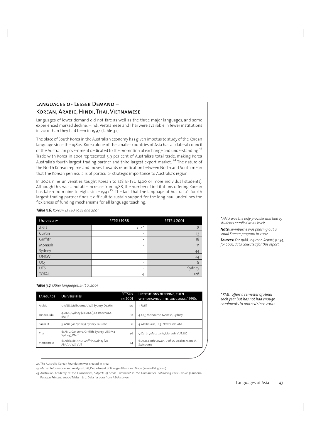### Languages of Lesser Demand – Korean, Arabic, Hindi, Thai, Vietnamese

Languages of lower demand did not fare as well as the three major languages, and some experienced marked decline. Hindi, Vietnamese and Thai were available in fewer institutions in 2001 than they had been in 1997. (Table 3.1)

The place of South Korea in the Australian economy has given impetus to study of the Korean language since the 1980s. Korea alone of the smaller countries of Asia has a bilateral council of the Australian government dedicated to the promotion of exchange and understanding.<sup>43</sup> Trade with Korea in 2001 represented 5.9 per cent of Australia's total trade, making Korea Australia's fourth largest trading partner and third largest export market.<sup>44</sup> The nature of the North Korean regime and moves towards reunification between North and South mean that the Korean peninsula is of particular strategic importance to Australia's region.

In 2001, nine universities taught Korean to 128 EFTSU (400 or more individual students). Although this was a notable increase from 1988, the number of institutions offering Korean has fallen from nine to eight since 1997.<sup>45</sup> The fact that the language of Australia's fourth largest trading partner finds it difficult to sustain support for the long haul underlines the fickleness of funding mechanisms for all language teaching.

*Table 3.6: Korean, EFTSU, 1988 and 2001* 

| <b>UNIVERSITY</b> | <b>EFTSU 1988</b>        | <b>EFTSU 2001</b> |
|-------------------|--------------------------|-------------------|
| ANU               | $C.4$ <sup>*</sup>       | 8                 |
| Curtin            | $\sim$                   | 13                |
| Griffith          | $\overline{\phantom{a}}$ | 18                |
| Monash            | ٠                        | 11                |
| Sydney            | ٠                        | 44                |
| <b>UNSW</b>       | ٠                        | 24                |
| UQ                | ٠                        | 8                 |
| <b>UTS</b>        | $\sim$                   | Sydney            |
| <b>TOTAL</b>      | 4                        | 126               |

*\* ANU was the only provider and had 15 students enrolled at all levels. Note: Swinburne was phasing out a small Korean program in 2002. Sources: For 1988, Ingleson Report, p. 134; for 2001, data collected for this report.*

#### *Table 3.7: Other languages, EFTSU, 2001*

| LANGUAGE   | <b>UNIVERSITIES</b>                                           | <b>EFTSUS</b><br><b>IN 2001</b> | <b>INSTITUTIONS OFFERING, THEN</b><br>WITHDRAWING, THE LANGUAGE, 1990S |
|------------|---------------------------------------------------------------|---------------------------------|------------------------------------------------------------------------|
| Arabic     | 5: ANU, Melbourne, UWS, Sydney, Deakin                        | 120                             | 1: RMIT                                                                |
| Hindi/Urdu | 4: ANU, Sydney (via ANU), La Trobe/OLA.<br>RMIT*              | 12                              | 4: UO, Melbourne, Monash, Sydney                                       |
| Sanskrit   | 3: ANU (via Sydney), Sydney, La Trobe                         | 6                               | 4: Melbourne, UO, Newcastle, ANU                                       |
| Thai       | 6: ANU, Canberra, Griffith, Sydney, UTS (via<br>Sydney), RMIT | 46                              | 5: Curtin, Macquarie, Monash, VUT, UO                                  |
| Vietnamese | 6: Adelaide, ANU, Griffith, Sydney (via<br>ANU). UWS. VUT     | 44                              | 6: ACU. Edith Cowan. U of SA. Deakin. Monash.<br>Swinburne             |

*\* RMIT offers a semester of Hindi each year but has not had enough enrolments to proceed since 2000.*

<sup>43.</sup> The Australia-Korean Foundation was created in 1992.

<sup>44.</sup> Market Information and Analysis Unit, Department of Foreign Affairs and Trade (www.dfat.gov.au).

<sup>45.</sup> Australian Academy of the Humanities, *Subjects of Small Enrolment in the Humanities: Enhancing their Future* (Canberra:

Paragon Printers, 2000), Tables 1 & 2. Data for 2001 from ASAA survey.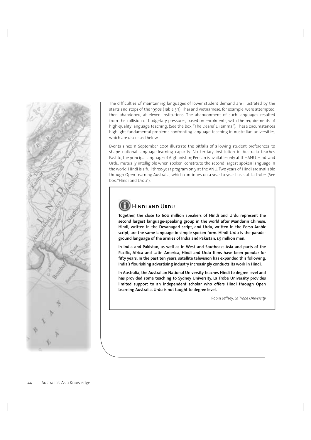

The difficulties of maintaining languages of lower student demand are illustrated by the starts and stops of the 1990s (Table 3.7). Thai and Vietnamese, for example, were attempted, then abandoned, at eleven institutions. The abandonment of such languages resulted from the collision of budgetary pressures, based on enrolments, with the requirements of high-quality language teaching. (See the box, "The Deans' Dilemma"). These circumstances highlight fundamental problems confronting language teaching in Australian universities, which are discussed below.

Events since 11 September 2001 illustrate the pitfalls of allowing student preferences to shape national language-learning capacity. No tertiary institution in Australia teaches Pashto, the principal language of Afghanistan; Persian is available only at the ANU. Hindi and Urdu, mutually intelligible when spoken, constitute the second largest spoken language in the world. Hindi is a full three-year program only at the ANU. Two years of Hindi are available through Open Learning Australia, which continues on a year-to-year basis at La Trobe. (See box, "Hindi and Urdu").

## Hindi and Urdu

**Together, the close to 600 million speakers of Hindi and Urdu represent the second largest language-speaking group in the world after Mandarin Chinese. Hindi, written in the Devanagari script, and Urdu, written in the Perso-Arabic script, are the same language in simple spoken form. Hindi-Urdu is the paradeground language of the armies of India and Pakistan, 1.5 million men.**

**In India and Pakistan, as well as in West and Southeast Asia and parts of the Pacific, Africa and Latin America, Hindi and Urdu films have been popular for fifty years. In the past ten years, satellite television has expanded this following. India's flourishing advertising industry increasingly conducts its work in Hindi.**

**In Australia, the Australian National University teaches Hindi to degree level and has provided some teaching to Sydney University. La Trobe University provides limited support to an independent scholar who offers Hindi through Open Learning Australia. Urdu is not taught to degree level.** 

Robin Jeffrey*, La Trobe University*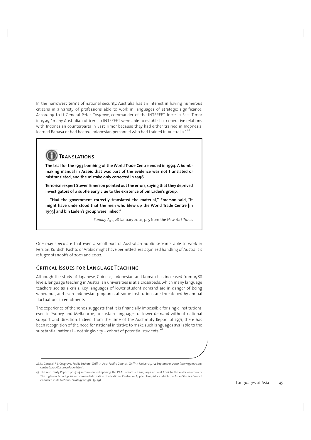In the narrowest terms of national security, Australia has an interest in having numerous citizens in a variety of professions able to work in languages of strategic significance. According to Lt-General Peter Cosgrove, commander of the INTERFET force in East Timor in 1999, "many Australian officers in INTERFET were able to establish co-operative relations with Indonesian counterparts in East Timor because they had either trained in Indonesia, learned Bahasa or had hosted Indonesian personnel who had trained in Australia."<sup>4</sup>

## **TRANSLATIONS**

**The trial for the 1993 bombing of the World Trade Centre ended in 1994. A bombmaking manual in Arabic that was part of the evidence was not translated or mistranslated, and the mistake only corrected in 1996.** 

**Terrorism expert Steven Emerson pointed out the errors, saying that they deprived investigators of a subtle early clue to the existence of bin Laden's group.** 

**... "Had the government correctly translated the material," Emerson said, "it might have understood that the men who blew up the World Trade Centre [in 1993] and bin Laden's group were linked."** 

*- Sunday Age,* 28 January 2001, p. 5 from the *New York Times*

One may speculate that even a small pool of Australian public servants able to work in Persian, Kurdish, Pashto or Arabic might have permitted less agonized handling of Australia's refugee standoffs of 2001 and 2002.

#### Critical Issues for Language Teaching

Although the study of Japanese, Chinese, Indonesian and Korean has increased from 1988 levels, language teaching in Australian universities is at a crossroads, which many language teachers see as a crisis. Key languages of lower student demand are in danger of being wiped out, and even Indonesian programs at some institutions are threatened by annual fluctuations in enrolments.

The experience of the 1990s suggests that it is financially impossible for single institutions, even in Sydney and Melbourne, to sustain languages of lower demand without national support and direction. Indeed, from the time of the Auchmuty Report of 1971, there has been recognition of the need for national initiative to make such languages available to the substantial national – not single-city – cohort of potential students.

<sup>46.</sup> Lt-General P. J. Cosgrove, Public Lecture, Griffith Asia Pacific Council, Griffith University, 14 September 2000 (www.gu.edu.au/ centre/gapc/CosgrovePaper.html).

<sup>47.</sup> The Auchmuty Report, pp. 92-3 recommended opening the RAAF School of Languages at Point Cook to the wider community. The Ingleson Report, p. 111, recommended creation of a National Centre for Applied Linguistics, which the Asian Studies Council endorsed in its *National Strategy* of 1988 (p. 29).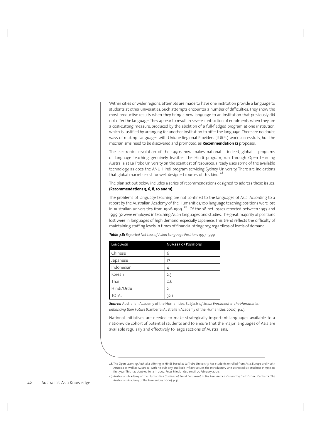Within cities or wider regions, attempts are made to have one institution provide a language to students at other universities. Such attempts encounter a number of difficulties. They show the most productive results when they bring a new language to an institution that previously did not offer the language. They appear to result in severe contraction of enrolments when they are a cost-cutting measure, produced by the abolition of a full-fledged program at one institution, which is justified by arranging for another institution to offer the language. There are no doubt ways of making Languages with Unique Regional Providers (LURPs) work successfully, but the mechanisms need to be discovered and promoted, as **Recommendation 12** proposes.

The electronics revolution of the 1990s now makes national – indeed, global – programs of language teaching genuinely feasible. The Hindi program, run through Open Learning Australia at La Trobe University on the scantiest of resources, already uses some of the available technology, as does the ANU Hindi program servicing Sydney University. There are indications that global markets exist for well-designed courses of this kind. <sup>48</sup>

The plan set out below includes a series of recommendations designed to address these issues. **(Recommendations 5, 6, 8, 10 and 11).**

The problems of language teaching are not confined to the languages of Asia. According to a report by the Australian Academy of the Humanities, 100 language teaching positions were lost in Australian universities from 1996-1999. 49 Of the 78 net losses reported between 1997 and 1999, 32 were employed in teaching Asian languages and studies. The great majority of positions lost were in languages of high demand, especially Japanese. This trend reflects the difficulty of maintaining staffing levels in times of financial stringency, regardless of levels of demand.

| LANGUAGE     | <b>NUMBER OF POSITIONS</b> |
|--------------|----------------------------|
| Chinese      | 6                          |
| Japanese     |                            |
| Indonesian   |                            |
| Korean       | 2.5                        |
| Thai         | 0.6                        |
| Hindi/Urdu   | $\overline{\phantom{a}}$   |
| <b>TOTAL</b> | 32.1                       |

#### *Table 3.8: Reported Net Loss of Asian Language Positions 1997-1999*

*Source:* Australian Academy of the Humanities, *Subjects of Small Enrolment in the Humanities: Enhancing their Future* (Canberra: Australian Academy of the Humanities, 2000), p.43.

National initiatives are needed to make strategically important languages available to a nationwide cohort of potential students and to ensure that the major languages of Asia are available regularly and effectively to large sections of Australians.

49.Australian Academy of the Humanities, *Subjects of Small Enrolment in the Humanities: Enhancing their Future* (Canberra: The Australian Academy of the Humanities 2000), p.43.

<sup>48.</sup> The Open Learning Australia offering in Hindi, based at La Trobe University, has students enrolled from Asia, Europe and North America as well as Australia. With no publicity and little infrastructure, the introductory unit attracted six students in 1997, its first year. This has doubled to 12 in 2002. Peter Friedlander, email, 25 February 2002.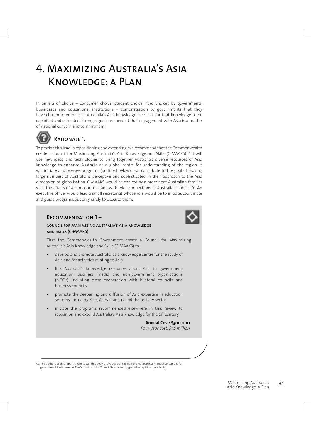# 4. Maximizing Australia's Asia Knowledge: a Plan

In an era of choice – consumer choice, student choice, hard choices by governments, businesses and educational institutions – demonstration by governments that they have chosen to emphasise Australia's Asia knowledge is crucial for that knowledge to be exploited and extended. Strong signals are needed that engagement with Asia is a matter of national concern and commitment.

## Rationale 1.

To provide this lead in repositioning and extending, we recommend that the Commonwealth create a Council for Maximizing Australia's Asia Knowledge and Skills (C-MAAKS).<sup>50</sup> It will use new ideas and technologies to bring together Australia's diverse resources of Asia knowledge to enhance Australia as a global centre for understanding of the region. It will initiate and oversee programs (outlined below) that contribute to the goal of making large numbers of Australians perceptive and sophisticated in their approach to the Asia dimension of globalisation. C-MAAKS would be chaired by a prominent Australian familiar with the affairs of Asian countries and with wide connections in Australian public life. An executive officer would lead a small secretariat whose role would be to initiate, coordinate and guide programs, but only rarely to execute them.

### Recommendation 1 –

and Skills (C-MAAKS)





That the Commonwealth Government create a Council for Maximizing Australia's Asia Knowledge and Skills (C-MAAKS) to

- develop and promote Australia as a knowledge centre for the study of Asia and for activities relating to Asia
- link Australia's knowledge resources about Asia in government, education, business, media and non-government organisations (NGOs), including close cooperation with bilateral councils and business councils
- promote the deepening and diffusion of Asia expertise in education systems, including K-10, Years 11 and 12 and the tertiary sector
- initiate the programs recommended elsewhere in this review to reposition and extend Australia's Asia knowledge for the 21st century

**Annual Cost: \$300,000** *Four-year cost: \$1.2 million*

<sup>50.</sup> The authors of this report chose to call this body C-MAAKS, but the name is not especially important and is for government to determine. The "Asia–Australia Council" has been suggested as a pithier possibility.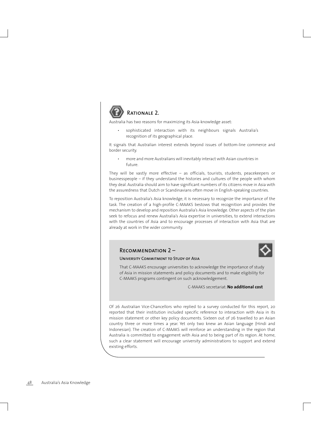

### Rationale 2.

Australia has two reasons for maximizing its Asia-knowledge asset:

• sophisticated interaction with its neighbours signals Australia's recognition of its geographical place.

It signals that Australian interest extends beyond issues of bottom-line commerce and border security.

• more and more Australians will inevitably interact with Asian countries in future.

They will be vastly more effective – as officials, tourists, students, peacekeepers or businesspeople – if they understand the histories and cultures of the people with whom they deal. Australia should aim to have significant numbers of its citizens move in Asia with the assuredness that Dutch or Scandinavians often move in English-speaking countries.

To reposition Australia's Asia knowledge, it is necessary to recognize the importance of the task. The creation of a high-profile C-MAAKS bestows that recognition and provides the mechanism to develop and reposition Australia's Asia knowledge. Other aspects of the plan seek to refocus and renew Australia's Asia expertise in universities, to extend interactions with the countries of Asia and to encourage processes of interaction with Asia that are already at work in the wider community.

#### Recommendation 2 –



#### University Commitment to Study of Asia

That C-MAAKS encourage universities to acknowledge the importance of study of Asia in mission statements and policy documents and to make eligibility for C-MAAKS programs contingent on such acknowledgement.

C-MAAKS secretariat: **No additional cost**

Of 26 Australian Vice-Chancellors who replied to a survey conducted for this report, 20 reported that their institution included specific reference to interaction with Asia in its mission statement or other key policy documents. Sixteen out of 26 travelled to an Asian country three or more times a year. Yet only two knew an Asian language (Hindi and Indonesian). The creation of C-MAAKS will reinforce an understanding in the region that Australia is committed to engagement with Asia and to being part of its region. At home, such a clear statement will encourage university administrations to support and extend existing efforts.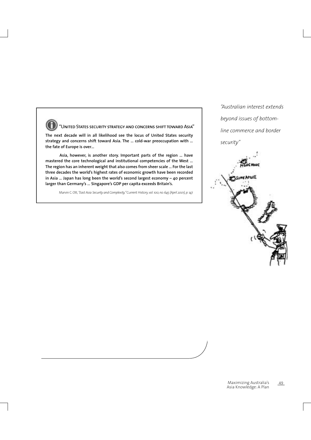#### "United States security strategy and concerns shift toward Asia"

**The next decade will in all likelihood see the locus of United States security strategy and concerns shift toward Asia. The … cold-war preoccupation with … the fate of Europe is over…**

Œ

 **Asia, however, is another story. Important parts of the region … have mastered the core technological and institutional competencies of the West … The region has an inherent weight that also comes from sheer scale … For the last three decades the world's highest rates of economic growth have been recorded in Asia … Japan has long been the world's second largest economy – 40 percent larger than Germany's … Singapore's GDP per capita exceeds Britain's.**

Marvin C. Ott, *"East Asia: Security and Complexity,"* Current History*, vol. 100, no. 645 (April 2001), p. 147.*

*"Australian interest extends beyond issues of bottomline commerce and border security"*



Maximizing Australia's Asia Knowledge: A Plan 49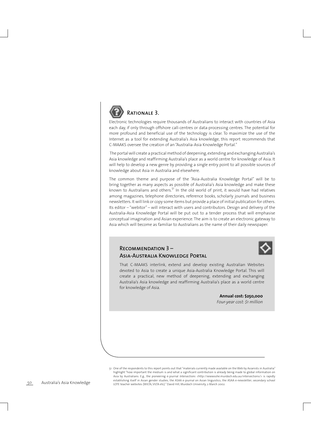

#### Electronic technologies require thousands of Australians to interact with countries of Asia each day, if only through offshore call-centres or data-processing centres. The potential for more profound and beneficial use of the technology is clear. To maximize the use of the Internet as a tool for extending Australia's Asia knowledge, this report recommends that C-MAAKS oversee the creation of an "Australia-Asia Knowledge Portal."

 The portal will create a practical method of deepening, extending and exchanging Australia's Asia knowledge and reaffirming Australia's place as a world centre for knowledge of Asia. It will help to develop a new genre by providing a single entry point to all possible sources of knowledge about Asia in Australia and elsewhere.

The common theme and purpose of the "Asia-Australia Knowledge Portal" will be to bring together as many aspects as possible of Australia's Asia knowledge and make these known to Australians and others.<sup>51</sup> In the old world of print, it would have had relatives among magazines, telephone directories, reference books, scholarly journals and business newsletters. It will link or copy some items but provide a place of initial publication for others. Its editor – "webitor" – will interact with users and contributors. Design and delivery of the Australia-Asia Knowledge Portal will be put out to a tender process that will emphasise conceptual imagination and Asian experience. The aim is to create an electronic gateway to Asia which will become as familiar to Australians as the name of their daily newspaper.

### Recommendation 3 – Asia-Australia Knowledge Portal

for knowledge of Asia.



That C-MAAKS interlink, extend and develop existing Australian Websites devoted to Asia to create a unique Asia-Australia Knowledge Portal. This will create a practical, new method of deepening, extending and exchanging Australia's Asia knowledge and reaffirming Australia's place as a world centre

> **Annual cost: \$250,000** *Four-year cost: \$1 million*

<sup>51.</sup> One of the respondents to this report points out that "materials currently made available on the Web by Asianists in Australia" highlight "how important the medium is and what a significant contribution is already being made to global information on Asia by Australians. E.g., the pioneering e-journal *Intersections «*http://wwwsshe.murdoch.edu.au/intersections/> is rapidly<br>establishing itself in Asian gender studies; the ASAA e-journal on Asian linguistics; the ASAA e LOTE teacher websites (WILTA, VILTA etc)." David Hill, Murdoch University, 2 March 2002.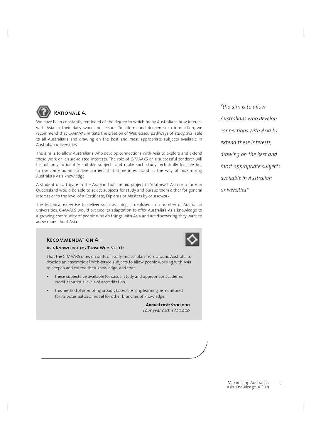

We have been constantly reminded of the degree to which many Australians now interact with Asia in their daily work and leisure. To inform and deepen such interaction, we recommend that C-MAAKS initiate the creation of Web-based pathways of study, available to all Australians and drawing on the best and most appropriate subjects available in Australian universities.

The aim is to allow Australians who develop connections with Asia to explore and extend these work or leisure-related interests. The role of C-MAAKS or a successful tenderer will be not only to identify suitable subjects and make such study technically feasible but to overcome administrative barriers that sometimes stand in the way of maximizing Australia's Asia knowledge.

A student on a frigate in the Arabian Gulf, an aid project in Southeast Asia or a farm in Queensland would be able to select subjects for study and pursue them either for general interest or to the level of a Certificate, Diploma or Masters by coursework.

The technical expertise to deliver such teaching is deployed in a number of Australian universities. C-MAAKS would oversee its adaptation to offer Australia's Asia knowledge to a growing community of people who *do* things with Asia and are discovering they want to *know* more about Asia.

#### Recommendation 4 –



That the C-MAAKS draw on units of study and scholars from around Australia to develop an ensemble of Web-based subjects to allow people working with Asia to deepen and extend their knowledge; and that

- these subjects be available for casual study and appropriate academic credit at various levels of accreditation.
- this method of promoting broadly based life-long learning be monitored for its potential as a model for other branches of knowledge.

**Annual cost: \$200,000** *Four-year cost: \$800,000*

*"the aim is to allow Australians who develop connections with Asia to extend these interests, drawing on the best and most appropriate subjects available in Australian universities"*

> Maximizing Australia's Asia Knowledge: A Plan 51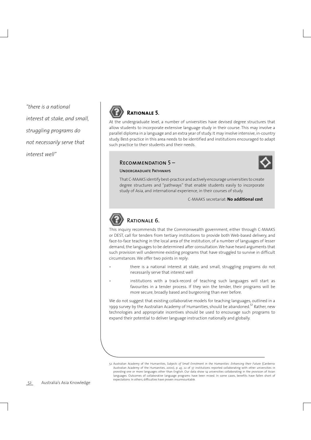*"there is a national interest at stake, and small, struggling programs do not necessarily serve that interest well"*



At the undergraduate level, a number of universities have devised degree structures that allow students to incorporate extensive language study in their course. This may involve a parallel diploma in a language and an extra year of study. It may involve intensive, in-country study. Best-practice in this area needs to be identified and institutions encouraged to adapt such practice to their students and their needs.

#### Recommendation 5 – Undergraduate Pathways



That C-MAAKS identify best-practice and actively encourage universities to create degree structures and "pathways" that enable students easily to incorporate study of Asia, and international experience, in their courses of study.

C-MAAKS secretariat: **No additional cost**



### Rationale 6.

This inquiry recommends that the Commonwealth government, either through C-MAAKS or DEST, call for tenders from tertiary institutions to provide both Web-based delivery, and face-to-face teaching in the local area of the institution, of a number of languages of lesser demand, the languages to be determined after consultation. We have heard arguments that such provision will undermine existing programs that have struggled to survive in difficult circumstances. We offer two points in reply:

- there is a national interest at stake, and small, struggling programs do not necessarily serve that interest well
- institutions with a track-record of teaching such languages will start as favourites in a tender process. If they win the tender, their programs will be more secure, broadly based and burgeoning than ever before.

We do not suggest that existing collaborative models for teaching languages, outlined in a 1999 survey by the Australian Academy of Humanities, should be abandoned.<sup>52</sup> Rather, new technologies and appropriate incentives should be used to encourage such programs to expand their potential to deliver language instruction nationally and globally.

52. Australian Academy of the Humanities, *Subjects of Small Enrolment in the Humanities: Enhancing their Future* (Canberra: Australian Academy of the Humanities, 2000), p. 43. 22 of 37 institutions reported collaborating with other universities in<br>providing one or more languages other than English. Our data show 14 universities collaborating in languages. Outcomes of collaborative language programs have been mixed. In some cases, benefits have fallen short of expectations. In others, difficulties have proven insurmountable.

52 Australia's Asia Knowledge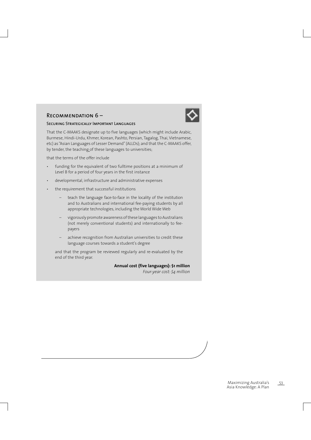#### Recommendation 6 –



#### Securing Strategically Important Languages

That the C-MAAKS designate up to five languages (which might include Arabic, Burmese, Hindi-Urdu, Khmer, Korean, Pashto, Persian, Tagalog, Thai, Vietnamese, etc) as "Asian Languages of Lesser Demand" (ALLDs); and that the C-MAAKS offer, by tender, the teaching of these languages to universities;

that the terms of the offer include

- funding for the equivalent of two fulltime positions at a minimum of Level B for a period of four years in the first instance
- developmental, infrastructure and administrative expenses
- the requirement that successful institutions
	- teach the language face-to-face in the locality of the institution and to Australians and international fee-paying students by all appropriate technologies, including the World Wide Web
	- vigorously promote awareness of these languages to Australians (not merely conventional students) and internationally to feepayers
	- achieve recognition from Australian universities to credit these language courses towards a student's degree

 and that the program be reviewed regularly and re-evaluated by the end of the third year.

> **Annual cost (five languages): \$1 million** *Four-year cost: \$4 million*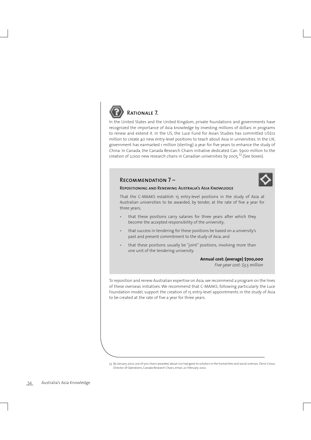

#### In the United States and the United Kingdom, private foundations and governments have recognized the importance of Asia knowledge by investing millions of dollars in programs to renew and extend it. In the US, the Luce Fund for Asian Studies has committed US\$12 million to create 40 new entry-level positions to teach about Asia in universities. In the UK, government has earmarked 1 million (sterling) a year for five years to enhance the study of China. In Canada, the Canada Research Chairs initiative dedicated Can. \$900 million to the creation of 2,000 new research chairs in Canadian universities by 2005.<sup>53</sup> (See boxes).

#### Recommendation 7 –



#### Repositioning and Renewing Australia's Asia Knowledge

That the C-MAAKS establish 15 entry-level positions in the study of Asia at Australian universities to be awarded, by tender, at the rate of five a year for three years;

- that these positions carry salaries for three years after which they become the accepted responsibility of the university;
- that success in tendering for these positions be based on a university's past and present commitment to the study of Asia; and
- that these positions usually be "joint" positions, involving more than one unit of the tendering university.

**Annual cost: (average) \$700,000**

*Five-year cost: \$3.5 million*

To reposition and renew Australian expertise on Asia, we recommend a program on the lines of these overseas initiatives. We recommend that C-MAAKS, following particularly the Luce Foundation model, support the creation of 15 entry-level appointments in the study of Asia to be created at the rate of five a year for three years.

53. By January 2002, out of 500 chairs awarded, about 100 had gone to scholars in the humanities and social sciences. Denis Croux, Director of Operations, Canada Research Chairs, email, 20 February 2002.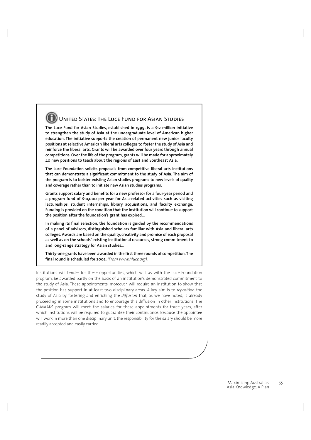### United States: The Luce Fund for Asian Studies

**The Luce Fund for Asian Studies, established in 1999, is a \$12 million initiative to strengthen the study of Asia at the undergraduate level of American higher education. The initiative supports the creation of permanent new junior faculty positions at selective American liberal arts colleges to foster the study of Asia and reinforce the liberal arts. Grants will be awarded over four years through annual competitions. Over the life of the program, grants will be made for approximately 40 new positions to teach about the regions of East and Southeast Asia.** 

**The Luce Foundation solicits proposals from competitive liberal arts institutions that can demonstrate a significant commitment to the study of Asia. The aim of the program is to bolster existing Asian studies programs to new levels of quality and coverage rather than to initiate new Asian studies programs.** 

**Grants support salary and benefits for a new professor for a four-year period and a program fund of \$10,000 per year for Asia-related activities such as visiting lectureships, student internships, library acquisitions, and faculty exchange. Funding is provided on the condition that the institution will continue to support the position after the foundation's grant has expired...**

**In making its final selection, the foundation is guided by the recommendations of a panel of advisors, distinguished scholars familiar with Asia and liberal arts colleges. Awards are based on the quality, creativity and promise of each proposal as well as on the schools' existing institutional resources, strong commitment to and long-range strategy for Asian studies...**

**Thirty-one grants have been awarded in the first three rounds of competition. The final round is scheduled for 2002.** *(From www.hluce.org).*

Institutions will tender for these opportunities, which will, as with the Luce Foundation program, be awarded partly on the basis of an institution's demonstrated commitment to the study of Asia. These appointments, moreover, will require an institution to show that the position has support in at least two disciplinary areas. A key aim is to *reposition* the study of Asia by fostering and enriching the *diffusion* that, as we have noted, is already proceeding in some institutions and to encourage this diffusion in other institutions. The C-MAAKS program will meet the salaries for these appointments for three years, after which institutions will be required to guarantee their continuance. Because the appointee will work in more than one disciplinary unit, the responsibility for the salary should be more readily accepted and easily carried.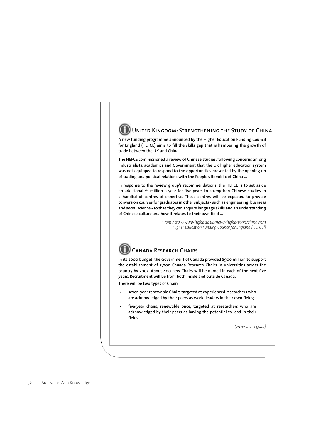### United Kingdom: Strengthening the Study of China

**A new funding programme announced by the Higher Education Funding Council for England (HEFCE) aims to fill the skills gap that is hampering the growth of trade between the UK and China.**

**The HEFCE commissioned a review of Chinese studies, following concerns among industrialists, academics and Government that the UK higher education system was not equipped to respond to the opportunities presented by the opening up of trading and political relations with the People's Republic of China ...**

**In response to the review group's recommendations, the HEFCE is to set aside an additional £1 million a year for five years to strengthen Chinese studies in a handful of centres of expertise. These centres will be expected to provide conversion courses for graduates in other subjects - such as engineering, business and social science - so that they can acquire language skills and an understanding of Chinese culture and how it relates to their own field ...**

> *(From http://www.hefce.ac.uk/news/hefce/1999/china.htm Higher Education Funding Council for England [HEFCE])*

# Canada Research Chairs

**In its 2000 budget, the Government of Canada provided \$900 million to support the establishment of 2,000 Canada Research Chairs in universities across the country by 2005. About 400 new Chairs will be named in each of the next five years. Recruitment will be from both inside and outside Canada.**

**There will be two types of Chair:**

- **seven-year renewable Chairs targeted at experienced researchers who are acknowledged by their peers as world leaders in their own fields;**
- **five-year chairs, renewable once, targeted at researchers who are acknowledged by their peers as having the potential to lead in their fields.**

*(www.chairs.gc.ca)*

56 Australia's Asia Knowledge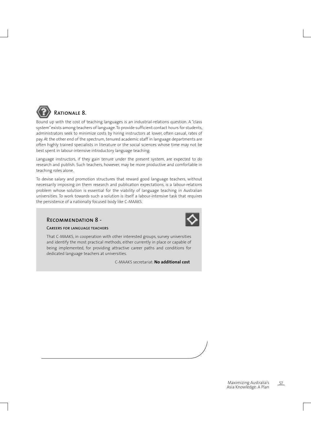

Bound up with the cost of teaching languages is an industrial-relations question. A "class system" exists among teachers of language. To provide sufficient contact hours for students, administrators seek to minimize costs by hiring instructors at lower, often casual, rates of pay. At the other end of the spectrum, tenured academic staff in language departments are often highly trained specialists in literature or the social sciences whose time may not be best spent in labour-intensive introductory language teaching.

Language instructors, if they gain tenure under the present system, are expected to do research and publish. Such teachers, however, may be more productive and comfortable in teaching roles alone.

To devise salary and promotion structures that reward good language teachers, without necessarily imposing on them research and publication expectations, is a labour-relations problem whose solution is essential for the viability of language teaching in Australian universities. To work towards such a solution is itself a labour-intensive task that requires the persistence of a nationally focused body like C-MAAKS.

#### Recommendation 8 -



#### Careers for language teachers

That C-MAAKS, in cooperation with other interested groups, survey universities and identify the most practical methods, either currently in place or capable of being implemented, for providing attractive career paths and conditions for dedicated language teachers at universities.

C-MAAKS secretariat: **No additional cost**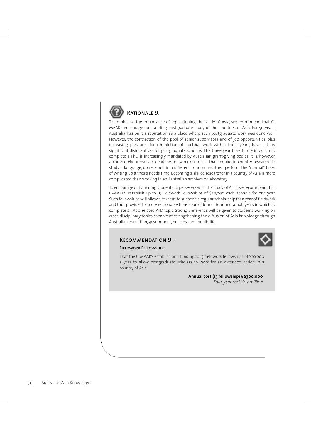

#### To emphasise the importance of repositioning the study of Asia, we recommend that C-MAAKS encourage outstanding postgraduate study of the countries of Asia. For 50 years, Australia has built a reputation as a place where such postgraduate work was done well. However, the contraction of the pool of senior supervisors and of job opportunities, plus increasing pressures for completion of doctoral work within three years, have set up significant disincentives for postgraduate scholars. The three-year time-frame in which to complete a PhD is increasingly mandated by Australian grant-giving bodies. It is, however, a completely unrealistic deadline for work on topics that require in-country research. To study a language, do research in a different country and then perform the "normal" tasks of writing up a thesis needs time. Becoming a skilled researcher in a country of Asia is more complicated than working in an Australian archives or laboratory.

To encourage outstanding students to persevere with the study of Asia, we recommend that C-MAAKS establish up to 15 Fieldwork Fellowships of \$20,000 each, tenable for one year. Such fellowships will allow a student to suspend a regular scholarship for a year of fieldwork and thus provide the more reasonable time-span of four or four-and-a-half years in which to complete an Asia-related PhD topic. Strong preference will be given to students working on cross-disciplinary topics capable of strengthening the diffusion of Asia knowledge through Australian education, government, business and public life.

#### Recommendation 9–



#### Fieldwork Fellowships

That the C-MAAKS establish and fund up to 15 fieldwork fellowships of \$20,000 a year to allow postgraduate scholars to work for an extended period in a country of Asia.

> **Annual cost (15 fellowships): \$300,000** *Four-year cost: \$1.2 million*

58 Australia's Asia Knowledge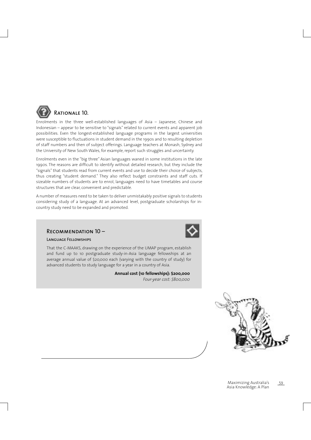

Enrolments in the three well-established languages of Asia – Japanese, Chinese and Indonesian – appear to be sensitive to "signals" related to current events and apparent job possibilities. Even the longest-established language programs in the largest universities were susceptible to fluctuations in student demand in the 1990s and to resulting depletion of staff numbers and then of subject offerings. Language teachers at Monash, Sydney and the University of New South Wales, for example, report such struggles and uncertainty.

Enrolments even in the "big three" Asian languages waned in some institutions in the late 1990s. The reasons are difficult to identify without detailed research, but they include the "signals" that students read from current events and use to decide their choice of subjects, thus creating "student demand." They also reflect budget constraints and staff cuts. If sizeable numbers of students are to enrol, languages need to have timetables and course structures that are clear, convenient and predictable.

A number of measures need to be taken to deliver unmistakably positive signals to students considering study of a language. At an advanced level, postgraduate scholarships for incountry study need to be expanded and promoted.



#### Recommendation 10 –

#### Language Fellowships

That the C-MAAKS, drawing on the experience of the UMAP program, establish and fund up to 10 postgraduate study-in-Asia language fellowships at an average annual value of \$20,000 each (varying with the country of study) for advanced students to study language for a year in a country of Asia.

> **Annual cost (10 fellowships): \$200,000** *Four-year cost: \$800,000*



Maximizing Australia's Asia Knowledge: A Plan 59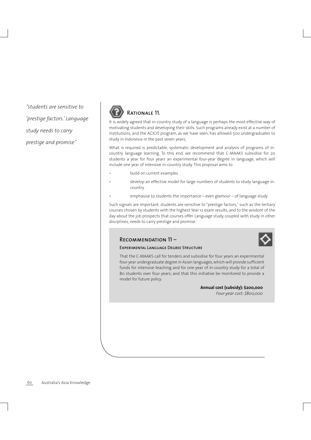*"students are sensitive to 'prestige factors.' Language study needs to carry prestige and promise"*

# Rationale 11.

It is widely agreed that in-country study of a language is perhaps the most effective way of motivating students and developing their skills. Such programs already exist at a number of institutions, and the ACICIS program, as we have seen, has allowed 500 undergraduates to study in Indonesia in the past seven years.

What is required is predictable, systematic development and analysis of programs of incountry language learning. To this end, we recommend that C-MAAKS subsidise for 20 students a year for four years an experimental four-year degree in language, which will include one year of intensive in-country study. This proposal aims to

- build on current examples
- develop an effective model for large numbers of students to study language incountry
- emphasise to students the importance even glamour of language study

Such signals are important: students are sensitive to "prestige factors," such as the tertiary courses chosen by students with the highest Year 12 exam results, and to the wisdom of the day about the job prospects that courses offer. Language study, coupled with study in other disciplines, needs to carry prestige and promise.

#### Recommendation 11 –



#### Experimental Language Degree Structure

That the C-MAAKS call for tenders and subsidise for four years an experimental four-year undergraduate degree in Asian languages, which will provide sufficient funds for intensive teaching and for one-year of in-country study for a total of 80 students over four years; and that this initiative be monitored to provide a model for future policy.

> **Annual cost (subsidy): \$200,000** *Four-year cost: \$800,000*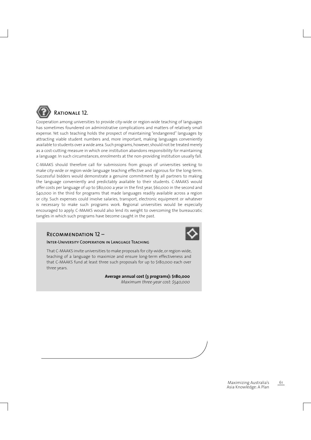

Cooperation among universities to provide city-wide or region-wide teaching of languages has sometimes foundered on administrative complications and matters of relatively small expense. Yet such teaching holds the prospect of maintaining "endangered" languages by attracting viable student numbers and, more important, making languages conveniently available to students over a wide area. Such programs, however, should not be treated merely as a cost-cutting measure in which one institution abandons responsibility for maintaining a language. In such circumstances, enrolments at the non-providing institution usually fall.

C-MAAKS should therefore call for submissions from groups of universities seeking to make city-wide or region-wide language teaching effective and vigorous for the long-term. Successful bidders would demonstrate a genuine commitment by all partners to making the language conveniently and predictably available to their students. C-MAAKS would offer costs per language of up to \$80,000 a year in the first year, \$60,000 in the second and \$40,000 in the third for programs that made languages readily available across a region or city. Such expenses could involve salaries, transport, electronic equipment or whatever is necessary to make such programs work. Regional universities would be especially encouraged to apply. C-MAAKS would also lend its weight to overcoming the bureaucratic tangles in which such programs have become caught in the past.

#### Recommendation 12 –



#### Inter-University Cooperation in Language Teaching

That C-MAAKS invite universities to make proposals for city-wide, or region-wide, teaching of a language to maximize and ensure long-term effectiveness and that C-MAAKS fund at least three such proposals for up to \$180,000 each over three years.

> **Average annual cost (3 programs): \$180,000** *Maximum three-year cost: \$540,000*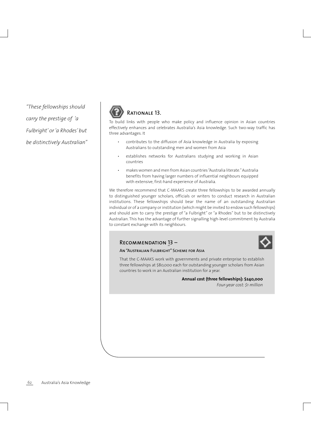*"These fellowships should carry the prestige of 'a Fulbright' or 'a Rhodes' but be distinctively Australian"*

# Rationale 13.

To build links with people who make policy and influence opinion in Asian countries effectively enhances and celebrates Australia's Asia knowledge. Such two-way traffic has three advantages. It

- contributes to the diffusion of Asia knowledge in Australia by exposing Australians to outstanding men and women from Asia
- establishes networks for Australians studying and working in Asian countries
- makes women and men from Asian countries "Australia literate." Australia benefits from having larger numbers of influential neighbours equipped with extensive, first-hand experience of Australia.

We therefore recommend that C-MAAKS create three fellowships to be awarded annually to distinguished younger scholars, officials or writers to conduct research in Australian institutions. These fellowships should bear the name of an outstanding Australian individual or of a company or institution (which might be invited to endow such fellowships) and should aim to carry the prestige of "a Fulbright" or "a Rhodes" but to be distinctively Australian. This has the advantage of further signalling high-level commitment by Australia to constant exchange with its neighbours.

#### Recommendation 13 –



#### An "Australian Fulbright" Scheme for Asia

That the C-MAAKS work with governments and private enterprise to establish three fellowships at \$80,000 each for outstanding younger scholars from Asian countries to work in an Australian institution for a year.

> **Annual cost (three fellowships): \$240,000** *Four-year cost: \$1 million*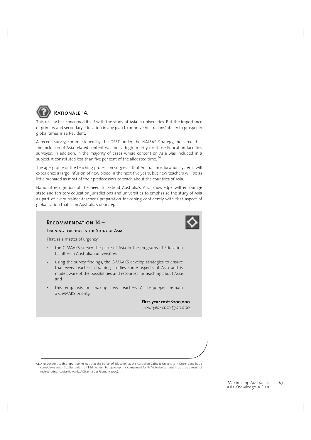

This review has concerned itself with the study of Asia in universities. But the importance of primary and secondary education in any plan to improve Australians' ability to prosper in global times is self-evident.

A recent survey, commissioned by the DEST under the NALSAS Strategy, indicated that the inclusion of Asia-related content was not a high priority for those Education faculties surveyed. In addition, in the majority of cases where content on Asia was included in a subject, it constituted less than five per cent of the allocated time.<sup>54</sup>

The age-profile of the teaching profession suggests that Australian education systems will experience a large infusion of new blood in the next five years; but new teachers will be as little prepared as most of their predecessors to teach about the countries of Asia.

National recognition of the need to extend Australia's Asia knowledge will encourage state and territory education jurisdictions and universities to emphasise the study of Asia as part of every trainee-teacher's preparation for coping confidently with that aspect of globalisation that is on Australia's doorstep.

#### Recommendation 14 –



#### Training Teachers in the Study of Asia

That, as a matter of urgency,

- the C-MAAKS survey the place of Asia in the programs of Education faculties in Australian universities;
- using the survey findings, the C-MAAKS develop strategies to ensure that every teacher-in-training studies some aspects of Asia and is made aware of the possibilities and resources for teaching about Asia; and
- this emphasis on making new teachers Asia-equipped remain a C-MAAKS priority.

**First-year cost: \$200,000**

*Four-year cost: \$300,000*

<sup>54.</sup> A respondent to this report points out that the School of Education at the Australian Catholic University in Queensland has a compulsory Asian Studies unit in all BEd degrees, but gave up this component for its Victorian campus in 2001 as a result of restructuring. (Louise Edwards, ACU, email, 21 February 2002).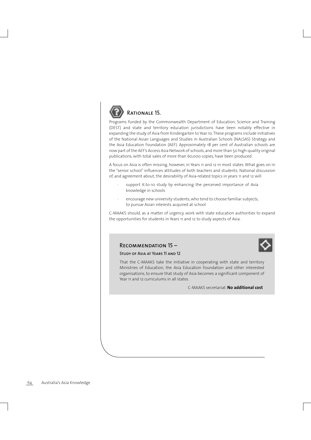

#### Programs funded by the Commonwealth Department of Education, Science and Training (DEST) and state and territory education jurisdictions have been notably effective in expanding the study of Asia from Kindergarten to Year 10. These programs include initiatives of the National Asian Languages and Studies in Australian Schools (NALSAS) Strategy and the Asia Education Foundation (AEF). Approximately 18 per cent of Australian schools are now part of the AEF's Access Asia Network of schools, and more than 50 high-quality original publications, with total sales of more than 60,000 copies, have been produced.

A focus on Asia is often missing, however, in Years 11 and 12 in most states. What goes on in the "senior school" influences attitudes of both teachers and students. National discussion of, and agreement about, the desirability of Asia-related topics in years 11 and 12 will

- support K-to-10 study by enhancing the perceived importance of Asia knowledge in schools
- encourage new university students, who tend to choose familiar subjects, to pursue Asian interests acquired at school

C-MAAKS should, as a matter of urgency, work with state education authorities to expand the opportunities for students in Years 11 and 12 to study aspects of Asia.

#### Recommendation 15 –



#### Study of Asia at Years 11 and 12

That the C-MAAKS take the initiative in cooperating with state and territory Ministries of Education, the Asia Education Foundation and other interested organisations, to ensure that study of Asia becomes a significant component of Year 11 and 12 curriculums in all states.

C-MAAKS secretariat: **No additional cost**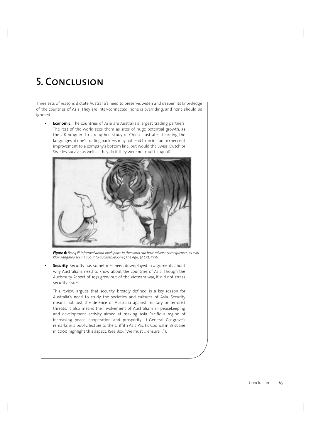# 5. Conclusion

Three sets of reasons dictate Australia's need to preserve, widen and deepen its knowledge of the countries of Asia. They are inter-connected; none is overriding; and none should be ignored.

**Economic.** The countries of Asia are Australia's largest trading partners. The rest of the world sees them as sites of huge potential growth, as the UK program to strengthen study of China illustrates. Learning the languages of one's trading partners may not lead to an instant 10 per cent improvement to a company's bottom line; but would the Swiss, Dutch or Swedes survive as well as they do if they were not multi-lingual?



*Figure 6: Being ill-informed about one's place in the world can have adverse consequences, as a Ku Klux Kangaroo seems about to discover. Spooner,* The Age, *30 Oct. 1996.*

**• Security.** Security has sometimes been downplayed in arguments about why Australians need to know about the countries of Asia. Though the Auchmuty Report of 1971 grew out of the Vietnam war, it did not stress security issues.

 This review argues that security, broadly defined, is a key reason for Australia's need to study the societies and cultures of Asia. Security means not just the defence of Australia against military or terrorist threats. It also means the involvement of Australians in peacekeeping and development activity aimed at making Asia Pacific a region of increasing peace, cooperation and prosperity. Lt-General Cosgrove's remarks in a public lecture to the Griffith Asia Pacific Council in Brisbane in 2000 highlight this aspect. (See Box, "We must ... ensure ...").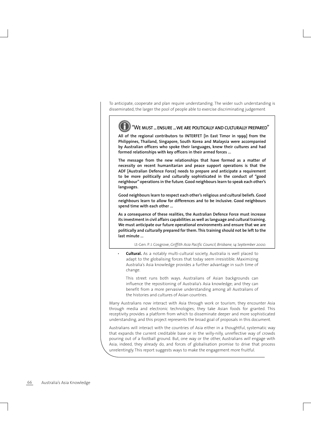To anticipate, cooperate and plan require understanding. The wider such understanding is disseminated, the larger the pool of people able to exercise discriminating judgement

# "We must ... ensure ... we are politically and culturally prepared"

**All of the regional contributors to INTERFET [in East Timor in 1999] from the Philippines, Thailand, Singapore, South Korea and Malaysia were accompanied by Australian officers who spoke their languages, knew their cultures and had formed relationships with key officers in their armed forces ...**

**The message from the new relationships that have formed as a matter of necessity on recent humanitarian and peace support operations is that the ADF [Australian Defence Force] needs to prepare and anticipate a requirement to be more politically and culturally sophisticated in the conduct of "good neighbour" operations in the future. Good neighbours learn to speak each other's languages.**

**Good neighbours learn to respect each other's religious and cultural beliefs. Good neighbours learn to allow for differences and to be inclusive. Good neighbours spend time with each other ...**

**As a consequence of these realities, the Australian Defence Force must increase its investment in civil affairs capabilities as well as language and cultural training. We must anticipate our future operational environments and ensure that we are politically and culturally prepared for them. This training should not be left to the last minute ...**

Lt-Gen. P. J. Cosgrove, *Griffith Asia Pacific Council, Brisbane, 14 September 2000.*

• **Cultural.** As a notably multi-cultural society, Australia is well placed to adapt to the globalising forces that today seem irresistible. Maximizing Australia's Asia knowledge provides a further advantage in such time of change.

 This street runs both ways. Australians of Asian backgrounds can influence the repositioning of Australia's Asia knowledge; and they can benefit from a more pervasive understanding among all Australians of the histories and cultures of Asian countries.

Many Australians now interact with Asia through work or tourism; they encounter Asia through media and electronic technologies; they take Asian foods for granted. This receptivity provides a platform from which to disseminate deeper and more sophisticated understanding, and this project represents the broad goal of proposals in this document.

Australians will interact with the countries of Asia either in a thoughtful, systematic way that expands the current creditable base or in the willy-nilly, unreflective way of crowds pouring out of a football ground. But, one way or the other, Australians *will* engage with Asia; indeed, they already do, and forces of globalisation promise to drive that process unrelentingly. This report suggests ways to make the engagement more fruitful.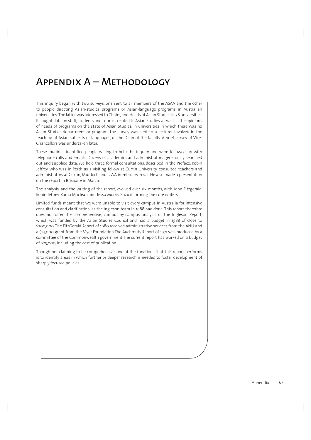# Appendix A – Methodology

This inquiry began with two surveys, one sent to all members of the ASAA and the other to people directing Asian-studies programs or Asian-language programs in Australian universities. The latter was addressed to Chairs, and Heads of Asian Studies in 38 universities. It sought data on staff, students and courses related to Asian Studies, as well as the opinions of heads of programs on the state of Asian Studies. In universities in which there was no Asian Studies department or program, the survey was sent to a lecturer involved in the teaching of Asian subjects or languages, or the Dean of the faculty. A brief survey of Vice-Chancellors was undertaken later.

These inquiries identified people willing to help the inquiry and were followed up with telephone calls and emails. Dozens of academics and administrators generously searched out and supplied data. We held three formal consultations, described in the Preface. Robin Jeffrey, who was in Perth as a visiting fellow at Curtin University, consulted teachers and administrators at Curtin, Murdoch and UWA in February 2002. He also made a presentation on the report in Brisbane in March.

The analysis, and the writing of the report, evolved over six months, with John Fitzgerald, Robin Jeffrey, Kama Maclean and Tessa Morris-Suzuki forming the core writers.

Limited funds meant that we were unable to visit every campus in Australia for intensive consultation and clarification, as the Ingleson team in 1988 had done. This report therefore does not offer the comprehensive, campus-by-campus analysis of the Ingleson Report, which was funded by the Asian Studies Council and had a budget in 1988 of close to \$200,000. The FitzGerald Report of 1980 received administrative services from the ANU and a \$14,000 grant from the Myer Foundation The Auchmuty Report of 1971 was produced by a committee of the Commonwealth government The current report has worked on a budget of \$25,000, including the cost of publication.

Though not claiming to be comprehensive, one of the functions that this report performs is to identify areas in which further or deeper research is needed to foster development of sharply focused policies.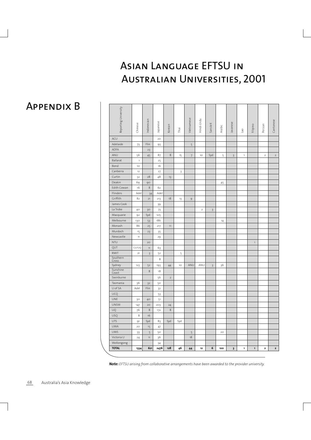# Asian Language EFTSU in Australian Universities, 2001

# Appendix B

| Reporting University | Chinese     | Indonesian     | Japanese | Korean      | Thai | Vietnamese | Hindi-Urdu | Sanskrit       | Arabic | Javanese       | Oel     | Filipino     | Persian     | Cantonese               |
|----------------------|-------------|----------------|----------|-------------|------|------------|------------|----------------|--------|----------------|---------|--------------|-------------|-------------------------|
| ACU                  |             |                | 20       |             |      |            |            |                |        |                |         |              |             |                         |
| Adelaide             | 73          | Flin           | 93       |             |      | 5          |            |                |        |                |         |              |             |                         |
| <b>ADFA</b>          |             | 23             |          |             |      |            |            |                |        |                |         |              |             |                         |
| ANU                  | 56          | 45             | 87       | 8           | 15   | $\sqrt{ }$ | 10         | Syd            | 5      | $\overline{3}$ | $\,1\,$ |              | $\mathbf 2$ | $\overline{2}$          |
| Ballarat             | $\mathbf 1$ |                | 25       |             |      |            |            |                |        |                |         |              |             |                         |
| Bond                 | 10          |                | 16       |             |      |            |            |                |        |                |         |              |             |                         |
| Canberra             | 12          |                | 27       |             | 3    |            |            |                |        |                |         |              |             |                         |
| Curtin               | 32          | 28             | 48       | 13          |      |            |            |                |        |                |         |              |             |                         |
| Deakin               | 69          | 90             |          |             |      |            |            |                | 45     |                |         |              |             |                         |
| Edith Cowan          | 16          | $\,$ 8 $\,$    | 62       |             |      |            |            |                |        |                |         |              |             |                         |
| Flinders             | Adel        | 34             | Adel     |             |      |            |            |                |        |                |         |              |             |                         |
| Griffith             | 82          | 21             | 213      | 18          | 13   | $\,9$      |            |                |        |                |         |              |             |                         |
| James Cook           |             |                | 39       |             |      |            |            |                |        |                |         |              |             |                         |
| La Trobe             | 40          | 30             | 73       |             |      |            | $\bar{z}$  | $\overline{3}$ |        |                |         |              |             |                         |
| Macquarie            | 92          | Syd            | 105      |             |      |            |            |                |        |                |         |              |             |                         |
| Melbourne            | 130         | 53             | 186      |             |      |            |            |                | 14     |                |         |              |             |                         |
| Monash               | 86          | 25             | 217      | 11          |      |            |            |                |        |                |         |              |             |                         |
| Murdoch              | 15          | 23             | 35       |             |      |            |            |                |        |                |         |              |             |                         |
| Newcastle            | 11          |                | 29       |             |      |            |            |                |        |                |         |              |             |                         |
| <b>NTU</b>           |             | 20             |          |             |      |            |            |                |        |                |         | $\,1$        |             |                         |
| QUT                  | GU/UQ       | 11             | 63       |             |      |            |            |                |        |                |         |              |             |                         |
| RMIT                 | 21          | $\overline{3}$ | 52       |             | 5    |            |            |                |        |                |         |              |             |                         |
| Southern<br>Cross    |             |                | 8        |             |      |            |            |                |        |                |         |              |             |                         |
| Sydney               | 123         | 52             | 193      | 44          | 10   | ANU        | ANU        | 3              | 36     |                |         |              |             |                         |
| Sunshine<br>Coast    |             | $\,$ 8 $\,$    | 18       |             |      |            |            |                |        |                |         |              |             |                         |
| Swinburne            |             |                | 56       | $\mathbf 2$ |      |            |            |                |        |                |         |              |             |                         |
| Tasmania             | 36          | 32             | 50       |             |      |            |            |                |        |                |         |              |             |                         |
| U of SA              | Adel        | Flin           | 32       |             |      |            |            |                |        |                |         |              |             |                         |
| UCQ                  |             |                | 53       |             |      |            |            |                |        |                |         |              |             |                         |
| UNE                  | 30          | 40             | 51       |             |      |            |            |                |        |                |         |              |             |                         |
| <b>UNSW</b>          | 147         | 20             | 203      | 24          |      |            |            |                |        |                |         |              |             |                         |
| UQ                   | 76          | $\,8\,$        | 172      | $\,$ 8 $\,$ |      |            |            |                |        |                |         |              |             |                         |
| USQ                  | 8           | 16             |          |             |      |            |            |                |        |                |         |              |             |                         |
| <b>UTS</b>           | 91          | Syd            | 83       | Syd         | Syd  |            |            |                |        |                |         |              |             |                         |
| UWA                  | 20          | 15             | 47       |             |      |            |            |                |        |                |         |              |             |                         |
| <b>UWS</b>           | 33          | 5              | 50       |             |      | 5          |            |                | 20     |                |         |              |             |                         |
| Victoria U           | $^{24}$     | 11             | 36       |             |      | 18         |            |                |        |                |         |              |             |                         |
| Wollongong           |             |                | 34       |             |      |            |            |                |        |                |         |              |             |                         |
| <b>TOTAL</b>         | 1334        | 621            | 2476     | 128         | 46   | 44         | $12$       | 6              | 120    | 3              | 1       | $\mathbf{1}$ | 2           | $\overline{\mathbf{2}}$ |

*Note: EFTSU arising from collaborative arrangements have been awarded to the provider university.*

68 Australia's Asia Knowledge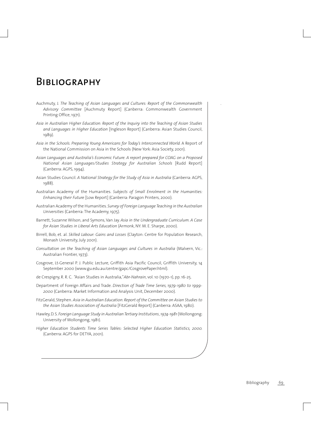### **BIBLIOGRAPHY**

- Auchmuty, J. *The Teaching of Asian Languages and Cultures: Report of the Commonwealth Advisory Committee* [Auchmuty Report] (Canberra: Commonwealth Government Printing Office, 1971).
- *Asia in Australian Higher Education: Report of the Inquiry into the Teaching of Asian Studies and Languages in Higher Education* [Ingleson Report] (Canberra: Asian Studies Council, 1989).
- *Asia in the Schools. Preparing Young Americans for Today's Interconnected World.* A Report of the National Commission on Asia in the Schools (New York: Asia Society, 2001).
- *Asian Languages and Australia's Economic Future. A report prepared for COAG on a Proposed National Asian Languages/Studies Strategy for Australian Schools* [Rudd Report] (Canberra: AGPS, 1994).
- Asian Studies Council. *A National Strategy for the Study of Asia in Australia* (Canberra: AGPS, 1988).
- Australian Academy of the Humanities. *Subjects of Small Enrolment in the Humanities: Enhancing their Future* [Low Report] (Canberra: Paragon Printers, 2000).
- Australian Academy of the Humanities*. Survey of Foreign Language Teaching in the Australian Universities* (Canberra: The Academy, 1975).
- Barnett, Suzanne Wilson, and Symons, Van Jay. *Asia in the Undergraduate Curriculum. A Case for Asian Studies in Liberal Arts Education* (Armonk, NY: M. E. Sharpe, 2000).
- Birrell, Bob, et. al. *Skilled Labour: Gains and Losses* (Clayton: Centre for Population Research, Monash University, July 2001).
- Consultation on the Teaching of Asian Languages and Cultures in Australia (Malvern, Vic.: Australian Frontier, 1973).
- Cosgrove, Lt-General P. J. Public Lecture, Griffith Asia Pacific Council, Griffith University, 14 September 2000 (www.gu.edu.au/centre/gapc/CosgrovePaper.html).
- de Crespigny, R. R. C. "Asian Studies in Australia,"*Abr-Nahrain*, vol. 10 (1970-1), pp. 16-25.
- Department of Foreign Affairs and Trade. *Direction of Trade Time Series, 1979-1980 to 1999- 2000* (Canberra: Market Information and Analysis Unit, December 2000).
- FitzGerald, Stephen. *Asia in Australian Education: Report of the Committee on Asian Studies to the Asian Studies Association of Australia* [FitzGerald Report] (Canberra: ASAA, 1980).
- Hawley, D. S. *Foreign Language Study in Australian Tertiary Institutions*, *1974-1981* (Wollongong: University of Wollongong, 1981).
- Higher Education Students Time Series Tables: Selected Higher Education Statistics, 2000. (Canberra: AGPS for DETYA, 2001).

.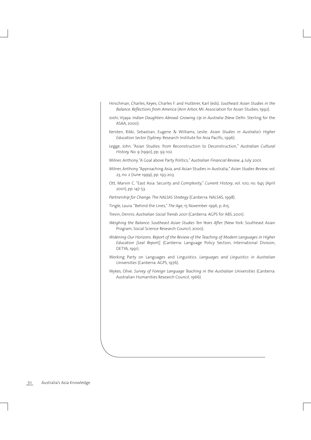Hirschman, Charles, Keyes, Charles F. and Hutterer, Karl (eds). *Southeast Asian Studies in the Balance. Reflections from America* (Ann Arbor, MI: Association for Asian Studies, 1992).

- Joshi, Vijaya. *Indian Daughters Abroad: Growing Up in Australia* (New Delhi: Sterling for the ASAA, 2000).
- Kersten, Rikki, Sebastian, Eugene & Williams, Leslie. *Asian Studies in Australia's Higher Education Sector* (Sydney: Research Institute for Asia Pacific, 1996).
- Legge, John. "Asian Studies: from Reconstruction to Deconstruction," *Australian Cultural History,* No. 9 (1990), pp. 93-102.

Milner, Anthony. "A Goal above Party Politics," *Australian Financial Review*, 4 July 2001.

- Milner, Anthony. "Approaching Asia, and Asian Studies in Australia," *Asian Studies Review*, vol. 23, no. 2 (June 1999), pp. 193-203.
- Ott, Marvin C. "East Asia: Security and Complexity," *Current History*, vol. 100, no. 645 (April 2001), pp. 147-53.

*Partnership for Change. The NALSAS Strategy* (Canberra: NALSAS, 1998).

Tingle, Laura. "Behind the Lines," *The Age*, 15 November 1996, p. A15.

Trevin, Dennis. *Australian Social Trends 2001* (Canberra: AGPS for ABS, 2001).

- *Weighing the Balance: Southeast Asian Studies Ten Years After.* (New York: Southeast Asian Program, Social Science Research Council, 2000).
- *Widening Our Horizons. Report of the Review of the Teaching of Modern Languages in Higher Education [Leal Report].* (Canberra: Language Policy Section, International Division, DETYA, 1991).
- Working Party on Languages and Linguistics. *Languages and Linguistics in Australian Universities* (Canberra: AGPS, 1976).
- Wykes, Olive. *Survey of Foreign Language Teaching in the Australian Universities* (Canberra: Australian Humanities Research Council, 1966).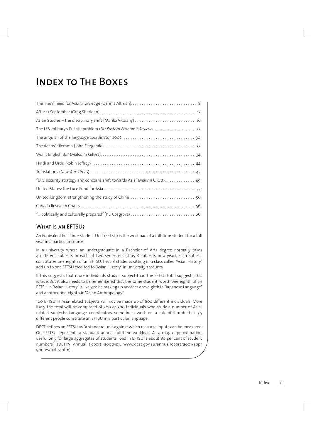# Index to The Boxes

| The U.S. military's Pushtu problem (Far Eastern Economic Review)  22         |
|------------------------------------------------------------------------------|
|                                                                              |
|                                                                              |
|                                                                              |
|                                                                              |
|                                                                              |
| "U. S. security strategy and concerns shift towards Asia" (Marvin C. Ott) 49 |
|                                                                              |
|                                                                              |
|                                                                              |
|                                                                              |

#### What Is an EFTSU?

An Equivalent Full-Time Student Unit (EFTSU) is the workload of a full-time student for a full year in a particular course.

In a university where an undergraduate in a Bachelor of Arts degree normally takes 4 different subjects in each of two semesters (thus 8 subjects in a year), each subject constitutes one-eighth of an EFTSU. Thus 8 students sitting in a class called "Asian History" add up to one EFTSU credited to "Asian History" in university accounts.

If this suggests that more individuals study a subject than the EFTSU total suggests, this is true. But it also needs to be remembered that the same student, worth one-eighth of an EFTSU in "Asian History" is likely to be making up another one-eighth in "Japanese Language" and another one-eighth in "Asian Anthropology."

100 EFTSU in Asia-related subjects will not be made up of 800 different individuals. More likely the total will be composed of 200 or 300 individuals who study a number of Asiarelated subjects. Language coordinators sometimes work on a rule-of-thumb that 3.5 different people constitute an EFTSU in a particular language.

DEST defines an EFTSU as "a standard unit against which resource inputs can be measured. One EFTSU represents a standard annual full-time workload. As a rough approximation, useful only for large aggregates of students, load in EFTSU is about 80 per cent of student numbers" (DETYA Annual Report 2000-01, www.dest.gov.au/annualreport/2001/app/ 9notes/note3.htm).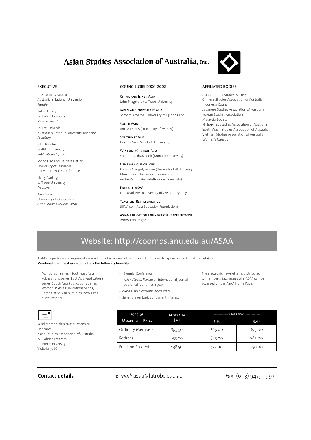## Asian Studies Association of Australia, Inc.

#### EXECUTIVE

Tessa Morris-Suzuki Australian National University *President* Robin Jeffrey La Trobe University *Vice-President* Louise Edwards Australian Catholic University, Brisbane *Secretary* John Butcher Griffith University *Publications Officer* Mobo Gao and Barbara Hatley University of Tasmania Conveners, 2002 Conference Harry Aveling La Trobe University *Treasurer*

Kam Louie University of Queensland *Asian Studies Review Editor*

#### COUNCILLORS 2000-2002

China and Inner Asia John Fitzgerald (La Trobe University)

Japan and Northeast Asia Tomoko Aoyama (University of Queensland)

South Asia Jim Masselos (University of Sydney)

Southeast Asia Krishna Sen (Murdoch University)

WEST AND CENTRAL ASIA Shahram Akbarzadeh (Monash University)

#### General Councillors

Ruchira Ganguly-Scrase (University of Wollongong) Morris Low (University of Queensland) Andrea Whittaker (Melbourne University)

Editor, e-ASAA Paul Mathews (University of Western Sydney)

#### Teachers' Representative Jill Wilson (Asia Education Foundation)

Asian Education Foundation Representative Jenny McGregor



#### AFFILIATED BODIES

Asian Cinema Studies Society Chinese Studies Association of Australia Indonesia Council Japanese Studies Association of Australia Korean Studies Association Malaysia Society Philippines Studies Association of Australia South Asian Studies Association of Australia Vietnam Studies Association of Australia Women's Caucus

# Website: http://coombs.anu.edu.au/ASAA

ASAA is a professional organisation made up of academics, teachers and others with experience or knowledge of Asia. **Membership of the Association offers the following benefits:**

- Monograph series Southeast Asia Publications Series; East Asia Publications Series; South Asia Publications Series; Women in Asia Publications Series; Comparative Asian Studies; books at a discount price;
- Biennial Conference
- *Asian Studies Review,* an international journal published four times a year
- *e-ASAA*, an electronic newsletter
- Seminars on topics of current interest

The electronic newsletter is distributed to members. Back issues of *e-ASAA* can be accessed on the ASAA Home Page.

| Send membership subscriptions to:      |
|----------------------------------------|
| Treasurer                              |
| Asian Studies Association of Australia |
| c/- Politics Program                   |
| La Trobe University                    |
| Victoria 3086                          |
|                                        |

| 2002-03                 | <b>AUSTRALIA</b> | <b>OVERSEAS</b> ------------ |         |  |  |  |
|-------------------------|------------------|------------------------------|---------|--|--|--|
| <b>MEMBERSHIP RATES</b> | \$AU             | \$US                         | \$AU    |  |  |  |
| Ordinary Members        | \$93.50          | \$65.00                      | \$95.00 |  |  |  |
| Retirees                | \$55.00          | \$45.00                      | \$65.00 |  |  |  |
| Fulltime Students       | \$38.50          | \$35.00                      | \$50.00 |  |  |  |

 $\boxed{=}$ 

**Contact details** *E-mail:* asaa@latrobe.edu.au *Fax:* (61-3) 9479-1997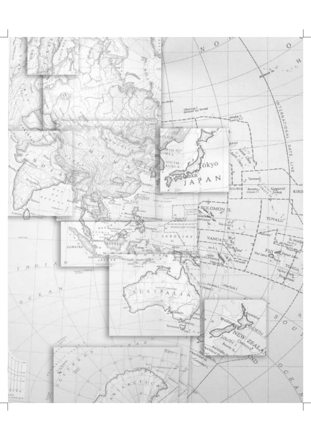